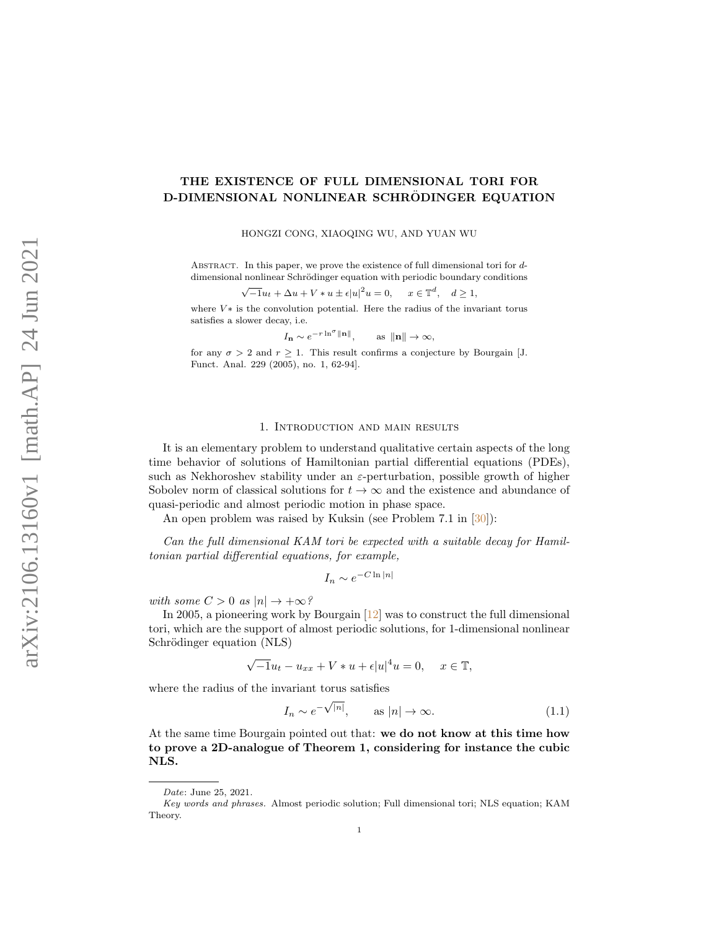# THE EXISTENCE OF FULL DIMENSIONAL TORI FOR D-DIMENSIONAL NONLINEAR SCHRODINGER EQUATION

HONGZI CONG, XIAOQING WU, AND YUAN WU

ABSTRACT. In this paper, we prove the existence of full dimensional tori for ddimensional nonlinear Schrödinger equation with periodic boundary conditions

$$
\sqrt{-1}u_t + \Delta u + V * u \pm \epsilon |u|^2 u = 0, \quad x \in \mathbb{T}^d, \quad d \ge 1,
$$

where  $V*$  is the convolution potential. Here the radius of the invariant torus satisfies a slower decay, i.e.

$$
I_{\mathbf{n}} \sim e^{-r \ln^{\sigma} \|\mathbf{n}\|},
$$
 as  $\|\mathbf{n}\| \to \infty$ ,

for any  $\sigma > 2$  and  $r \geq 1$ . This result confirms a conjecture by Bourgain [J. Funct. Anal. 229 (2005), no. 1, 62-94].

#### 1. Introduction and main results

It is an elementary problem to understand qualitative certain aspects of the long time behavior of solutions of Hamiltonian partial differential equations (PDEs), such as Nekhoroshev stability under an  $\varepsilon$ -perturbation, possible growth of higher Sobolev norm of classical solutions for  $t \to \infty$  and the existence and abundance of quasi-periodic and almost periodic motion in phase space.

An open problem was raised by Kuksin (see Problem 7.1 in [\[30\]](#page-52-0)):

Can the full dimensional KAM tori be expected with a suitable decay for Hamiltonian partial differential equations, for example,

$$
I_n \sim e^{-C \ln |n|}
$$

with some  $C > 0$  as  $|n| \rightarrow +\infty$ ?

In 2005, a pioneering work by Bourgain [\[12\]](#page-52-1) was to construct the full dimensional tori, which are the support of almost periodic solutions, for 1-dimensional nonlinear Schrödinger equation (NLS)

$$
\sqrt{-1}u_t - u_{xx} + V * u + \epsilon |u|^4 u = 0, \quad x \in \mathbb{T},
$$

where the radius of the invariant torus satisfies

<span id="page-0-0"></span>
$$
I_n \sim e^{-\sqrt{|n|}}, \qquad \text{as } |n| \to \infty. \tag{1.1}
$$

At the same time Bourgain pointed out that: we do not know at this time how to prove a 2D-analogue of Theorem 1, considering for instance the cubic NLS.

Date: June 25, 2021.

Key words and phrases. Almost periodic solution; Full dimensional tori; NLS equation; KAM Theory.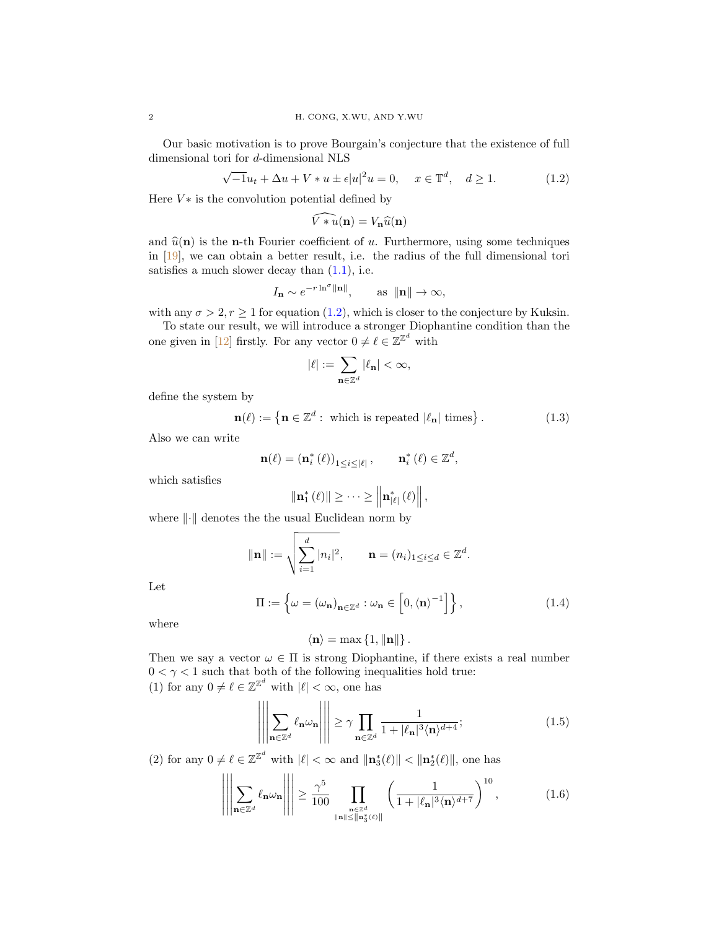Our basic motivation is to prove Bourgain's conjecture that the existence of full dimensional tori for d-dimensional NLS

<span id="page-1-0"></span>
$$
\sqrt{-1}u_t + \Delta u + V * u \pm \epsilon |u|^2 u = 0, \quad x \in \mathbb{T}^d, \quad d \ge 1.
$$
 (1.2)

Here  $V*$  is the convolution potential defined by

$$
\widehat{V * u}(\mathbf{n}) = V_{\mathbf{n}} \widehat{u}(\mathbf{n})
$$

and  $\hat{u}(\mathbf{n})$  is the **n**-th Fourier coefficient of u. Furthermore, using some techniques in [\[19\]](#page-52-2), we can obtain a better result, i.e. the radius of the full dimensional tori satisfies a much slower decay than  $(1.1)$ , i.e.

$$
I_{\mathbf{n}} \sim e^{-r \ln^{\sigma} \|\mathbf{n}\|}
$$
, as  $\|\mathbf{n}\| \to \infty$ ,

with any  $\sigma > 2$ ,  $r \ge 1$  for equation [\(1.2\)](#page-1-0), which is closer to the conjecture by Kuksin.

To state our result, we will introduce a stronger Diophantine condition than the one given in [\[12\]](#page-52-1) firstly. For any vector  $0 \neq \ell \in \mathbb{Z}^{\mathbb{Z}^d}$  with

$$
|\ell|:=\sum_{\mathbf{n}\in\mathbb{Z}^d}|\ell_\mathbf{n}|<\infty,
$$

define the system by

<span id="page-1-3"></span>
$$
\mathbf{n}(\ell) := \left\{ \mathbf{n} \in \mathbb{Z}^d : \text{ which is repeated } |\ell_{\mathbf{n}}| \text{ times} \right\}. \tag{1.3}
$$

Also we can write

$$
\mathbf{n}(\ell) = \left(\mathbf{n}_{i}^{*}\left(\ell\right)\right)_{1\leq i\leq|\ell|}, \qquad \mathbf{n}_{i}^{*}\left(\ell\right) \in \mathbb{Z}^{d},
$$

which satisfies

$$
\left\|\mathbf{n}_{1}^{*}\left(\ell\right)\right\| \geq \cdots \geq \left\|\mathbf{n}_{\left|\ell\right|}^{*}\left(\ell\right)\right\|,
$$

where  $\lVert \cdot \rVert$  denotes the the usual Euclidean norm by

$$
\|\mathbf{n}\| := \sqrt{\sum_{i=1}^d |n_i|^2}, \qquad \mathbf{n} = (n_i)_{1 \leq i \leq d} \in \mathbb{Z}^d.
$$

Let

<span id="page-1-4"></span>
$$
\Pi := \left\{ \omega = (\omega_{\mathbf{n}})_{\mathbf{n} \in \mathbb{Z}^d} : \omega_{\mathbf{n}} \in \left[ 0, \langle \mathbf{n} \rangle^{-1} \right] \right\},\tag{1.4}
$$

where

$$
\langle \mathbf{n} \rangle = \max \left\{ 1, \|\mathbf{n}\| \right\}.
$$

Then we say a vector  $\omega \in \Pi$  is strong Diophantine, if there exists a real number  $0 < \gamma < 1$  such that both of the following inequalities hold true: (1) for any  $0 \neq \ell \in \mathbb{Z}^{\mathbb{Z}^d}$  with  $|\ell| < \infty$ , one has

<span id="page-1-1"></span>
$$
\left| \left| \sum_{\mathbf{n} \in \mathbb{Z}^d} \ell_{\mathbf{n}} \omega_{\mathbf{n}} \right| \right| \geq \gamma \prod_{\mathbf{n} \in \mathbb{Z}^d} \frac{1}{1 + |\ell_{\mathbf{n}}|^3 \langle \mathbf{n} \rangle^{d+4}}; \tag{1.5}
$$

(2) for any  $0 \neq \ell \in \mathbb{Z}^{\mathbb{Z}^d}$  with  $|\ell| < \infty$  and  $\|\mathbf{n}_3^*(\ell)\| < \|\mathbf{n}_2^*(\ell)\|$ , one has

<span id="page-1-2"></span>
$$
\left\| \left| \sum_{\mathbf{n} \in \mathbb{Z}^d} \ell_{\mathbf{n}} \omega_{\mathbf{n}} \right| \right\| \geq \frac{\gamma^5}{100} \prod_{\substack{\mathbf{n} \in \mathbb{Z}^d \\ \|\mathbf{n}\| \leq \|\mathbf{n}_3^*(\ell)\|}} \left( \frac{1}{1 + |\ell_{\mathbf{n}}|^3 \langle \mathbf{n} \rangle^{d+7}} \right)^{10}, \tag{1.6}
$$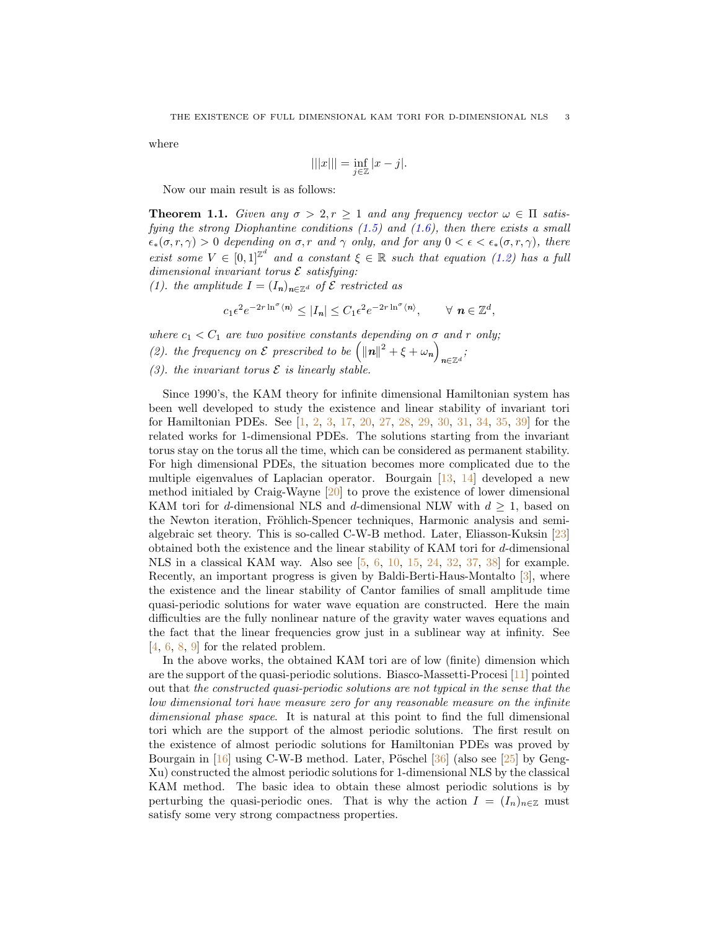where

$$
|||x||| = \inf_{j \in \mathbb{Z}} |x - j|.
$$

Now our main result is as follows:

<span id="page-2-0"></span>**Theorem 1.1.** Given any  $\sigma > 2, r \ge 1$  and any frequency vector  $\omega \in \Pi$  satisfying the strong Diophantine conditions  $(1.5)$  and  $(1.6)$ , then there exists a small  $\epsilon_*(\sigma, r, \gamma) > 0$  depending on  $\sigma, r$  and  $\gamma$  only, and for any  $0 < \epsilon < \epsilon_*(\sigma, r, \gamma)$ , there exist some  $V \in [0,1]^{\mathbb{Z}^d}$  and a constant  $\xi \in \mathbb{R}$  such that equation [\(1.2\)](#page-1-0) has a full dimensional invariant torus  $\mathcal E$  satisfying:

(1). the amplitude  $I = (I_n)_{n \in \mathbb{Z}^d}$  of  $\mathcal E$  restricted as

$$
c_1 \epsilon^2 e^{-2r \ln^{\sigma} \langle n \rangle} \leq |I_n| \leq C_1 \epsilon^2 e^{-2r \ln^{\sigma} \langle n \rangle}, \qquad \forall n \in \mathbb{Z}^d,
$$

where  $c_1 < C_1$  are two positive constants depending on  $\sigma$  and  $r$  only; (2). the frequency on  $\mathcal E$  prescribed to be  $\left(\left\|\mathbf{n}\right\|^2 + \xi + \omega_{\mathbf{n}}\right)$  $\sum_{n\in\mathbb{Z}^d}$ 

(3). the invariant torus  $\mathcal E$  is linearly stable.

Since 1990's, the KAM theory for infinite dimensional Hamiltonian system has been well developed to study the existence and linear stability of invariant tori for Hamiltonian PDEs. See [\[1,](#page-51-0) [2,](#page-51-1) [3,](#page-51-2) [17,](#page-52-3) [20,](#page-52-4) [27,](#page-52-5) [28,](#page-52-6) [29,](#page-52-7) [30,](#page-52-0) [31,](#page-52-8) [34,](#page-53-0) [35,](#page-53-1) [39\]](#page-53-2) for the related works for 1-dimensional PDEs. The solutions starting from the invariant torus stay on the torus all the time, which can be considered as permanent stability. For high dimensional PDEs, the situation becomes more complicated due to the multiple eigenvalues of Laplacian operator. Bourgain [\[13,](#page-52-9) [14\]](#page-52-10) developed a new method initialed by Craig-Wayne [\[20\]](#page-52-4) to prove the existence of lower dimensional KAM tori for d-dimensional NLS and d-dimensional NLW with  $d \geq 1$ , based on the Newton iteration, Fröhlich-Spencer techniques, Harmonic analysis and semialgebraic set theory. This is so-called C-W-B method. Later, Eliasson-Kuksin [\[23\]](#page-52-11) obtained both the existence and the linear stability of KAM tori for d-dimensional NLS in a classical KAM way. Also see [\[5,](#page-52-12) [6,](#page-52-13) [10,](#page-52-14) [15,](#page-52-15) [24,](#page-52-16) [32,](#page-52-17) [37,](#page-53-3) [38\]](#page-53-4) for example. Recently, an important progress is given by Baldi-Berti-Haus-Montalto [\[3\]](#page-51-2), where the existence and the linear stability of Cantor families of small amplitude time quasi-periodic solutions for water wave equation are constructed. Here the main difficulties are the fully nonlinear nature of the gravity water waves equations and the fact that the linear frequencies grow just in a sublinear way at infinity. See [\[4,](#page-51-3) [6,](#page-52-13) [8,](#page-52-18) [9\]](#page-52-19) for the related problem.

In the above works, the obtained KAM tori are of low (finite) dimension which are the support of the quasi-periodic solutions. Biasco-Massetti-Procesi [\[11\]](#page-52-20) pointed out that the constructed quasi-periodic solutions are not typical in the sense that the low dimensional tori have measure zero for any reasonable measure on the infinite dimensional phase space. It is natural at this point to find the full dimensional tori which are the support of the almost periodic solutions. The first result on the existence of almost periodic solutions for Hamiltonian PDEs was proved by Bourgain in  $[16]$  using C-W-B method. Later, Pöschel  $[36]$  (also see  $[25]$  by Geng-Xu) constructed the almost periodic solutions for 1-dimensional NLS by the classical KAM method. The basic idea to obtain these almost periodic solutions is by perturbing the quasi-periodic ones. That is why the action  $I = (I_n)_{n \in \mathbb{Z}}$  must satisfy some very strong compactness properties.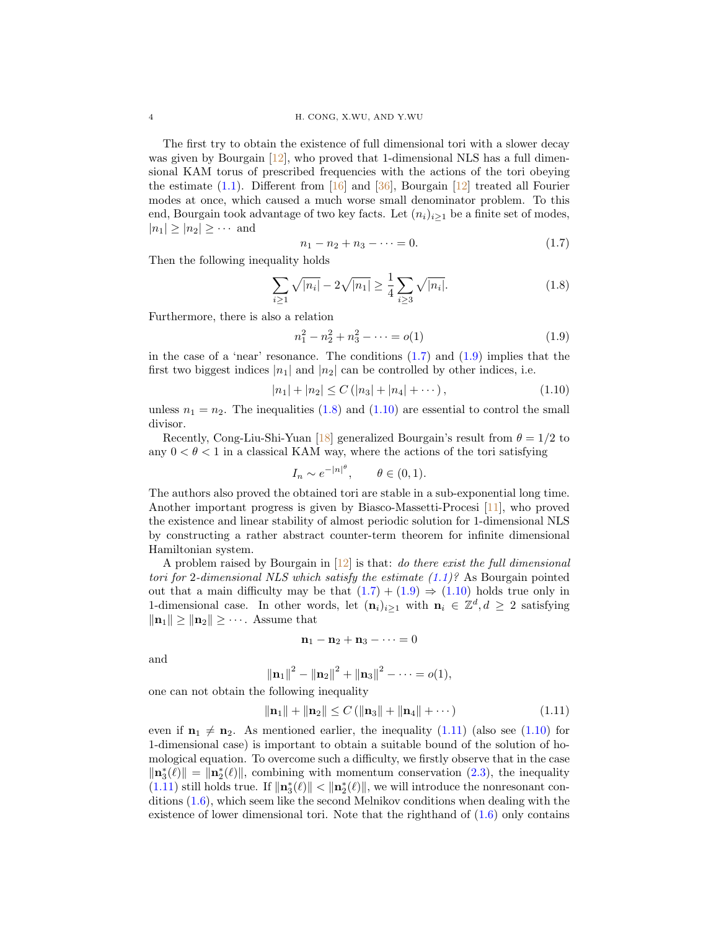The first try to obtain the existence of full dimensional tori with a slower decay was given by Bourgain [\[12\]](#page-52-1), who proved that 1-dimensional NLS has a full dimensional KAM torus of prescribed frequencies with the actions of the tori obeying the estimate  $(1.1)$ . Different from [\[16\]](#page-52-21) and [\[36\]](#page-53-5), Bourgain [\[12\]](#page-52-1) treated all Fourier modes at once, which caused a much worse small denominator problem. To this end, Bourgain took advantage of two key facts. Let  $(n_i)_{i\geq 1}$  be a finite set of modes,  $|n_1| \geq |n_2| \geq \cdots$  and

<span id="page-3-0"></span>
$$
n_1 - n_2 + n_3 - \dots = 0. \tag{1.7}
$$

Then the following inequality holds

<span id="page-3-2"></span>
$$
\sum_{i\geq 1} \sqrt{|n_i|} - 2\sqrt{|n_1|} \geq \frac{1}{4} \sum_{i\geq 3} \sqrt{|n_i|}. \tag{1.8}
$$

Furthermore, there is also a relation

<span id="page-3-1"></span>
$$
n_1^2 - n_2^2 + n_3^2 - \dots = o(1) \tag{1.9}
$$

in the case of a 'near' resonance. The conditions  $(1.7)$  and  $(1.9)$  implies that the first two biggest indices  $|n_1|$  and  $|n_2|$  can be controlled by other indices, i.e.

<span id="page-3-3"></span>
$$
|n_1| + |n_2| \le C \left( |n_3| + |n_4| + \dots \right), \tag{1.10}
$$

unless  $n_1 = n_2$ . The inequalities [\(1.8\)](#page-3-2) and [\(1.10\)](#page-3-3) are essential to control the small divisor.

Recently, Cong-Liu-Shi-Yuan [\[18\]](#page-52-23) generalized Bourgain's result from  $\theta = 1/2$  to any  $0 < \theta < 1$  in a classical KAM way, where the actions of the tori satisfying

$$
I_n \sim e^{-|n|^\theta}, \qquad \theta \in (0,1).
$$

The authors also proved the obtained tori are stable in a sub-exponential long time. Another important progress is given by Biasco-Massetti-Procesi [\[11\]](#page-52-20), who proved the existence and linear stability of almost periodic solution for 1-dimensional NLS by constructing a rather abstract counter-term theorem for infinite dimensional Hamiltonian system.

A problem raised by Bourgain in  $[12]$  is that: *do there exist the full dimensional* tori for 2-dimensional NLS which satisfy the estimate  $(1.1)$ ? As Bourgain pointed out that a main difficulty may be that  $(1.7) + (1.9) \Rightarrow (1.10)$  $(1.7) + (1.9) \Rightarrow (1.10)$  $(1.7) + (1.9) \Rightarrow (1.10)$  $(1.7) + (1.9) \Rightarrow (1.10)$  $(1.7) + (1.9) \Rightarrow (1.10)$  $(1.7) + (1.9) \Rightarrow (1.10)$  holds true only in 1-dimensional case. In other words, let  $(\mathbf{n}_i)_{i\geq 1}$  with  $\mathbf{n}_i \in \mathbb{Z}^d, d \geq 2$  satisfying  $\|\mathbf{n}_1\| \geq \|\mathbf{n}_2\| \geq \cdots$ . Assume that

$$
\mathbf{n}_1-\mathbf{n}_2+\mathbf{n}_3-\cdots=0
$$

and

$$
\|\mathbf{n}_1\|^2 - \|\mathbf{n}_2\|^2 + \|\mathbf{n}_3\|^2 - \cdots = o(1),
$$

one can not obtain the following inequality

<span id="page-3-4"></span>
$$
\|\mathbf{n}_1\| + \|\mathbf{n}_2\| \le C \left( \|\mathbf{n}_3\| + \|\mathbf{n}_4\| + \cdots \right) \tag{1.11}
$$

even if  $\mathbf{n}_1 \neq \mathbf{n}_2$ . As mentioned earlier, the inequality [\(1.11\)](#page-3-4) (also see [\(1.10\)](#page-3-3) for 1-dimensional case) is important to obtain a suitable bound of the solution of homological equation. To overcome such a difficulty, we firstly observe that in the case  $\|\mathbf{n}_3^*(\ell)\| = \|\mathbf{n}_2^*(\ell)\|$ , combining with momentum conservation [\(2.3\)](#page-5-0), the inequality [\(1.11\)](#page-3-4) still holds true. If  $\|\mathbf{n}_3^*(\ell)\|$  <  $\|\mathbf{n}_2^*(\ell)\|$ , we will introduce the nonresonant conditions [\(1.6\)](#page-1-2), which seem like the second Melnikov conditions when dealing with the existence of lower dimensional tori. Note that the righthand of  $(1.6)$  only contains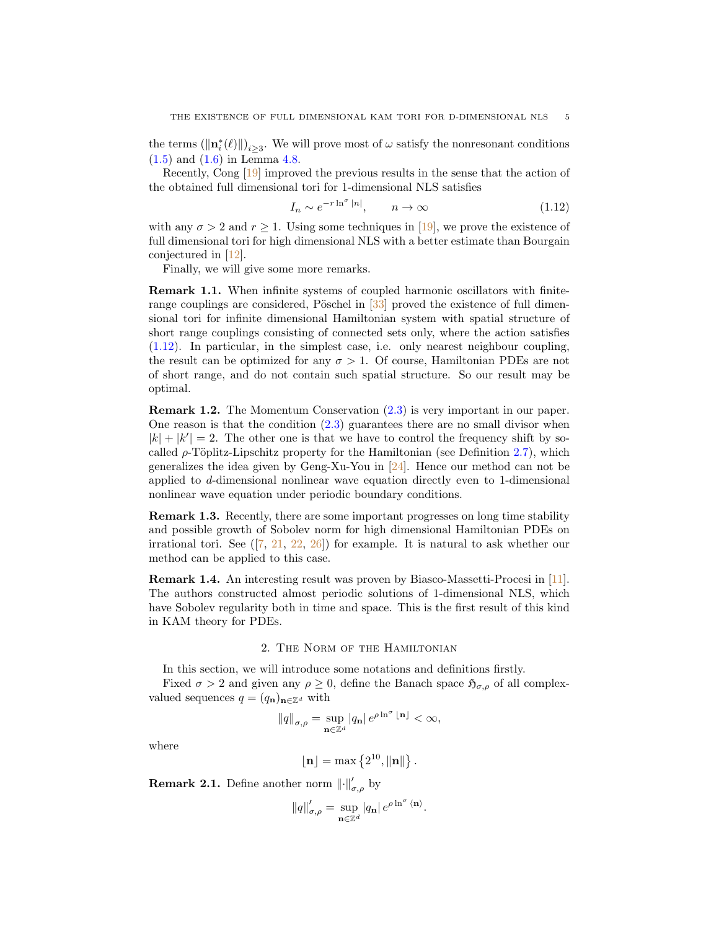the terms  $(\|\mathbf{n}_i^*(\ell)\|)_{i\geq 3}$ . We will prove most of  $\omega$  satisfy the nonresonant conditions [\(1.5\)](#page-1-1) and [\(1.6\)](#page-1-2) in Lemma [4.8.](#page-38-0)

Recently, Cong [\[19\]](#page-52-2) improved the previous results in the sense that the action of the obtained full dimensional tori for 1-dimensional NLS satisfies

<span id="page-4-0"></span>
$$
I_n \sim e^{-r \ln^{\sigma} |n|}, \qquad n \to \infty \tag{1.12}
$$

with any  $\sigma > 2$  and  $r \geq 1$ . Using some techniques in [\[19\]](#page-52-2), we prove the existence of full dimensional tori for high dimensional NLS with a better estimate than Bourgain conjectured in [\[12\]](#page-52-1).

Finally, we will give some more remarks.

Remark 1.1. When infinite systems of coupled harmonic oscillators with finiterange couplings are considered, Pöschel in  $[33]$  proved the existence of full dimensional tori for infinite dimensional Hamiltonian system with spatial structure of short range couplings consisting of connected sets only, where the action satisfies [\(1.12\)](#page-4-0). In particular, in the simplest case, i.e. only nearest neighbour coupling, the result can be optimized for any  $\sigma > 1$ . Of course, Hamiltonian PDEs are not of short range, and do not contain such spatial structure. So our result may be optimal.

Remark 1.2. The Momentum Conservation [\(2.3\)](#page-5-0) is very important in our paper. One reason is that the condition  $(2.3)$  guarantees there are no small divisor when  $|k| + |k'| = 2$ . The other one is that we have to control the frequency shift by socalled  $\rho$ -Töplitz-Lipschitz property for the Hamiltonian (see Definition [2.7\)](#page-9-0), which generalizes the idea given by Geng-Xu-You in [\[24\]](#page-52-16). Hence our method can not be applied to d-dimensional nonlinear wave equation directly even to 1-dimensional nonlinear wave equation under periodic boundary conditions.

Remark 1.3. Recently, there are some important progresses on long time stability and possible growth of Sobolev norm for high dimensional Hamiltonian PDEs on irrational tori. See  $([7, 21, 22, 26])$  $([7, 21, 22, 26])$  $([7, 21, 22, 26])$  $([7, 21, 22, 26])$  $([7, 21, 22, 26])$  $([7, 21, 22, 26])$  $([7, 21, 22, 26])$  $([7, 21, 22, 26])$  $([7, 21, 22, 26])$  for example. It is natural to ask whether our method can be applied to this case.

Remark 1.4. An interesting result was proven by Biasco-Massetti-Procesi in [\[11\]](#page-52-20). The authors constructed almost periodic solutions of 1-dimensional NLS, which have Sobolev regularity both in time and space. This is the first result of this kind in KAM theory for PDEs.

#### 2. The Norm of the Hamiltonian

In this section, we will introduce some notations and definitions firstly.

Fixed  $\sigma > 2$  and given any  $\rho \geq 0$ , define the Banach space  $\mathfrak{H}_{\sigma,\rho}$  of all complexvalued sequences  $q = (q_n)_{n \in \mathbb{Z}^d}$  with

$$
||q||_{\sigma,\rho} = \sup_{\mathbf{n}\in\mathbb{Z}^d} |q_{\mathbf{n}}| \, e^{\rho \ln^{\sigma} \lfloor \mathbf{n} \rfloor} < \infty,
$$

where

$$
\lfloor\mathbf{n}\rfloor=\max\left\{2^{10},\|\mathbf{n}\|\right\}.
$$

**Remark 2.1.** Define another norm  $\|\cdot\|'_{\sigma,\rho}$  by

$$
\|q\|'_{\sigma,\rho} = \sup_{\mathbf{n}\in\mathbb{Z}^d} |q_{\mathbf{n}}| \, e^{\rho \ln^{\sigma} \langle \mathbf{n}\rangle}.
$$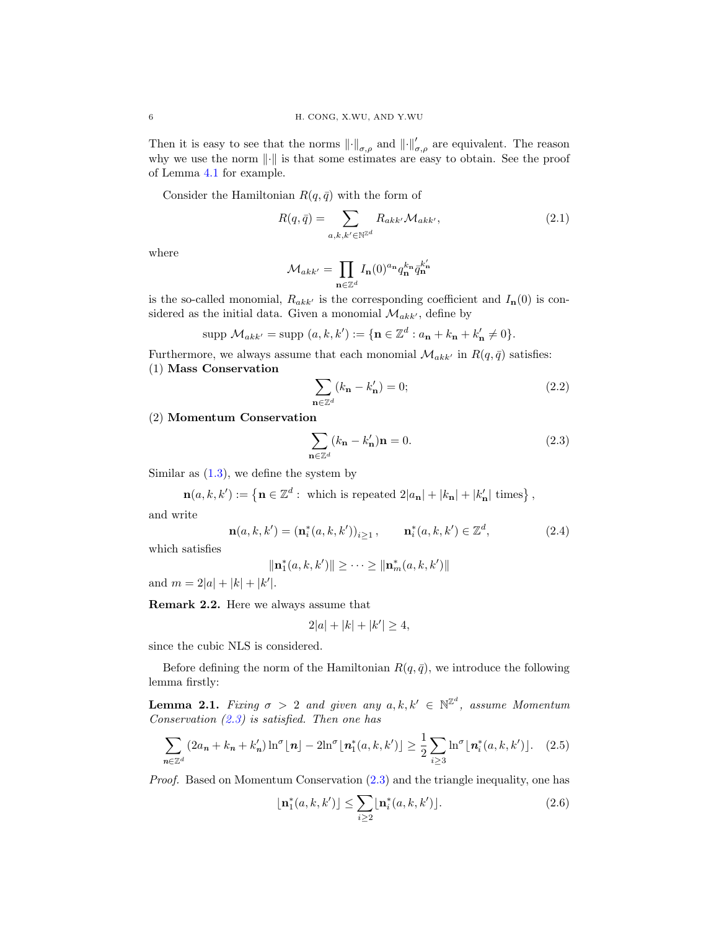Then it is easy to see that the norms  $\|\cdot\|_{\sigma,\rho}$  and  $\|\cdot\|'_{\sigma,\rho}$  are equivalent. The reason why we use the norm  $\lVert \cdot \rVert$  is that some estimates are easy to obtain. See the proof of Lemma [4.1](#page-32-0) for example.

Consider the Hamiltonian  $R(q, \bar{q})$  with the form of

<span id="page-5-3"></span>
$$
R(q,\bar{q}) = \sum_{a,k,k' \in \mathbb{N}^{\mathbb{Z}^d}} R_{akk'} \mathcal{M}_{akk'},
$$
\n(2.1)

where

$$
\mathcal{M}_{akk'} = \prod_{\mathbf{n} \in \mathbb{Z}^d} I_{\mathbf{n}}(0)^{a_{\mathbf{n}}} q_{\mathbf{n}}^{k_{\mathbf{n}}} \bar{q}_{\mathbf{n}}^{k'_{\mathbf{n}}}
$$

is the so-called monomial,  $R_{akk'}$  is the corresponding coefficient and  $I_n(0)$  is considered as the initial data. Given a monomial  $\mathcal{M}_{akk'}$ , define by

$$
\text{supp } \mathcal{M}_{ak'} = \text{supp } (a, k, k') := \{ \mathbf{n} \in \mathbb{Z}^d : a_{\mathbf{n}} + k_{\mathbf{n}} + k'_{\mathbf{n}} \neq 0 \}.
$$

Furthermore, we always assume that each monomial  $\mathcal{M}_{akk'}$  in  $R(q, \bar{q})$  satisfies: (1) Mass Conservation

<span id="page-5-5"></span>
$$
\sum_{\mathbf{n}\in\mathbb{Z}^d} (k_\mathbf{n} - k'_\mathbf{n}) = 0; \tag{2.2}
$$

(2) Momentum Conservation

<span id="page-5-0"></span>
$$
\sum_{\mathbf{n}\in\mathbb{Z}^d} (k_\mathbf{n} - k'_\mathbf{n})\mathbf{n} = 0.
$$
 (2.3)

Similar as  $(1.3)$ , we define the system by

$$
\mathbf{n}(a,k,k') := \left\{ \mathbf{n} \in \mathbb{Z}^d : \text{ which is repeated } 2|a_{\mathbf{n}}| + |k_{\mathbf{n}}| + |k'_{\mathbf{n}}| \text{ times} \right\},\,
$$

and write

$$
\mathbf{n}(a,k,k') = (\mathbf{n}_i^*(a,k,k'))_{i \ge 1}, \qquad \mathbf{n}_i^*(a,k,k') \in \mathbb{Z}^d, \tag{2.4}
$$

which satisfies

$$
\|\mathbf{n}_1^*(a,k,k')\| \ge \cdots \ge \|\mathbf{n}_m^*(a,k,k')\|
$$

and  $m = 2|a| + |k| + |k'|$ .

Remark 2.2. Here we always assume that

$$
2|a| + |k| + |k'| \ge 4,
$$

since the cubic NLS is considered.

Before defining the norm of the Hamiltonian  $R(q, \bar{q})$ , we introduce the following lemma firstly:

<span id="page-5-4"></span>**Lemma 2.1.** Fixing  $\sigma > 2$  and given any  $a, k, k' \in \mathbb{N}^{\mathbb{Z}^d}$ , assume Momentum Conservation  $(2.3)$  is satisfied. Then one has

<span id="page-5-2"></span>
$$
\sum_{n \in \mathbb{Z}^d} \left( 2a_n + k_n + k'_n \right) \ln^{\sigma}[\mathbf{n}] - 2\ln^{\sigma}[\mathbf{n}_1^*(a, k, k')] \ge \frac{1}{2} \sum_{i \ge 3} \ln^{\sigma}[\mathbf{n}_i^*(a, k, k')] . \tag{2.5}
$$

Proof. Based on Momentum Conservation [\(2.3\)](#page-5-0) and the triangle inequality, one has

<span id="page-5-1"></span>
$$
\lfloor \mathbf{n}_1^*(a,k,k') \rfloor \le \sum_{i \ge 2} \lfloor \mathbf{n}_i^*(a,k,k') \rfloor. \tag{2.6}
$$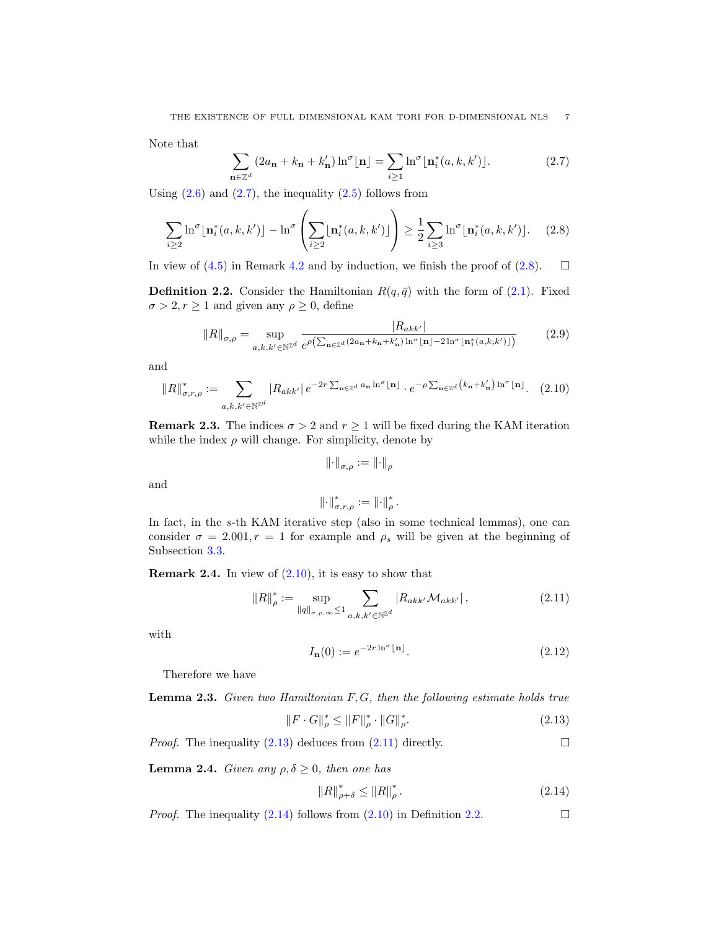Note that

<span id="page-6-0"></span>
$$
\sum_{\mathbf{n}\in\mathbb{Z}^d} \left(2a_{\mathbf{n}} + k_{\mathbf{n}} + k'_{\mathbf{n}}\right) \ln^{\sigma}[\mathbf{n}] = \sum_{i\geq 1} \ln^{\sigma}[\mathbf{n}_i^*(a,k,k')].\tag{2.7}
$$

Using  $(2.6)$  and  $(2.7)$ , the inequality  $(2.5)$  follows from

<span id="page-6-1"></span>
$$
\sum_{i\geq 2} \ln^{\sigma} \lfloor \mathbf{n}_i^*(a,k,k') \rfloor - \ln^{\sigma} \left( \sum_{i\geq 2} \lfloor \mathbf{n}_i^*(a,k,k') \rfloor \right) \geq \frac{1}{2} \sum_{i\geq 3} \ln^{\sigma} \lfloor \mathbf{n}_i^*(a,k,k') \rfloor. \tag{2.8}
$$

In view of [\(4.5\)](#page-34-0) in Remark [4.2](#page-34-1) and by induction, we finish the proof of [\(2.8\)](#page-6-1).  $\Box$ 

<span id="page-6-6"></span>**Definition 2.2.** Consider the Hamiltonian  $R(q, \bar{q})$  with the form of  $(2.1)$ . Fixed  $\sigma > 2, r \ge 1$  and given any  $\rho \ge 0$ , define

<span id="page-6-7"></span>
$$
||R||_{\sigma,\rho} = \sup_{a,k,k' \in \mathbb{N}^{\mathbb{Z}^d}} \frac{|R_{akk'}|}{e^{\rho\left(\sum_{\mathbf{n}\in\mathbb{Z}^d} (2a_{\mathbf{n}}+k_{\mathbf{n}}+k'_{\mathbf{n}})\ln^{\sigma}[\mathbf{n}]-2\ln^{\sigma}[\mathbf{n}_1^*(a,k,k')]\right)}}\tag{2.9}
$$

and

<span id="page-6-2"></span>
$$
||R||_{\sigma,r,\rho}^* := \sum_{a,k,k' \in \mathbb{N}^{\mathbb{Z}^d}} |R_{akk'}| \, e^{-2r \sum_{\mathbf{n} \in \mathbb{Z}^d} a_{\mathbf{n}} \ln^{\sigma} \lfloor \mathbf{n} \rfloor} \cdot e^{-\rho \sum_{\mathbf{n} \in \mathbb{Z}^d} \left( k_{\mathbf{n}} + k_{\mathbf{n}}' \right) \ln^{\sigma} \lfloor \mathbf{n} \rfloor}. \tag{2.10}
$$

**Remark 2.3.** The indices  $\sigma > 2$  and  $r \ge 1$  will be fixed during the KAM iteration while the index  $\rho$  will change. For simplicity, denote by

$$
\left\|\cdot\right\|_{\sigma,\rho}:=\left\|\cdot\right\|_{\rho}
$$

and

$$
\left\|\cdot\right\|^*_{\sigma,r,\rho}:=\left\|\cdot\right\|^*_\rho.
$$

In fact, in the s-th KAM iterative step (also in some technical lemmas), one can consider  $\sigma = 2.001, r = 1$  for example and  $\rho_s$  will be given at the beginning of Subsection [3.3.](#page-14-0)

**Remark 2.4.** In view of  $(2.10)$ , it is easy to show that

<span id="page-6-4"></span>
$$
||R||_{\rho}^* := \sup_{||q||_{\sigma,\rho,\infty} \le 1} \sum_{a,k,k' \in \mathbb{N}^{\mathbb{Z}^d}} |R_{akk'} \mathcal{M}_{akk'}|,
$$
\n(2.11)

with

<span id="page-6-8"></span>
$$
I_{\mathbf{n}}(0) := e^{-2r \ln^{\sigma} \lfloor \mathbf{n} \rfloor}.
$$
\n(2.12)

Therefore we have

<span id="page-6-9"></span>**Lemma 2.3.** Given two Hamiltonian  $F, G$ , then the following estimate holds true

<span id="page-6-3"></span>
$$
||F \cdot G||_{\rho}^* \le ||F||_{\rho}^* \cdot ||G||_{\rho}^*.
$$
\n(2.13)

*Proof.* The inequality  $(2.13)$  deduces from  $(2.11)$  directly.

<span id="page-6-10"></span>**Lemma 2.4.** Given any  $\rho, \delta \geq 0$ , then one has

<span id="page-6-5"></span>
$$
||R||_{\rho+\delta}^* \le ||R||_{\rho}^* \,. \tag{2.14}
$$

*Proof.* The inequality [\(2.14\)](#page-6-5) follows from [\(2.10\)](#page-6-2) in Definition [2.2.](#page-6-6)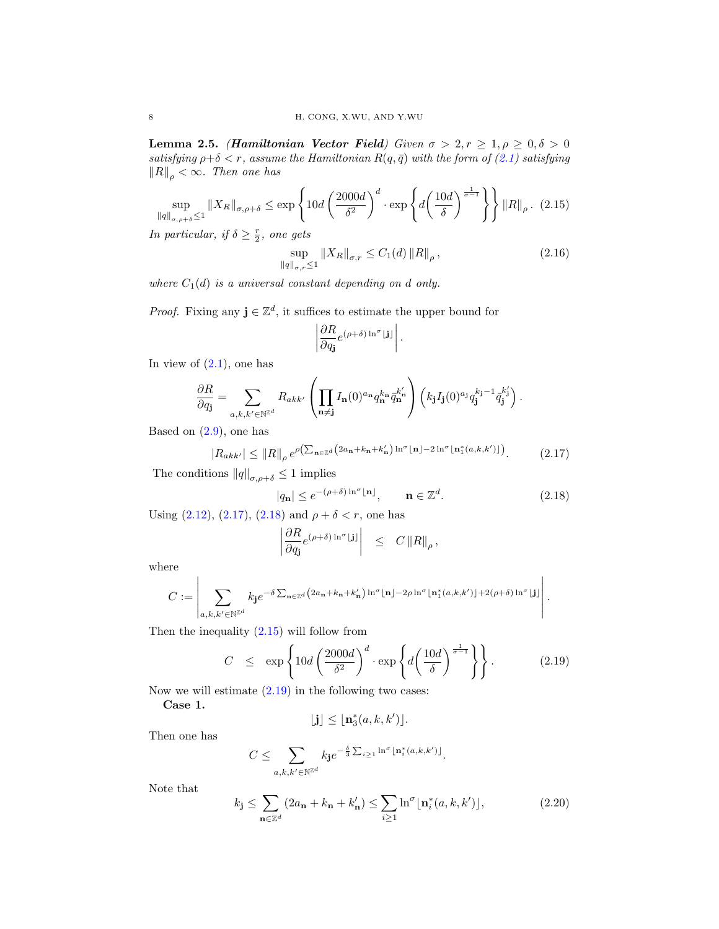<span id="page-7-5"></span>Lemma 2.5. (Hamiltonian Vector Field) Given  $\sigma > 2, r \geq 1, \rho \geq 0, \delta > 0$ satisfying  $\rho + \delta < r$ , assume the Hamiltonian  $R(q, \bar{q})$  with the form of [\(2.1\)](#page-5-3) satisfying  $\|R\|_{\rho} < \infty$ . Then one has

<span id="page-7-2"></span>
$$
\sup_{\|q\|_{\sigma,\rho+\delta}\leq 1} \|X_R\|_{\sigma,\rho+\delta} \leq \exp\left\{10d\left(\frac{2000d}{\delta^2}\right)^d \cdot \exp\left\{d\left(\frac{10d}{\delta}\right)^{\frac{1}{\sigma-1}}\right\}\right\} \|R\|_{\rho}. \tag{2.15}
$$

In particular, if  $\delta \geq \frac{r}{2}$ , one gets

<span id="page-7-4"></span>
$$
\sup_{\|q\|_{\sigma,r}\leq 1} \|X_R\|_{\sigma,r} \leq C_1(d) \|R\|_{\rho},
$$
\n(2.16)

where  $C_1(d)$  is a universal constant depending on d only.

*Proof.* Fixing any  $\mathbf{j} \in \mathbb{Z}^d$ , it suffices to estimate the upper bound for

$$
\left|\frac{\partial R}{\partial q_{\bf j}}e^{(\rho+\delta)\ln^{\sigma}{\bf j}\cdot{\bf j}}\right|
$$

In view of  $(2.1)$ , one has

$$
\frac{\partial R}{\partial q_{\mathbf{j}}} = \sum_{a,k,k' \in \mathbb{N}^{\mathbb{Z}^d}} R_{akk'} \left( \prod_{\mathbf{n} \neq \mathbf{j}} I_{\mathbf{n}}(0)^{a_{\mathbf{n}}} q_{\mathbf{n}}^{k_{\mathbf{n}}} \overline{q}_{\mathbf{n}}^{k'} \right) \left( k_{\mathbf{j}} I_{\mathbf{j}}(0)^{a_{\mathbf{j}}} q_{\mathbf{j}}^{k_{\mathbf{j}}-1} \overline{q}_{\mathbf{j}}^{k'_{\mathbf{j}}} \right).
$$

Based on  $(2.9)$ , one has

<span id="page-7-0"></span>
$$
|R_{akk'}| \leq ||R||_{\rho} e^{\rho \left(\sum_{\mathbf{n}\in\mathbb{Z}^d} \left(2a_{\mathbf{n}} + k_{\mathbf{n}} + k_{\mathbf{n}}'\right) \ln^{\sigma} \lfloor \mathbf{n} \rfloor - 2\ln^{\sigma} \lfloor \mathbf{n}_1^*(a,k,k') \rfloor\right)}.
$$
 (2.17)

.

The conditions  $\|q\|_{\sigma,\rho+\delta}\leq 1$  implies

<span id="page-7-1"></span>
$$
|q_{\mathbf{n}}| \le e^{-(\rho+\delta)\ln^{\sigma} \lfloor \mathbf{n} \rfloor}, \qquad \mathbf{n} \in \mathbb{Z}^{d}.
$$
 (2.18)

Using [\(2.12\)](#page-6-8), [\(2.17\)](#page-7-0), [\(2.18\)](#page-7-1) and  $\rho + \delta < r$ , one has

<span id="page-7-3"></span>
$$
\left|\frac{\partial R}{\partial q_{\mathbf{j}}}e^{(\rho+\delta)\ln^{\sigma}|\mathbf{j}|}\right| \leq C \|R\|_{\rho},
$$

where

$$
C := \left| \sum_{a,k,k'\in\mathbb{N}^{\mathbb{Z}^d}} k_{\mathbf{j}} e^{-\delta \sum_{\mathbf{n}\in\mathbb{Z}^d} \left(2a_{\mathbf{n}}+k_{\mathbf{n}}+k'_{\mathbf{n}}\right) \ln^{\sigma} \lfloor \mathbf{n} \rfloor - 2\rho \ln^{\sigma} \lfloor \mathbf{n}_1^*(a,k,k') \rfloor + 2(\rho+\delta) \ln^{\sigma} \lfloor \mathbf{j} \rfloor} \right|.
$$

Then the inequality [\(2.15\)](#page-7-2) will follow from

$$
C \leq \exp\left\{10d\left(\frac{2000d}{\delta^2}\right)^d \cdot \exp\left\{d\left(\frac{10d}{\delta}\right)^{\frac{1}{\sigma-1}}\right\}\right\}.
$$
 (2.19)

Now we will estimate  $(2.19)$  in the following two cases:

Case 1.

$$
\lfloor \mathbf{j} \rfloor \leq \lfloor \mathbf{n}_3^*(a, k, k') \rfloor.
$$

Then one has

$$
C\leq \sum_{a,k,k'\in\mathbb N^{\mathbb Z^d}}k_{\mathbf j}e^{-\frac{\delta}{3}\sum_{i\geq 1}\ln^\sigma\lfloor \mathbf{n}_i^*(a,k,k')\rfloor}.
$$

Note that

<span id="page-7-6"></span>
$$
k_{\mathbf{j}} \leq \sum_{\mathbf{n}\in\mathbb{Z}^d} \left(2a_{\mathbf{n}} + k_{\mathbf{n}} + k_{\mathbf{n}}'\right) \leq \sum_{i\geq 1} \ln^{\sigma} \lfloor \mathbf{n}_i^*(a, k, k') \rfloor, \tag{2.20}
$$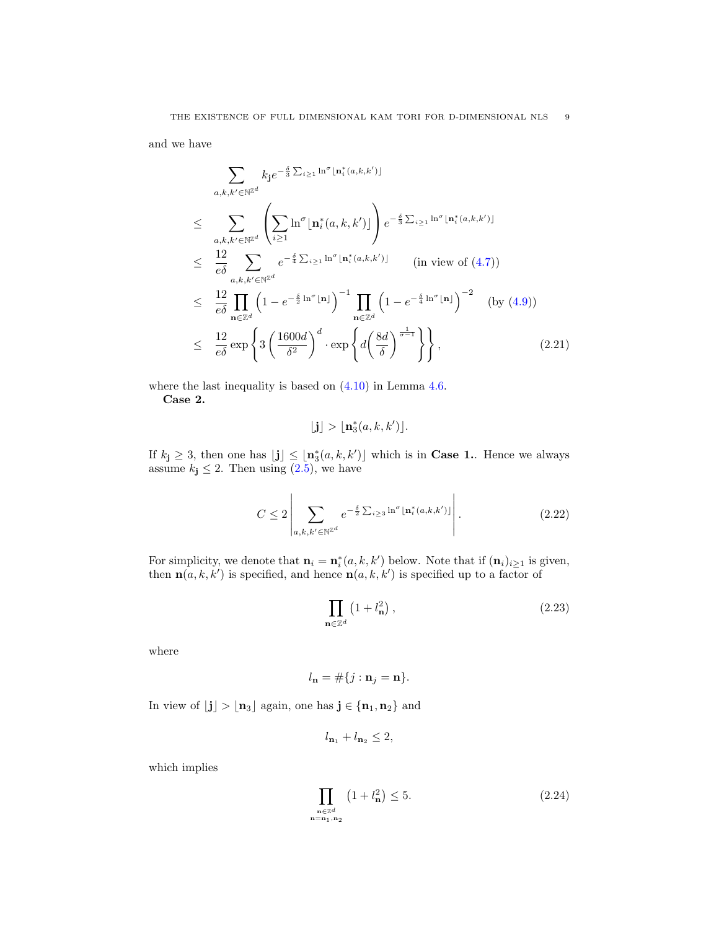and we have

<span id="page-8-3"></span>
$$
\sum_{a,k,k'\in\mathbb{N}^{\mathbb{Z}^d}} k_{\mathbf{j}} e^{-\frac{\delta}{3}\sum_{i\geq 1} \ln^{\sigma} \lfloor \mathbf{n}_i^*(a,k,k') \rfloor}
$$
\n
$$
\leq \sum_{a,k,k'\in\mathbb{N}^{\mathbb{Z}^d}} \left( \sum_{i\geq 1} \ln^{\sigma} \lfloor \mathbf{n}_i^*(a,k,k') \rfloor \right) e^{-\frac{\delta}{3}\sum_{i\geq 1} \ln^{\sigma} \lfloor \mathbf{n}_i^*(a,k,k') \rfloor}
$$
\n
$$
\leq \frac{12}{e\delta} \sum_{a,k,k'\in\mathbb{N}^{\mathbb{Z}^d}} e^{-\frac{\delta}{4}\sum_{i\geq 1} \ln^{\sigma} \lfloor \mathbf{n}_i^*(a,k,k') \rfloor} \qquad (\text{in view of (4.7}))
$$
\n
$$
\leq \frac{12}{e\delta} \prod_{\mathbf{n}\in\mathbb{Z}^d} \left(1 - e^{-\frac{\delta}{2}\ln^{\sigma} \lfloor \mathbf{n} \rfloor}\right)^{-1} \prod_{\mathbf{n}\in\mathbb{Z}^d} \left(1 - e^{-\frac{\delta}{4}\ln^{\sigma} \lfloor \mathbf{n} \rfloor}\right)^{-2} \qquad (\text{by (4.9)})
$$
\n
$$
\leq \frac{12}{e\delta} \exp\left\{3\left(\frac{1600d}{\delta^2}\right)^d \cdot \exp\left\{d\left(\frac{8d}{\delta}\right)^{\frac{1}{\sigma-1}}\right\}\right\}, \qquad (2.21)
$$

where the last inequality is based on  $(4.10)$  in Lemma [4.6.](#page-35-2) Case 2.

$$
\lfloor \mathbf{j} \rfloor > \lfloor \mathbf{n}_3^*(a, k, k') \rfloor.
$$

If  $k_j \geq 3$ , then one has  $\lfloor j \rfloor \leq \lfloor n_3^*(a, k, k') \rfloor$  which is in **Case 1.** Hence we always assume  $k_j \leq 2$ . Then using  $(2.5)$ , we have

<span id="page-8-2"></span>
$$
C \le 2 \left| \sum_{a,k,k' \in \mathbb{N}^{\mathbb{Z}^d}} e^{-\frac{\delta}{2} \sum_{i \ge 3} \ln^{\sigma} \lfloor \mathbf{n}_i^*(a,k,k') \rfloor} \right|.
$$
 (2.22)

For simplicity, we denote that  $\mathbf{n}_i = \mathbf{n}_i^*(a, k, k')$  below. Note that if  $(\mathbf{n}_i)_{i \geq 1}$  is given, then  $\mathbf{n}(a, k, k')$  is specified, and hence  $\mathbf{n}(a, k, k')$  is specified up to a factor of

<span id="page-8-0"></span>
$$
\prod_{\mathbf{n}\in\mathbb{Z}^d} \left(1 + l_\mathbf{n}^2\right),\tag{2.23}
$$

where

$$
l_{\mathbf{n}} = \#\{j : \mathbf{n}_j = \mathbf{n}\}.
$$

In view of  $\lfloor \mathbf{j} \rfloor > \lfloor \mathbf{n}_3 \rfloor$  again, one has  $\mathbf{j} \in \{ \mathbf{n}_1, \mathbf{n}_2 \}$  and

$$
l_{\mathbf{n}_1} + l_{\mathbf{n}_2} \le 2,
$$

which implies

<span id="page-8-1"></span>
$$
\prod_{\substack{\mathbf{n}\in\mathbb{Z}^d\\ \mathbf{n}=\mathbf{n}_1,\mathbf{n}_2}}\left(1+l_\mathbf{n}^2\right)\le 5. \tag{2.24}
$$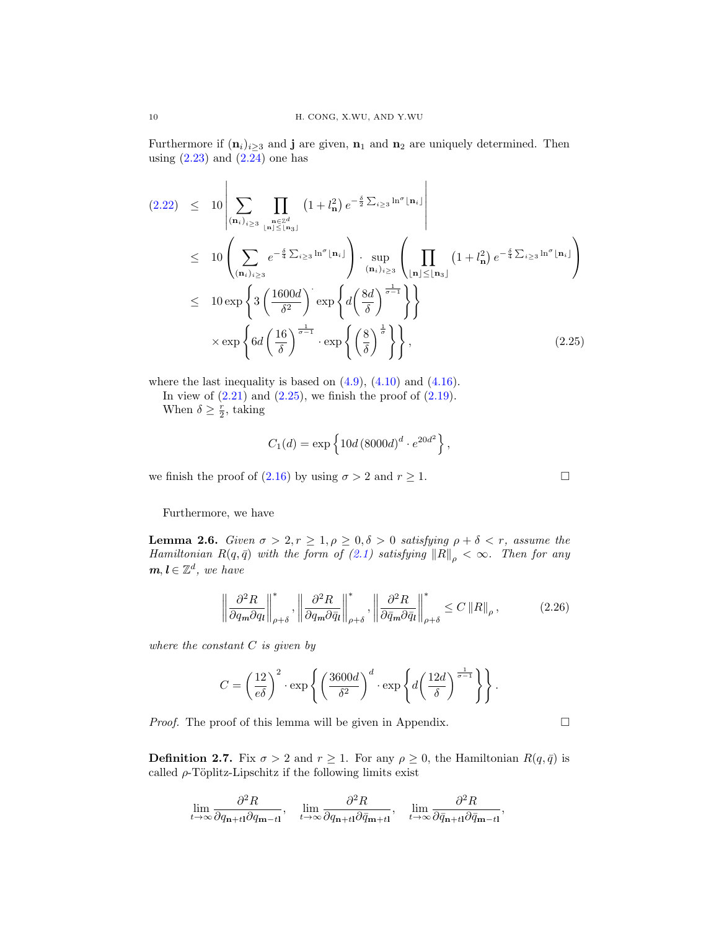Furthermore if  $(\mathbf{n}_i)_{i>3}$  and **j** are given,  $\mathbf{n}_1$  and  $\mathbf{n}_2$  are uniquely determined. Then using  $(2.23)$  and  $(2.24)$  one has

<span id="page-9-1"></span>
$$
(2.22) \leq 10 \left| \sum_{(\mathbf{n}_i)_{i\geq 3}} \prod_{\substack{\mathbf{n}\in \mathbb{Z}^d \\ |\mathbf{n}_i|\leq \lfloor \mathbf{n}_3\rfloor}} \left(1+l_\mathbf{n}^2\right) e^{-\frac{\delta}{2}\sum_{i\geq 3} \ln^{\sigma} \lfloor \mathbf{n}_i \rfloor} \right|
$$
  
\n
$$
\leq 10 \left( \sum_{(\mathbf{n}_i)_{i\geq 3}} e^{-\frac{\delta}{4}\sum_{i\geq 3} \ln^{\sigma} \lfloor \mathbf{n}_i \rfloor} \right) \cdot \sup_{(\mathbf{n}_i)_{i\geq 3}} \left( \prod_{|\mathbf{n}|\leq \lfloor \mathbf{n}_3\rfloor} \left(1+l_\mathbf{n}^2\right) e^{-\frac{\delta}{4}\sum_{i\geq 3} \ln^{\sigma} \lfloor \mathbf{n}_i \rfloor} \right)
$$
  
\n
$$
\leq 10 \exp \left\{ 3 \left( \frac{1600d}{\delta^2} \right) \exp \left\{ d \left( \frac{8d}{\delta} \right)^{\frac{1}{\sigma-1}} \right\} \right\}
$$
  
\n
$$
\times \exp \left\{ 6d \left( \frac{16}{\delta} \right)^{\frac{1}{\sigma-1}} \cdot \exp \left\{ \left( \frac{8}{\delta} \right)^{\frac{1}{\sigma}} \right\} \right\},
$$
\n
$$
(2.25)
$$

where the last inequality is based on  $(4.9)$ ,  $(4.10)$  and  $(4.16)$ .

In view of  $(2.21)$  and  $(2.25)$ , we finish the proof of  $(2.19)$ . When  $\delta \geq \frac{r}{2}$ , taking

$$
C_1(d) = \exp\left\{10d\left(8000d\right)^d \cdot e^{20d^2}\right\},\,
$$

we finish the proof of  $(2.16)$  by using  $\sigma > 2$  and  $r \ge 1$ .

Furthermore, we have

<span id="page-9-3"></span>**Lemma 2.6.** Given  $\sigma > 2, r \geq 1, \rho \geq 0, \delta > 0$  satisfying  $\rho + \delta < r$ , assume the Hamiltonian  $R(q, \bar{q})$  with the form of [\(2.1\)](#page-5-3) satisfying  $||R||_{\rho} < \infty$ . Then for any  $m, l \in \mathbb{Z}^d$ , we have

<span id="page-9-2"></span>
$$
\left\| \frac{\partial^2 R}{\partial q_m \partial q_l} \right\|_{\rho+\delta}^*, \left\| \frac{\partial^2 R}{\partial q_m \partial \bar{q}_l} \right\|_{\rho+\delta}^*, \left\| \frac{\partial^2 R}{\partial \bar{q}_m \partial \bar{q}_l} \right\|_{\rho+\delta}^* \le C \left\| R \right\|_{\rho},\tag{2.26}
$$

where the constant  $C$  is given by

$$
C = \left(\frac{12}{e\delta}\right)^2 \cdot \exp\left\{ \left(\frac{3600d}{\delta^2}\right)^d \cdot \exp\left\{ d\left(\frac{12d}{\delta}\right)^{\frac{1}{\sigma-1}} \right\} \right\}.
$$

*Proof.* The proof of this lemma will be given in Appendix.  $\Box$ 

<span id="page-9-0"></span>**Definition 2.7.** Fix  $\sigma > 2$  and  $r \ge 1$ . For any  $\rho \ge 0$ , the Hamiltonian  $R(q, \bar{q})$  is called  $\rho$ -Töplitz-Lipschitz if the following limits exist

$$
\lim_{t \to \infty} \frac{\partial^2 R}{\partial q_{\mathbf{n}+t\mathbf{l}} \partial q_{\mathbf{m}-t\mathbf{l}}}, \quad \lim_{t \to \infty} \frac{\partial^2 R}{\partial q_{\mathbf{n}+t\mathbf{l}} \partial \bar{q}_{\mathbf{m}+t\mathbf{l}}}, \quad \lim_{t \to \infty} \frac{\partial^2 R}{\partial \bar{q}_{\mathbf{n}+t\mathbf{l}} \partial \bar{q}_{\mathbf{m}-t\mathbf{l}}},
$$

$$
\Box
$$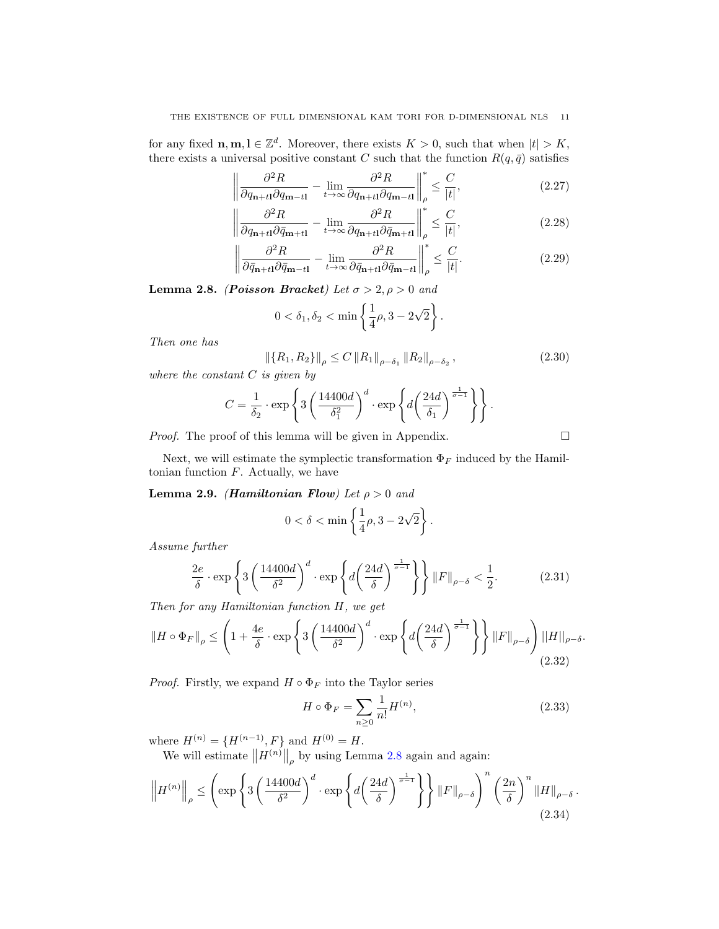for any fixed  $\mathbf{n}, \mathbf{m}, \mathbf{l} \in \mathbb{Z}^d$ . Moreover, there exists  $K > 0$ , such that when  $|t| > K$ , there exists a universal positive constant C such that the function  $R(q, \bar{q})$  satisfies

$$
\left\| \frac{\partial^2 R}{\partial q_{\mathbf{n}+t\mathbf{l}} \partial q_{\mathbf{m}-t\mathbf{l}}} - \lim_{t \to \infty} \frac{\partial^2 R}{\partial q_{\mathbf{n}+t\mathbf{l}} \partial q_{\mathbf{m}-t\mathbf{l}}} \right\|_{\rho}^* \le \frac{C}{|t|},
$$
\n(2.27)

$$
\left\| \frac{\partial^2 R}{\partial q_{\mathbf{n}+t\mathbf{l}} \partial \bar{q}_{\mathbf{m}+t\mathbf{l}}} - \lim_{t \to \infty} \frac{\partial^2 R}{\partial q_{\mathbf{n}+t\mathbf{l}} \partial \bar{q}_{\mathbf{m}+t\mathbf{l}}} \right\|_P^* \le \frac{C}{|t|},\tag{2.28}
$$

$$
\left\| \frac{\partial^2 R}{\partial \bar{q}_{n+t1} \partial \bar{q}_{m-t1}} - \lim_{t \to \infty} \frac{\partial^2 R}{\partial \bar{q}_{n+t1} \partial \bar{q}_{m-t1}} \right\|_{\rho}^* \le \frac{C}{|t|}.
$$
\n(2.29)

<span id="page-10-0"></span>Lemma 2.8. (Poisson Bracket) Let  $\sigma > 2, \rho > 0$  and

$$
0 < \delta_1, \delta_2 < \min\left\{\frac{1}{4}\rho, 3 - 2\sqrt{2}\right\}.
$$

Then one has

<span id="page-10-5"></span>
$$
\left\| \left\{ R_1, R_2 \right\} \right\|_{\rho} \le C \left\| R_1 \right\|_{\rho - \delta_1} \left\| R_2 \right\|_{\rho - \delta_2},\tag{2.30}
$$

where the constant  $C$  is given by

$$
C = \frac{1}{\delta_2} \cdot \exp\left\{3\left(\frac{14400d}{\delta_1^2}\right)^d \cdot \exp\left\{d\left(\frac{24d}{\delta_1}\right)^{\frac{1}{\sigma-1}}\right\}\right\}.
$$

Proof. The proof of this lemma will be given in Appendix.

Next, we will estimate the symplectic transformation  $\Phi_F$  induced by the Hamiltonian function  $F$ . Actually, we have

<span id="page-10-4"></span>Lemma 2.9. (Hamiltonian Flow) Let  $\rho > 0$  and

$$
0 < \delta < \min\left\{\frac{1}{4}\rho, 3 - 2\sqrt{2}\right\}
$$

Assume further

$$
\frac{2e}{\delta} \cdot \exp\left\{3\left(\frac{14400d}{\delta^2}\right)^d \cdot \exp\left\{d\left(\frac{24d}{\delta}\right)^{\frac{1}{\sigma-1}}\right\}\right\} \|F\|_{\rho-\delta} < \frac{1}{2}.\tag{2.31}
$$

Then for any Hamiltonian function H, we get

<span id="page-10-3"></span>
$$
||H \circ \Phi_F||_{\rho} \le \left(1 + \frac{4e}{\delta} \cdot \exp\left\{3\left(\frac{14400d}{\delta^2}\right)^d \cdot \exp\left\{d\left(\frac{24d}{\delta}\right)^{\frac{1}{\sigma-1}}\right\}\right\} ||F||_{\rho-\delta}\right) ||H||_{\rho-\delta}.
$$
\n(2.32)

*Proof.* Firstly, we expand  $H \circ \Phi_F$  into the Taylor series

<span id="page-10-1"></span>
$$
H \circ \Phi_F = \sum_{n \ge 0} \frac{1}{n!} H^{(n)},
$$
\n(2.33)

.

where  $H^{(n)} = \{H^{(n-1)}, F\}$  and  $H^{(0)} = H$ .

We will estimate  $||H^{(n)}||_{\rho}$  by using Lemma [2.8](#page-10-0) again and again:

<span id="page-10-2"></span>
$$
\left\| H^{(n)} \right\|_{\rho} \leq \left( \exp \left\{ 3 \left( \frac{14400d}{\delta^2} \right)^d \cdot \exp \left\{ d \left( \frac{24d}{\delta} \right)^{\frac{1}{\sigma - 1}} \right\} \right\} \left\| F \right\|_{\rho - \delta} \right)^n \left( \frac{2n}{\delta} \right)^n \left\| H \right\|_{\rho - \delta} . \tag{2.34}
$$

$$
\qquad \qquad \Box
$$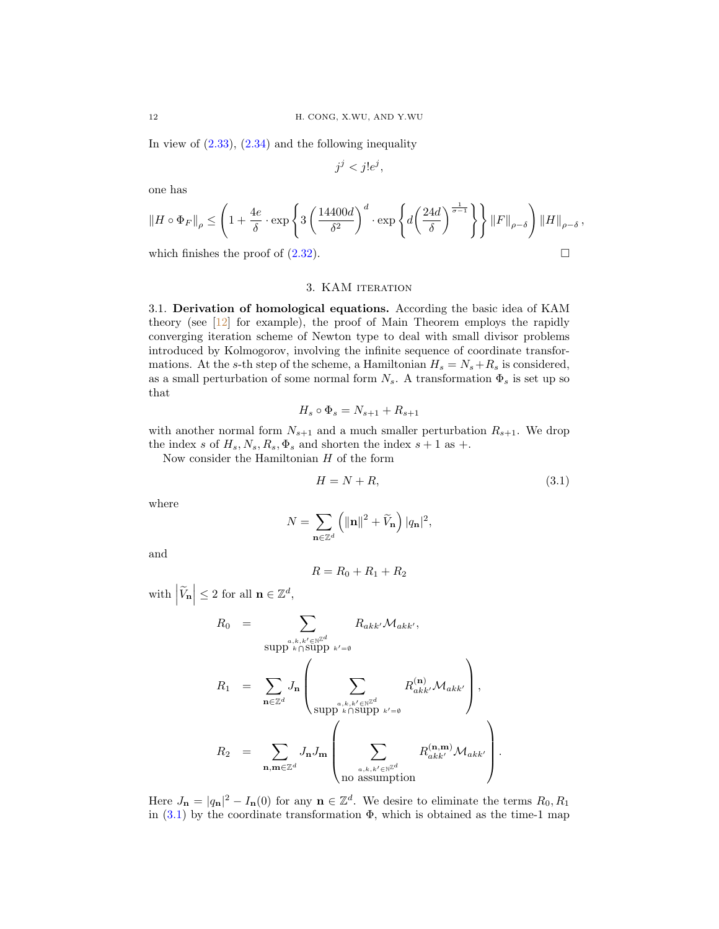In view of  $(2.33)$ ,  $(2.34)$  and the following inequality

$$
j^j < j!e^j
$$

one has

$$
||H \circ \Phi_F||_{\rho} \le \left(1 + \frac{4e}{\delta} \cdot \exp\left\{3\left(\frac{14400d}{\delta^2}\right)^d \cdot \exp\left\{d\left(\frac{24d}{\delta}\right)^{\frac{1}{\sigma-1}}\right\}\right\} ||F||_{\rho-\delta}\right) ||H||_{\rho-\delta}
$$

which finishes the proof of  $(2.32)$ .

#### 3. KAM iteration

3.1. Derivation of homological equations. According the basic idea of KAM theory (see [\[12\]](#page-52-1) for example), the proof of Main Theorem employs the rapidly converging iteration scheme of Newton type to deal with small divisor problems introduced by Kolmogorov, involving the infinite sequence of coordinate transformations. At the s-th step of the scheme, a Hamiltonian  $H_s = N_s + R_s$  is considered, as a small perturbation of some normal form  $N_s.$  A transformation  $\Phi_s$  is set up so that

$$
H_s \circ \Phi_s = N_{s+1} + R_{s+1}
$$

with another normal form  $N_{s+1}$  and a much smaller perturbation  $R_{s+1}$ . We drop the index s of  $H_s$ ,  $N_s$ ,  $R_s$ ,  $\Phi_s$  and shorten the index  $s + 1$  as +.

Now consider the Hamiltonian  $H$  of the form

<span id="page-11-0"></span>
$$
H = N + R,\tag{3.1}
$$

.

,

where

$$
N = \sum_{\mathbf{n} \in \mathbb{Z}^d} \left( \|\mathbf{n}\|^2 + \widetilde{V}_{\mathbf{n}} \right) |q_{\mathbf{n}}|^2,
$$

and

$$
R = R_0 + R_1 + R_2
$$

with  $\left|\widetilde{V}_{\mathbf{n}}\right| \leq 2$  for all  $\mathbf{n} \in \mathbb{Z}^d$ ,

$$
R_0 = \sum_{\substack{a,k,k' \in \mathbb{N}^{\mathbb{Z}^d} \\ k \cap \text{Supp } k' = \emptyset}} R_{akk'} \mathcal{M}_{akk'},
$$
  

$$
R_1 = \sum_{\mathbf{n} \in \mathbb{Z}^d} J_{\mathbf{n}} \left( \sum_{\substack{S \subseteq \mathbb{N}^{\mathbb{Z}^d} \\ S \cap \text{Supp } k \cap \text{Supp } k' = \emptyset}} R_{akk'}^{(\mathbf{n})} \mathcal{M}_{akk'} \right),
$$
  

$$
R_2 = \sum_{\mathbf{n}, \mathbf{m} \in \mathbb{Z}^d} J_{\mathbf{n}} J_{\mathbf{m}} \left( \sum_{\substack{a,k,k' \in \mathbb{N}^{\mathbb{Z}^d} \\ a \text{ is summation}} R_{akk'}^{(\mathbf{n}, \mathbf{m})} \mathcal{M}_{akk'} \right)
$$

Here  $J_{\mathbf{n}} = |q_{\mathbf{n}}|^2 - I_{\mathbf{n}}(0)$  for any  $\mathbf{n} \in \mathbb{Z}^d$ . We desire to eliminate the terms  $R_0, R_1$ in  $(3.1)$  by the coordinate transformation  $\Phi$ , which is obtained as the time-1 map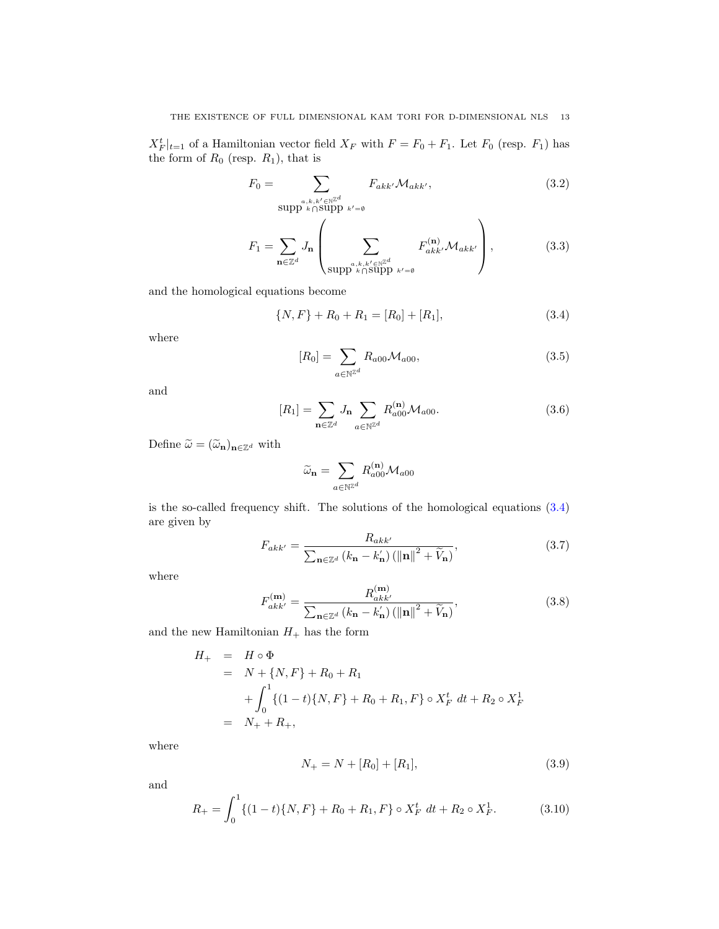$X_F^t|_{t=1}$  of a Hamiltonian vector field  $X_F$  with  $F = F_0 + F_1$ . Let  $F_0$  (resp.  $F_1$ ) has the form of  $R_0$  (resp.  $R_1$ ), that is

<span id="page-12-1"></span>
$$
F_0 = \sum_{\substack{\text{sub}, k, k' \in \mathbb{N}^{\mathbb{Z}^d} \\ \text{supp } k \cap \text{supp } k' = \emptyset}} F_{akk'} \mathcal{M}_{akk'}, \tag{3.2}
$$

$$
F_1 = \sum_{\mathbf{n} \in \mathbb{Z}^d} J_{\mathbf{n}} \left( \sum_{\substack{a,k,k' \in \mathbb{N}^{\mathbb{Z}^d} \\ \text{supp } k \cap \text{supp } k' = \emptyset}} F_{akk'}^{(\mathbf{n})} \mathcal{M}_{ak'} \right), \tag{3.3}
$$

and the homological equations become

<span id="page-12-0"></span>
$$
\{N, F\} + R_0 + R_1 = [R_0] + [R_1], \tag{3.4}
$$

where

<span id="page-12-5"></span>
$$
[R_0] = \sum_{a \in \mathbb{N}^{\mathbb{Z}^d}} R_{a00} \mathcal{M}_{a00}, \tag{3.5}
$$

and

<span id="page-12-6"></span>
$$
[R_1] = \sum_{\mathbf{n} \in \mathbb{Z}^d} J_{\mathbf{n}} \sum_{a \in \mathbb{N}^{\mathbb{Z}^d}} R_{a00}^{(\mathbf{n})} \mathcal{M}_{a00}.
$$
 (3.6)

Define  $\widetilde{\omega} = (\widetilde{\omega}_{\mathbf{n}})_{\mathbf{n} \in \mathbb{Z}^d}$  with

$$
\widetilde{\omega}_{\mathbf{n}}=\sum_{a\in\mathbb{N}^{\mathbb{Z}^d}}R_{a00}^{(\mathbf{n})}\mathcal{M}_{a00}
$$

is the so-called frequency shift. The solutions of the homological equations [\(3.4\)](#page-12-0) are given by

<span id="page-12-2"></span>
$$
F_{akk'} = \frac{R_{akk'}}{\sum_{\mathbf{n} \in \mathbb{Z}^d} (k_{\mathbf{n}} - k_{\mathbf{n}}') (\|\mathbf{n}\|^2 + \widetilde{V}_{\mathbf{n}})},\tag{3.7}
$$

where

$$
F_{akk'}^{(\mathbf{m})} = \frac{R_{akk'}^{(\mathbf{m})}}{\sum_{\mathbf{n} \in \mathbb{Z}^d} \left( k_{\mathbf{n}} - k_{\mathbf{n}}' \right) \left( \|\mathbf{n}\|^2 + \widetilde{V}_{\mathbf{n}} \right)},\tag{3.8}
$$

and the new Hamiltonian  ${\cal H}_+$  has the form

$$
H_{+} = H \circ \Phi
$$
  
=  $N + \{N, F\} + R_0 + R_1$   
+  $\int_0^1 \{(1-t)\{N, F\} + R_0 + R_1, F\} \circ X_F^t dt + R_2 \circ X_F^1$   
=  $N_{+} + R_{+}$ ,

where

<span id="page-12-4"></span>
$$
N_{+} = N + [R_{0}] + [R_{1}], \tag{3.9}
$$

and

<span id="page-12-3"></span>
$$
R_{+} = \int_{0}^{1} \{ (1-t)\{N, F\} + R_0 + R_1, F\} \circ X_F^t \, dt + R_2 \circ X_F^1. \tag{3.10}
$$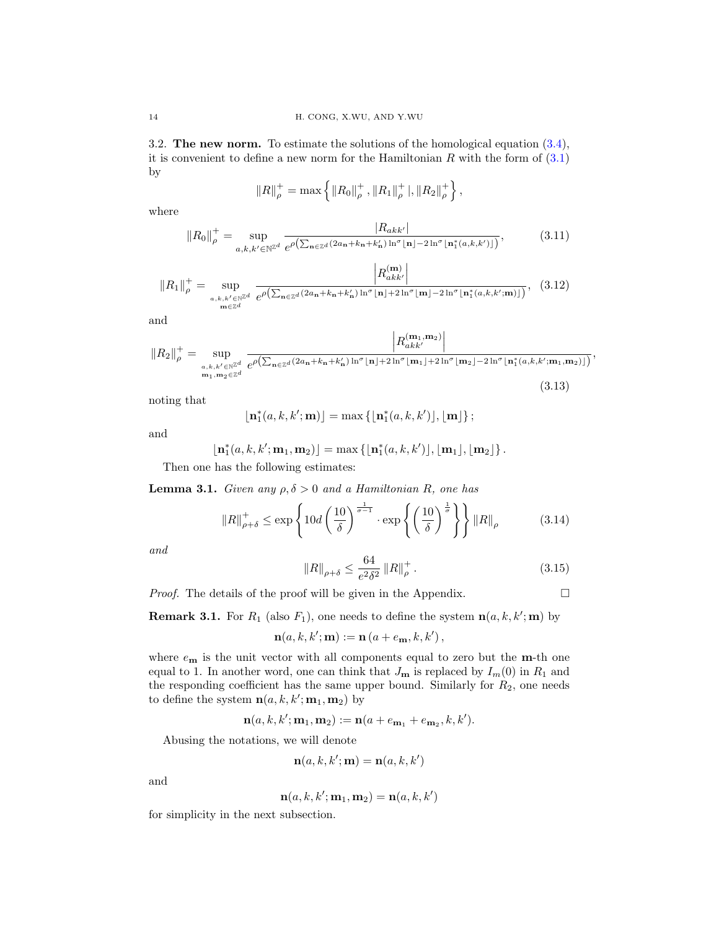3.2. The new norm. To estimate the solutions of the homological equation  $(3.4)$ , it is convenient to define a new norm for the Hamiltonian  $R$  with the form of  $(3.1)$ by

$$
||R||_{\rho}^{+} = \max \left\{ ||R_0||_{\rho}^{+}, ||R_1||_{\rho}^{+} |, ||R_2||_{\rho}^{+} \right\},\
$$

where

<span id="page-13-3"></span>
$$
||R_0||_{\rho}^+ = \sup_{a,k,k' \in \mathbb{N}^{\mathbb{Z}^d}} \frac{|R_{akk'}|}{e^{\rho\left(\sum_{\mathbf{n}\in\mathbb{Z}^d} (2a_{\mathbf{n}}+k_{\mathbf{n}}+k'_{\mathbf{n}})\ln^{\sigma}\lfloor \mathbf{n}\rfloor - 2\ln^{\sigma}\lfloor \mathbf{n}_1^*(a,k,k')\rfloor\right)}},
$$
(3.11)

$$
||R_1||_{\rho}^+ = \sup_{\substack{a,k,k' \in \mathbb{N}^{\mathbb{Z}^d} \\ \mathbf{m} \in \mathbb{Z}^d}} \frac{\left| R_{akk'}^{(\mathbf{m})} \right|}{e^{\rho \left( \sum_{\mathbf{n} \in \mathbb{Z}^d} (2a_{\mathbf{n}} + k_{\mathbf{n}} + k_{\mathbf{n}}') \ln^{\sigma} \lfloor \mathbf{n} \rfloor + 2 \ln^{\sigma} \lfloor \mathbf{m} \rfloor - 2 \ln^{\sigma} \lfloor \mathbf{n}_1^*(a,k,k';\mathbf{m}) \rfloor \right)}}, (3.12)
$$

and

$$
||R_2||_{\rho}^+ = \sup_{\substack{a,k,k' \in \mathbb{N}^{\mathbb{Z}^d} \\ \mathbf{m}_1, \mathbf{m}_2 \in \mathbb{Z}^d}} \frac{|R_{akk'}^{(\mathbf{m}_1, \mathbf{m}_2)}|}{e^{\rho \left(\sum_{\mathbf{n} \in \mathbb{Z}^d} (2a_{\mathbf{n}} + k_{\mathbf{n}} + k_{\mathbf{n}}') \ln^{\sigma}[\mathbf{n}_1] + 2\ln^{\sigma}[\mathbf{m}_1] + 2\ln^{\sigma}[\mathbf{m}_2] - 2\ln^{\sigma}[\mathbf{n}_1^*(a,k,k';\mathbf{m}_1,\mathbf{m}_2)]\right)}} (3.13)
$$

noting that

$$
\lfloor \mathbf{n}_1^*(a,k,k';\mathbf{m}) \rfloor = \max \{ \lfloor \mathbf{n}_1^*(a,k,k') \rfloor, \lfloor \mathbf{m} \rfloor \};
$$

and

$$
\lfloor \mathbf{n}_1^*(a,k,k';\mathbf{m}_1,\mathbf{m}_2) \rfloor = \max \left\{ \lfloor \mathbf{n}_1^*(a,k,k') \rfloor, \lfloor \mathbf{m}_1 \rfloor, \lfloor \mathbf{m}_2 \rfloor \right\}.
$$

Then one has the following estimates:

<span id="page-13-1"></span>**Lemma 3.1.** Given any  $\rho, \delta > 0$  and a Hamiltonian R, one has

<span id="page-13-2"></span>
$$
||R||_{\rho+\delta}^{+} \le \exp\left\{10d\left(\frac{10}{\delta}\right)^{\frac{1}{\sigma-1}} \cdot \exp\left\{\left(\frac{10}{\delta}\right)^{\frac{1}{\sigma}}\right\} ||R||_{\rho} \tag{3.14}
$$

and

<span id="page-13-0"></span>
$$
||R||_{\rho+\delta} \le \frac{64}{e^2 \delta^2} ||R||_{\rho}^+.
$$
 (3.15)

,

*Proof.* The details of the proof will be given in the Appendix.  $\Box$ 

**Remark 3.1.** For  $R_1$  (also  $F_1$ ), one needs to define the system  $\mathbf{n}(a, k, k'; \mathbf{m})$  by

$$
\mathbf{n}(a,k,k';\mathbf{m}) := \mathbf{n}(a+e_{\mathbf{m}},k,k'),
$$

where  $e_{\mathbf{m}}$  is the unit vector with all components equal to zero but the  $\mathbf{m}$ -th one equal to 1. In another word, one can think that  $J_{\mathbf{m}}$  is replaced by  $I_m(0)$  in  $R_1$  and the responding coefficient has the same upper bound. Similarly for  $R_2$ , one needs to define the system  $n(a, k, k'; m_1, m_2)$  by

$$
\mathbf{n}(a,k,k';\mathbf{m}_1,\mathbf{m}_2) := \mathbf{n}(a+e_{\mathbf{m}_1}+e_{\mathbf{m}_2},k,k').
$$

Abusing the notations, we will denote

$$
\mathbf{n}(a,k,k';\mathbf{m}) = \mathbf{n}(a,k,k')
$$

and

$$
\mathbf{n}(a,k,k';\mathbf{m}_1,\mathbf{m}_2) = \mathbf{n}(a,k,k')
$$

for simplicity in the next subsection.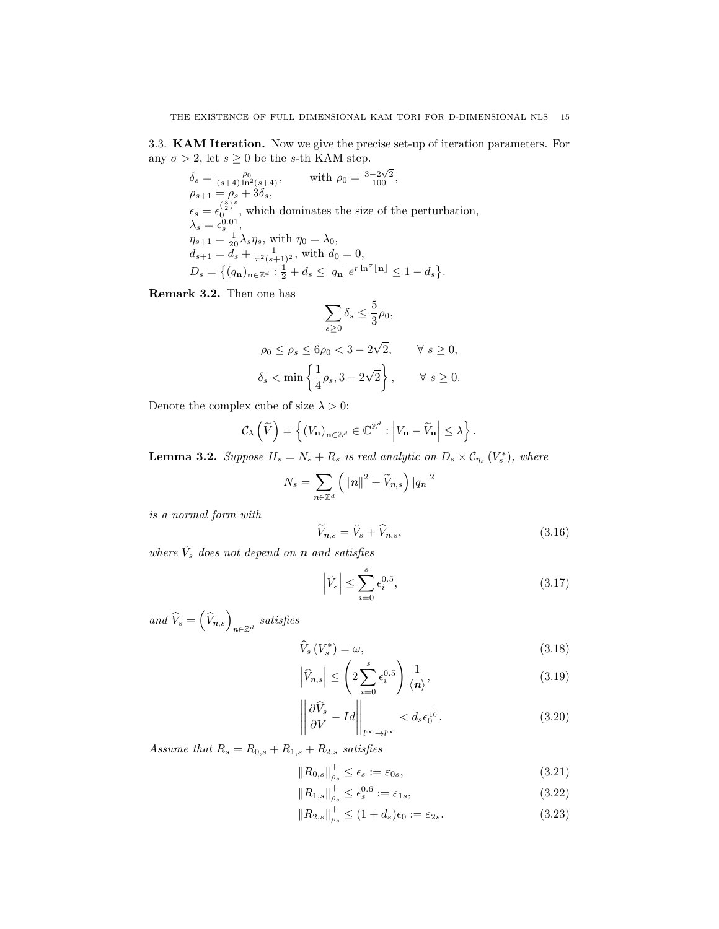<span id="page-14-0"></span>3.3. KAM Iteration. Now we give the precise set-up of iteration parameters. For any  $\sigma>2,$  let  $s\geq 0$  be the  $s\text{-th KAM step}.$ 

$$
\delta_s = \frac{\rho_0}{(s+4)\ln^2(s+4)}, \qquad \text{with } \rho_0 = \frac{3-2\sqrt{2}}{100},
$$
\n
$$
\rho_{s+1} = \rho_s + 3\delta_s,
$$
\n
$$
\epsilon_s = \epsilon_0^{\left(\frac{3}{2}\right)^s}, \text{ which dominates the size of the perturbation,}
$$
\n
$$
\lambda_s = \epsilon_s^{0.01},
$$
\n
$$
\eta_{s+1} = \frac{1}{20}\lambda_s \eta_s, \text{ with } \eta_0 = \lambda_0,
$$
\n
$$
d_{s+1} = d_s + \frac{1}{\pi^2(s+1)^2}, \text{ with } d_0 = 0,
$$
\n
$$
D_s = \left\{ (q_n)_{\mathbf{n} \in \mathbb{Z}^d} : \frac{1}{2} + d_s \le |q_\mathbf{n}| e^{r \ln^{\sigma} \lfloor \mathbf{n} \rfloor} \le 1 - d_s \right\}.
$$

Remark 3.2. Then one has

$$
\sum_{s\geq 0} \delta_s \leq \frac{5}{3}\rho_0,
$$
  
\n
$$
\rho_0 \leq \rho_s \leq 6\rho_0 < 3 - 2\sqrt{2}, \qquad \forall s \geq 0,
$$
  
\n
$$
\delta_s < \min\left\{\frac{1}{4}\rho_s, 3 - 2\sqrt{2}\right\}, \qquad \forall s \geq 0.
$$

Denote the complex cube of size  $\lambda > 0$ :

$$
\mathcal{C}_{\lambda}\left(\widetilde{V}\right) = \left\{ \left(V_{\mathbf{n}}\right)_{\mathbf{n}\in\mathbb{Z}^d} \in \mathbb{C}^{\mathbb{Z}^d} : \left|V_{\mathbf{n}} - \widetilde{V}_{\mathbf{n}}\right| \leq \lambda \right\}.
$$

**Lemma 3.2.** Suppose  $H_s = N_s + R_s$  is real analytic on  $D_s \times C_{\eta_s}(V_s^*)$ , where

$$
N_s = \sum_{n \in \mathbb{Z}^d} \left( ||n||^2 + \widetilde{V}_{n,s} \right) |q_n|^2
$$

is a normal form with

<span id="page-14-1"></span>
$$
\widetilde{V}_{n,s} = \breve{V}_s + \widehat{V}_{n,s},\tag{3.16}
$$

where  $\check{V}_s$  does not depend on **n** and satisfies

<span id="page-14-4"></span>
$$
\left|\breve{V}_s\right| \le \sum_{i=0}^s \epsilon_i^{0.5},\tag{3.17}
$$

and  $\widehat{V}_s = \left(\widehat{V}_{n,s}\right)_{n \in \mathbb{Z}^d}$  satisfies

<span id="page-14-2"></span>
$$
\widehat{V}_s\left(V_s^*\right) = \omega,\tag{3.18}
$$

$$
\left|\widehat{V}_{n,s}\right| \leq \left(2\sum_{i=0}^{s} \epsilon_i^{0.5}\right) \frac{1}{\langle n \rangle},\tag{3.19}
$$

$$
\left\| \frac{\partial \widehat{V}_s}{\partial V} - Id \right\|_{l^{\infty} \to l^{\infty}} < d_s \epsilon_0^{\frac{1}{10}}. \tag{3.20}
$$

Assume that  $R_s = R_{0,s} + R_{1,s} + R_{2,s}$  satisfies

<span id="page-14-3"></span>
$$
||R_{0,s}||_{\rho_s}^+ \le \epsilon_s := \varepsilon_{0s},\tag{3.21}
$$

$$
||R_{1,s}||_{\rho_s}^+ \le \epsilon_s^{0.6} := \varepsilon_{1s},\tag{3.22}
$$

$$
||R_{2,s}||_{\rho_s}^+ \le (1+d_s)\epsilon_0 := \varepsilon_{2s}.
$$
\n(3.23)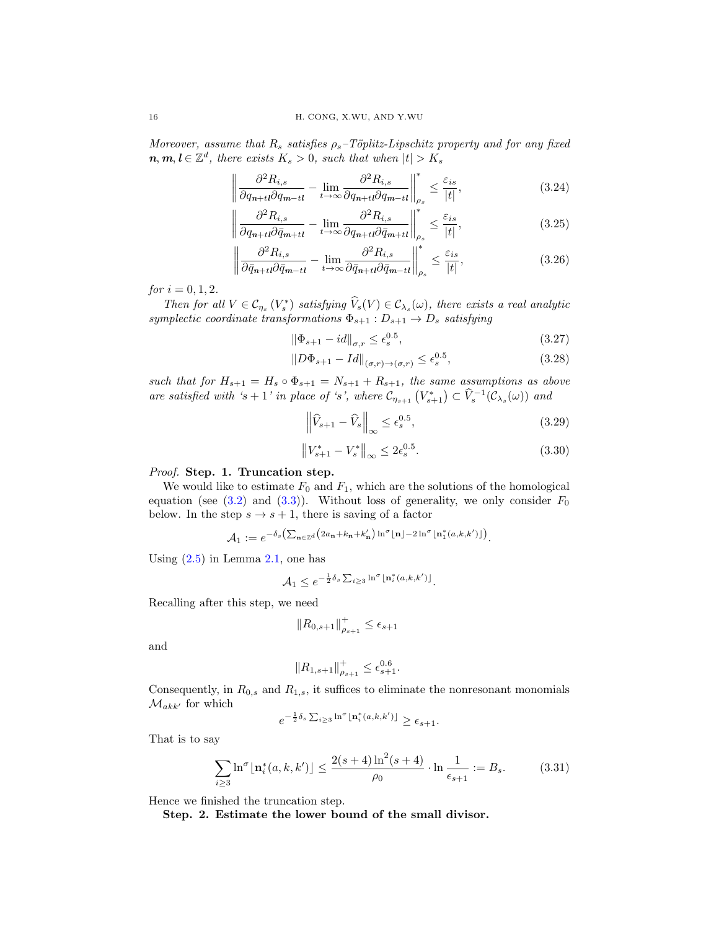Moreover, assume that  $R_s$  satisfies  $\rho_s$ -Töplitz-Lipschitz property and for any fixed  $n, m, l \in \mathbb{Z}^d$ , there exists  $K_s > 0$ , such that when  $|t| > K_s$ 

<span id="page-15-2"></span>
$$
\left\| \frac{\partial^2 R_{i,s}}{\partial q_{n+t} \partial q_{m-tl}} - \lim_{t \to \infty} \frac{\partial^2 R_{i,s}}{\partial q_{n+t} \partial q_{m-tl}} \right\|_{\rho_s}^* \le \frac{\varepsilon_{is}}{|t|},\tag{3.24}
$$

$$
\left\| \frac{\partial^2 R_{i,s}}{\partial q_{n+t} \partial \bar{q}_{m+t}} - \lim_{t \to \infty} \frac{\partial^2 R_{i,s}}{\partial q_{n+t} \partial \bar{q}_{m+t}} \right\|_{\rho_s}^* \le \frac{\varepsilon_{is}}{|t|},\tag{3.25}
$$

$$
\left\| \frac{\partial^2 R_{i,s}}{\partial \bar{q}_{n+t} \partial \bar{q}_{m-t}} - \lim_{t \to \infty} \frac{\partial^2 R_{i,s}}{\partial \bar{q}_{n+t} \partial \bar{q}_{m-t}} \right\|_{\rho_s}^* \le \frac{\varepsilon_{is}}{|t|},\tag{3.26}
$$

for  $i = 0, 1, 2$ .

Then for all  $V \in \mathcal{C}_{\eta_s}(V_s^*)$  satisfying  $\widehat{V}_s(V) \in \mathcal{C}_{\lambda_s}(\omega)$ , there exists a real analytic symplectic coordinate transformations  $\Phi_{s+1}: D_{s+1} \to D_s$  satisfying

<span id="page-15-1"></span>
$$
\|\Phi_{s+1} - id\|_{\sigma,r} \le \epsilon_s^{0.5},\tag{3.27}
$$

$$
||D\Phi_{s+1} - Id||_{(\sigma,r)\to(\sigma,r)} \le \epsilon_s^{0.5},\tag{3.28}
$$

such that for  $H_{s+1} = H_s \circ \Phi_{s+1} = N_{s+1} + R_{s+1}$ , the same assumptions as above are satisfied with 's + 1' in place of 's', where  $\mathcal{C}_{\eta_{s+1}}(V_{s+1}^*) \subset \widehat{V}_s^{-1}(\mathcal{C}_{\lambda_s}(\omega))$  and

<span id="page-15-3"></span>
$$
\left\| \widehat{V}_{s+1} - \widehat{V}_s \right\|_{\infty} \le \epsilon_s^{0.5},\tag{3.29}
$$

<span id="page-15-4"></span>
$$
\left\|V_{s+1}^* - V_s^*\right\|_{\infty} \le 2\epsilon_s^{0.5}.\tag{3.30}
$$

#### Proof. Step. 1. Truncation step.

We would like to estimate  $F_0$  and  $F_1$ , which are the solutions of the homological equation (see  $(3.2)$  and  $(3.3)$ ). Without loss of generality, we only consider  $F_0$ below. In the step  $s \to s + 1$ , there is saving of a factor

$$
\mathcal{A}_1 := e^{-\delta_s \left( \sum_{\mathbf{n} \in \mathbb{Z}^d} \left( 2a_{\mathbf{n}} + k_{\mathbf{n}} + k_{\mathbf{n}}' \right) \ln^{\sigma} \lfloor \mathbf{n} \rfloor - 2 \ln^{\sigma} \lfloor \mathbf{n}_1^*(a, k, k') \rfloor \right)}.
$$

Using  $(2.5)$  in Lemma [2.1,](#page-5-4) one has

$$
\mathcal{A}_1 \le e^{-\frac{1}{2}\delta_s \sum_{i\ge 3} \ln^{\sigma} \lfloor \mathbf{n}_i^*(a,k,k') \rfloor}.
$$

Recalling after this step, we need

$$
\|R_{0,s+1}\|_{\rho_{s+1}}^+\leq \epsilon_{s+1}
$$

and

$$
\|R_{1,s+1}\|_{\rho_{s+1}}^+\leq \epsilon_{s+1}^{0.6}.
$$

Consequently, in  $R_{0,s}$  and  $R_{1,s}$ , it suffices to eliminate the nonresonant monomials  $\mathcal{M}_{akk'}$  for which

$$
e^{-\frac{1}{2}\delta_s\sum_{i\geq 3}\ln^\sigma\lfloor \mathbf{n}_i^*(a,k,k')\rfloor}\geq \epsilon_{s+1}.
$$

That is to say

<span id="page-15-0"></span>
$$
\sum_{i\geq 3} \ln^{\sigma} \lfloor \mathbf{n}_i^*(a, k, k') \rfloor \leq \frac{2(s+4)\ln^2(s+4)}{\rho_0} \cdot \ln \frac{1}{\epsilon_{s+1}} := B_s.
$$
 (3.31)

Hence we finished the truncation step.

Step. 2. Estimate the lower bound of the small divisor.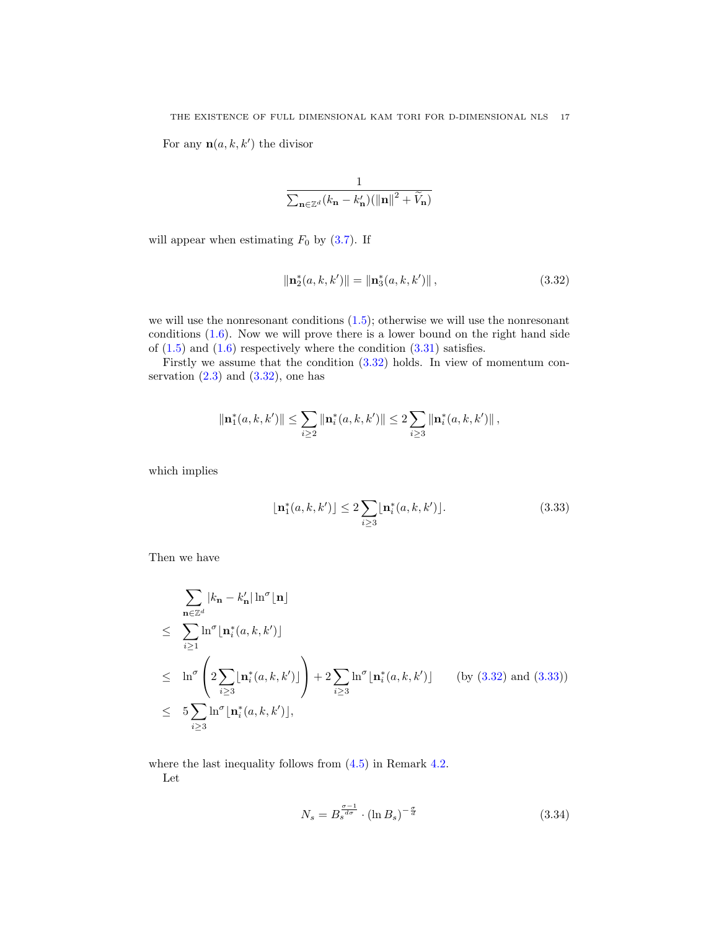For any  $\mathbf{n}(a, k, k')$  the divisor

$$
\frac{1}{\sum_{\mathbf{n}\in\mathbb{Z}^d}(k_\mathbf{n}-k'_\mathbf{n}) (\left\|\mathbf{n}\right\|^2+\widetilde{V}_\mathbf{n})}
$$

will appear when estimating  $F_0$  by  $(3.7)$ . If

<span id="page-16-0"></span>
$$
\|\mathbf{n}_2^*(a,k,k')\| = \|\mathbf{n}_3^*(a,k,k')\|,\tag{3.32}
$$

we will use the nonresonant conditions  $(1.5)$ ; otherwise we will use the nonresonant conditions [\(1.6\)](#page-1-2). Now we will prove there is a lower bound on the right hand side of  $(1.5)$  and  $(1.6)$  respectively where the condition  $(3.31)$  satisfies.

Firstly we assume that the condition [\(3.32\)](#page-16-0) holds. In view of momentum conservation  $(2.3)$  and  $(3.32)$ , one has

$$
\|\mathbf{n}_1^*(a,k,k')\| \leq \sum_{i\geq 2} \|\mathbf{n}_i^*(a,k,k')\| \leq 2 \sum_{i\geq 3} \|\mathbf{n}_i^*(a,k,k')\|,
$$

which implies

<span id="page-16-1"></span>
$$
\lfloor \mathbf{n}_1^*(a, k, k') \rfloor \le 2 \sum_{i \ge 3} \lfloor \mathbf{n}_i^*(a, k, k') \rfloor. \tag{3.33}
$$

Then we have

$$
\sum_{\mathbf{n}\in\mathbb{Z}^d} |k_{\mathbf{n}} - k'_{\mathbf{n}}| \ln^{\sigma}[\mathbf{n}]
$$
\n
$$
\leq \sum_{i\geq 1} \ln^{\sigma}[\mathbf{n}_i^*(a,k,k')]
$$
\n
$$
\leq \ln^{\sigma} \left( 2 \sum_{i\geq 3} [\mathbf{n}_i^*(a,k,k')] \right) + 2 \sum_{i\geq 3} \ln^{\sigma}[\mathbf{n}_i^*(a,k,k')] \qquad \text{(by (3.32) and (3.33))}
$$
\n
$$
\leq 5 \sum_{i\geq 3} \ln^{\sigma}[\mathbf{n}_i^*(a,k,k')],
$$

where the last inequality follows from  $(4.5)$  in Remark [4.2.](#page-34-1)

Let

<span id="page-16-2"></span>
$$
N_s = B_s^{\frac{\sigma - 1}{d\sigma}} \cdot (\ln B_s)^{-\frac{\sigma}{d}} \tag{3.34}
$$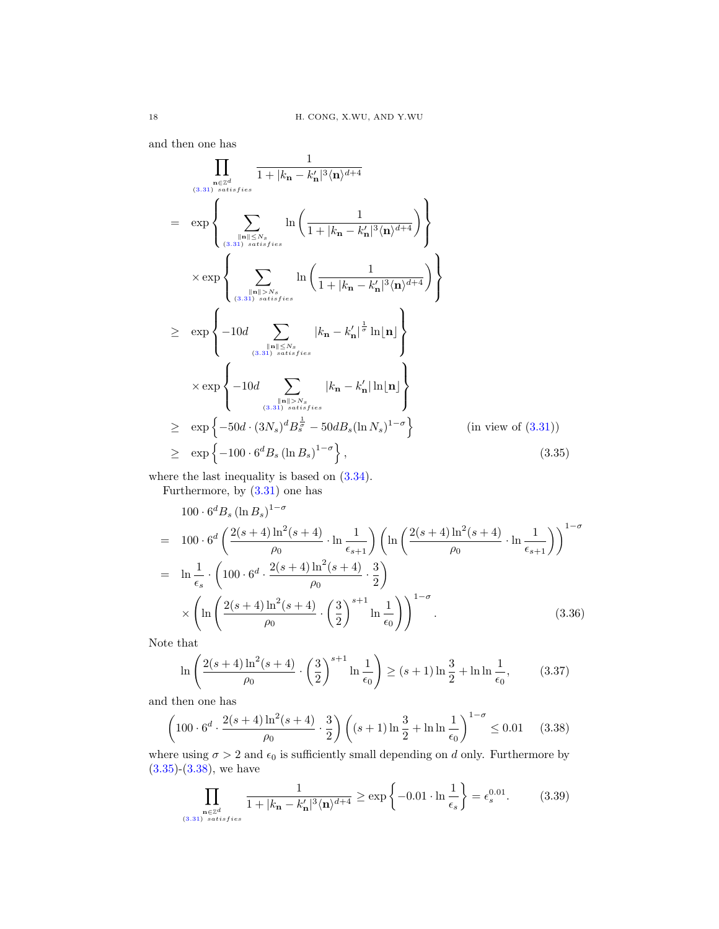and then one has

<span id="page-17-0"></span>
$$
\prod_{\substack{\mathbf{n}\in\mathbb{Z}^d\\(3.31) \text{ satisfies}}}\frac{1}{1+|k_{\mathbf{n}}-k'_{\mathbf{n}}|^3\langle\mathbf{n}\rangle^{d+4}}
$$
\n
$$
= \exp\left\{\sum_{\substack{\|\mathbf{n}\|\leq N_s\\(3.31) \text{ satisfies}\\\{(3.31) \text{ satisfies}}}}\ln\left(\frac{1}{1+|k_{\mathbf{n}}-k'_{\mathbf{n}}|^3\langle\mathbf{n}\rangle^{d+4}}\right)\right\}
$$
\n
$$
\times \exp\left\{\sum_{\substack{\|\mathbf{n}\|> N_s\\(3.31) \text{ satisfies}\\\{(3.31) \text{ satisfies}}}}\ln\left(\frac{1}{1+|k_{\mathbf{n}}-k'_{\mathbf{n}}|^3\langle\mathbf{n}\rangle^{d+4}}\right)\right\}
$$
\n
$$
\geq \exp\left\{-10d\sum_{\substack{\|\mathbf{n}\|\leq N_s\\(3.31) \text{ satisfies}\\\{(3.31) \text{ satisfies}}} |k_{\mathbf{n}}-k'_{\mathbf{n}}|^{\frac{1}{\sigma}}\ln|\mathbf{n}|\right\}
$$
\n
$$
\times \exp\left\{-10d\sum_{\substack{\|\mathbf{n}\|\leq N_s\\(3.31) \text{ satisfies}\\\{(3.31) \text{ satisfies}}} |k_{\mathbf{n}}-k'_{\mathbf{n}}|\ln|\mathbf{n}|\right\}
$$
\n
$$
\geq \exp\left\{-50d\cdot(3N_s)^dB_s^{\frac{1}{\sigma}}-50dB_s(\ln N_s)^{1-\sigma}\right\} \qquad (\text{in view of (3.31))}
$$
\n
$$
\geq \exp\left\{-100\cdot6^dB_s(\ln B_s)^{1-\sigma}\right\}, \qquad (3.35)
$$

where the last inequality is based on  $(3.34)$ .

Furthermore, by [\(3.31\)](#page-15-0) one has

$$
100 \cdot 6^d B_s (\ln B_s)^{1-\sigma}
$$
  
=  $100 \cdot 6^d \left( \frac{2(s+4) \ln^2(s+4)}{\rho_0} \cdot \ln \frac{1}{\epsilon_{s+1}} \right) \left( \ln \left( \frac{2(s+4) \ln^2(s+4)}{\rho_0} \cdot \ln \frac{1}{\epsilon_{s+1}} \right) \right)^{1-\sigma}$   
=  $\ln \frac{1}{\epsilon_s} \cdot \left( 100 \cdot 6^d \cdot \frac{2(s+4) \ln^2(s+4)}{\rho_0} \cdot \frac{3}{2} \right)$   
 $\times \left( \ln \left( \frac{2(s+4) \ln^2(s+4)}{\rho_0} \cdot \left( \frac{3}{2} \right)^{s+1} \ln \frac{1}{\epsilon_0} \right) \right)^{1-\sigma}$ . (3.36)

Note that

$$
\ln\left(\frac{2(s+4)\ln^2(s+4)}{\rho_0}\cdot\left(\frac{3}{2}\right)^{s+1}\ln\frac{1}{\epsilon_0}\right) \ge (s+1)\ln\frac{3}{2} + \ln\ln\frac{1}{\epsilon_0},\tag{3.37}
$$

and then one has

<span id="page-17-1"></span>
$$
\left(100 \cdot 6^d \cdot \frac{2(s+4)\ln^2(s+4)}{\rho_0} \cdot \frac{3}{2}\right) \left( (s+1)\ln\frac{3}{2} + \ln\ln\frac{1}{\epsilon_0} \right)^{1-\sigma} \le 0.01 \quad (3.38)
$$

where using  $\sigma > 2$  and  $\epsilon_0$  is sufficiently small depending on d only. Furthermore by  $(3.35)-(3.38)$  $(3.35)-(3.38)$  $(3.35)-(3.38)$ , we have

<span id="page-17-2"></span>
$$
\prod_{\substack{\mathbf{n}\in\mathbb{Z}^d\\(3.31) \ satisfies}}\frac{1}{1+|k_{\mathbf{n}}-k_{\mathbf{n}}'|^3\langle\mathbf{n}\rangle^{d+4}} \ge \exp\left\{-0.01\cdot\ln\frac{1}{\epsilon_s}\right\} = \epsilon_s^{0.01}.\tag{3.39}
$$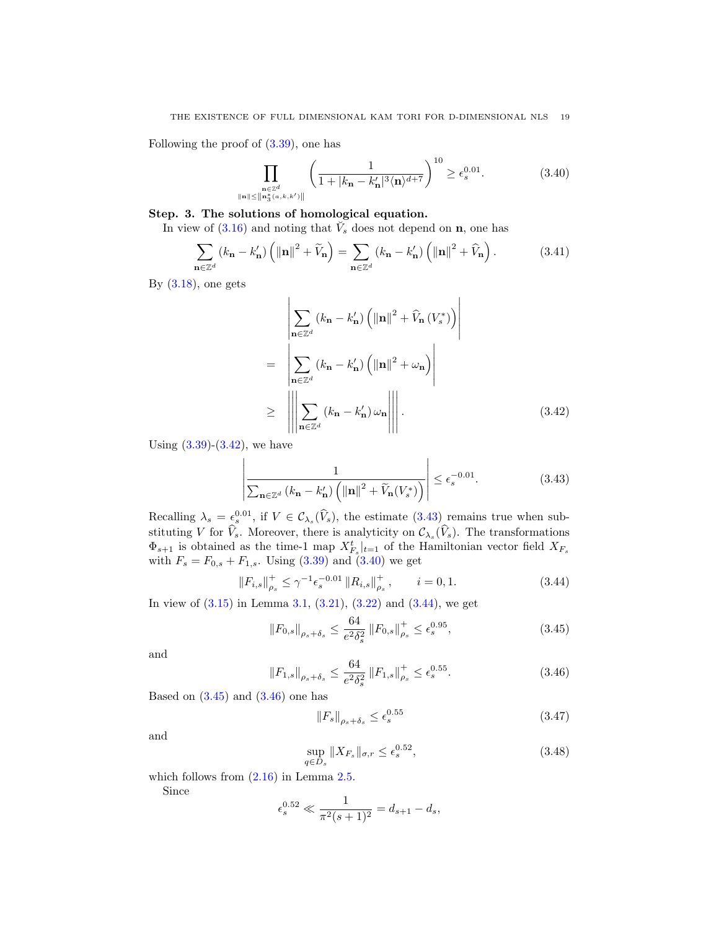Following the proof of [\(3.39\)](#page-17-2), one has

<span id="page-18-2"></span>
$$
\prod_{\substack{\mathbf{n}\in\mathbb{Z}^d\\ \|\mathbf{n}\|_{\infty}^*(a,k,k')\|}} \left(\frac{1}{1+|k_{\mathbf{n}}-k'_{\mathbf{n}}|^3 \langle \mathbf{n}\rangle^{d+7}}\right)^{10} \ge \epsilon_s^{0.01}.
$$
 (3.40)

# Step. 3. The solutions of homological equation.

In view of  $(3.16)$  and noting that  $\check{V}_s$  does not depend on **n**, one has

$$
\sum_{\mathbf{n}\in\mathbb{Z}^d} (k_{\mathbf{n}} - k_{\mathbf{n}}') \left( \|\mathbf{n}\|^2 + \widetilde{V}_{\mathbf{n}} \right) = \sum_{\mathbf{n}\in\mathbb{Z}^d} (k_{\mathbf{n}} - k_{\mathbf{n}}') \left( \|\mathbf{n}\|^2 + \widehat{V}_{\mathbf{n}} \right). \tag{3.41}
$$

By  $(3.18)$ , one gets

<span id="page-18-0"></span>
$$
\sum_{\mathbf{n}\in\mathbb{Z}^d} (k_{\mathbf{n}} - k'_{\mathbf{n}}) \left( \|\mathbf{n}\|^2 + \widehat{V}_{\mathbf{n}} \left( V_s^* \right) \right)
$$
\n
$$
= \left| \sum_{\mathbf{n}\in\mathbb{Z}^d} (k_{\mathbf{n}} - k'_{\mathbf{n}}) \left( \|\mathbf{n}\|^2 + \omega_{\mathbf{n}} \right) \right|
$$
\n
$$
\geq \left| \left| \left| \sum_{\mathbf{n}\in\mathbb{Z}^d} (k_{\mathbf{n}} - k'_{\mathbf{n}}) \omega_{\mathbf{n}} \right| \right| \right|.
$$
\n(3.42)

Using  $(3.39)-(3.42)$  $(3.39)-(3.42)$  $(3.39)-(3.42)$ , we have

<span id="page-18-1"></span>
$$
\left| \frac{1}{\sum_{\mathbf{n} \in \mathbb{Z}^d} (k_{\mathbf{n}} - k_{\mathbf{n}}') \left( \|\mathbf{n}\|^2 + \widetilde{V}_{\mathbf{n}}(V_s^*) \right)} \right| \le \epsilon_s^{-0.01}.
$$
 (3.43)

Recalling  $\lambda_s = \epsilon_s^{0.01}$ , if  $V \in \mathcal{C}_{\lambda_s}(\hat{V}_s)$ , the estimate [\(3.43\)](#page-18-1) remains true when substituting V for  $V_s$ . Moreover, there is analyticity on  $\mathcal{C}_{\lambda_s}(V_s)$ . The transformations  $\Phi_{s+1}$  is obtained as the time-1 map  $X_{F_s}^t|_{t=1}$  of the Hamiltonian vector field  $X_{F_s}$ with  $F_s = F_{0,s} + F_{1,s}$ . Using [\(3.39\)](#page-17-2) and [\(3.40\)](#page-18-2) we get

<span id="page-18-3"></span>
$$
\|F_{i,s}\|_{\rho_s}^+ \le \gamma^{-1} \epsilon_s^{-0.01} \|R_{i,s}\|_{\rho_s}^+, \qquad i = 0, 1.
$$
 (3.44)

In view of  $(3.15)$  in Lemma [3.1,](#page-13-1)  $(3.21)$ ,  $(3.22)$  and  $(3.44)$ , we get

<span id="page-18-4"></span>
$$
||F_{0,s}||_{\rho_s+\delta_s} \le \frac{64}{e^2 \delta_s^2} ||F_{0,s}||_{\rho_s}^+ \le \epsilon_s^{0.95},\tag{3.45}
$$

and

<span id="page-18-5"></span>
$$
||F_{1,s}||_{\rho_s+\delta_s} \le \frac{64}{e^2 \delta_s^2} ||F_{1,s}||_{\rho_s}^+ \le \epsilon_s^{0.55}.
$$
 (3.46)

Based on  $(3.45)$  and  $(3.46)$  one has

<span id="page-18-6"></span>
$$
||F_s||_{\rho_s + \delta_s} \le \epsilon_s^{0.55}
$$
\n(3.47)

and

$$
\sup_{q \in D_s} \|X_{F_s}\|_{\sigma, r} \le \epsilon_s^{0.52},\tag{3.48}
$$

which follows from  $(2.16)$  in Lemma [2.5.](#page-7-5)

Since

$$
\epsilon_s^{0.52} \ll \frac{1}{\pi^2 (s+1)^2} = d_{s+1} - d_s,
$$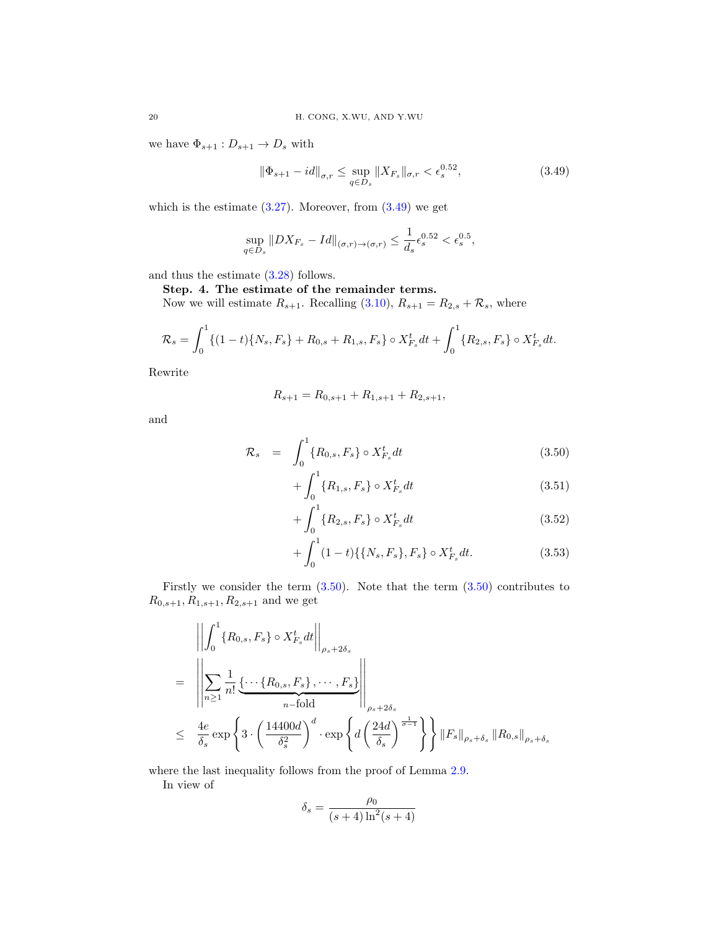we have  $\Phi_{s+1}: D_{s+1} \to D_s$  with

<span id="page-19-0"></span>
$$
\|\Phi_{s+1} - id\|_{\sigma,r} \le \sup_{q \in D_s} \|X_{F_s}\|_{\sigma,r} < \epsilon_s^{0.52},\tag{3.49}
$$

which is the estimate  $(3.27)$ . Moreover, from  $(3.49)$  we get

$$
\sup_{q \in D_s} \|DX_{F_s} - Id\|_{(\sigma,r) \to (\sigma,r)} \le \frac{1}{d_s} \epsilon_s^{0.52} < \epsilon_s^{0.5},
$$

and thus the estimate [\(3.28\)](#page-15-1) follows.

Step. 4. The estimate of the remainder terms.

Now we will estimate  $R_{s+1}$ . Recalling [\(3.10\)](#page-12-3),  $R_{s+1} = R_{2,s} + \mathcal{R}_s$ , where

$$
\mathcal{R}_s = \int_0^1 \{ (1-t)\{N_s, F_s\} + R_{0,s} + R_{1,s}, F_s\} \circ X_{F_s}^t dt + \int_0^1 \{R_{2,s}, F_s\} \circ X_{F_s}^t dt.
$$

Rewrite

$$
R_{s+1} = R_{0,s+1} + R_{1,s+1} + R_{2,s+1},
$$

and

<span id="page-19-1"></span>
$$
\mathcal{R}_s = \int_0^1 \{R_{0,s}, F_s\} \circ X_{F_s}^t dt \tag{3.50}
$$

$$
+\int_{0}^{1} \{R_{1,s}, F_s\} \circ X_{F_s}^t dt \tag{3.51}
$$

$$
+\int_0^1 \{R_{2,s}, F_s\} \circ X_{F_s}^t dt \tag{3.52}
$$

$$
+\int_0^1 (1-t)\{\{N_s, F_s\}, F_s\} \circ X_{F_s}^t dt.
$$
\n(3.53)

Firstly we consider the term  $(3.50)$  $(3.50)$ . Note that the term  $(3.50)$  contributes to  $R_{0,s+1}, R_{1,s+1}, R_{2,s+1}$  and we get

<span id="page-19-2"></span>
$$
\begin{aligned}\n&\left\|\int_{0}^{1} \{R_{0,s}, F_{s}\} \circ X_{F_{s}}^{t} dt \right\|_{\rho_{s}+2\delta_{s}} \\
&= \left\|\sum_{n\geq 1} \frac{1}{n!} \underbrace{\{\cdots \{R_{0,s}, F_{s}\}, \cdots, F_{s}\}}_{n-\text{fold}} \right\|_{\rho_{s}+2\delta_{s}} \\
&\leq \left\|\frac{4e}{\delta_{s}} \exp\left\{3 \cdot \left(\frac{14400d}{\delta_{s}^{2}}\right)^{d} \cdot \exp\left\{d\left(\frac{24d}{\delta_{s}}\right)^{\frac{1}{\sigma-1}}\right\}\right\} \|F_{s}\|_{\rho_{s}+\delta_{s}} \|R_{0,s}\|_{\rho_{s}+\delta_{s}}\n\end{aligned}
$$

where the last inequality follows from the proof of Lemma [2.9.](#page-10-4)

In view of

$$
\delta_s = \frac{\rho_0}{(s+4)\ln^2(s+4)}
$$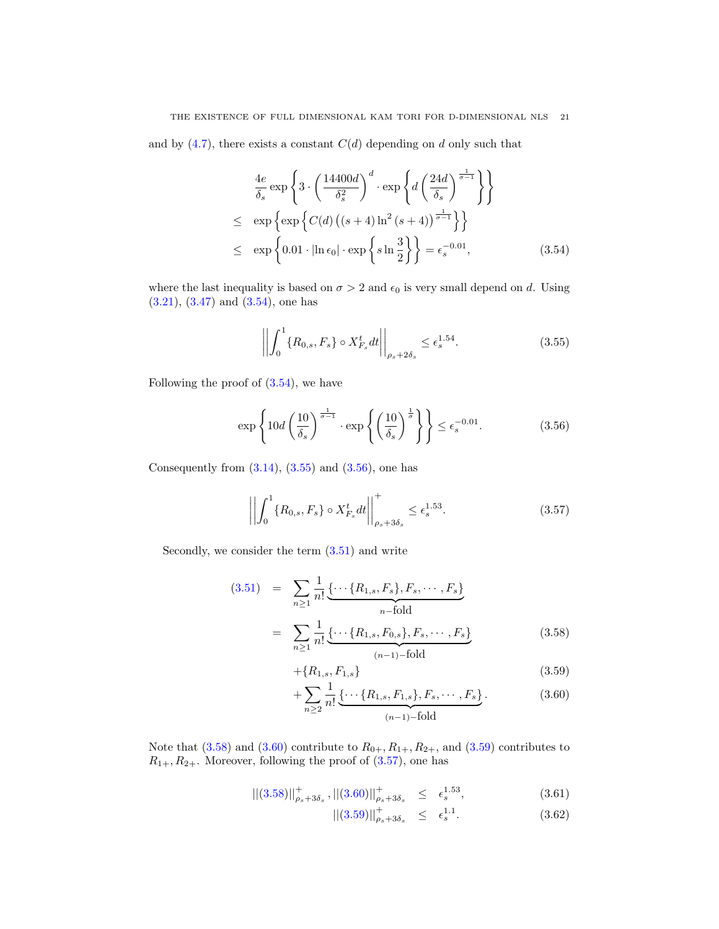and by  $(4.7)$ , there exists a constant  $C(d)$  depending on d only such that

$$
\frac{4e}{\delta_s} \exp\left\{3 \cdot \left(\frac{14400d}{\delta_s^2}\right)^d \cdot \exp\left\{d\left(\frac{24d}{\delta_s}\right)^{\frac{1}{\sigma-1}}\right\}\right\}
$$
\n
$$
\leq \exp\left\{\exp\left\{C(d)\left((s+4)\ln^2(s+4)\right)^{\frac{1}{\sigma-1}}\right\}\right\}
$$
\n
$$
\leq \exp\left\{0.01 \cdot \left|\ln \epsilon_0\right| \cdot \exp\left\{s \ln \frac{3}{2}\right\}\right\} = \epsilon_s^{-0.01},\tag{3.54}
$$

where the last inequality is based on  $\sigma > 2$  and  $\epsilon_0$  is very small depend on d. Using [\(3.21\)](#page-14-3), [\(3.47\)](#page-18-6) and [\(3.54\)](#page-19-2), one has

<span id="page-20-0"></span>
$$
\left| \left| \int_{0}^{1} \{ R_{0,s}, F_s \} \circ X_{F_s}^t dt \right| \right|_{\rho_s + 2\delta_s} \leq \epsilon_s^{1.54}.
$$
 (3.55)

Following the proof of  $(3.54)$ , we have

<span id="page-20-1"></span>
$$
\exp\left\{10d\left(\frac{10}{\delta_s}\right)^{\frac{1}{\sigma-1}} \cdot \exp\left\{\left(\frac{10}{\delta_s}\right)^{\frac{1}{\sigma}}\right\}\right\} \le \epsilon_s^{-0.01}.\tag{3.56}
$$

Consequently from  $(3.14)$ ,  $(3.55)$  and  $(3.56)$ , one has

<span id="page-20-3"></span>
$$
\left| \left| \int_{0}^{1} \{ R_{0,s}, F_s \} \circ X_{F_s}^t dt \right| \right|_{\rho_s + 3\delta_s}^{+} \leq \epsilon_s^{1.53}.
$$
 (3.57)

Secondly, we consider the term  $(3.51)$  and write

<span id="page-20-2"></span>
$$
(3.51) = \sum_{n\geq 1} \frac{1}{n!} \underbrace{\{\cdots \{R_{1,s}, F_s\}, F_s, \cdots, F_s\}}_{n-\text{fold}}
$$

$$
= \sum_{n\geq 1} \frac{1}{n!} \underbrace{\{\cdots \{R_{1,s}, F_{0,s}\}, F_s, \cdots, F_s\}}_{(n-1)-\text{fold}}
$$
(3.58)

$$
+\{R_{1,s}, F_{1,s}\}\tag{3.59}
$$

$$
+\sum_{n\geq 2} \frac{1}{n!} \underbrace{\{\cdots \{R_{1,s}, F_{1,s}\}, F_s, \cdots, F_s\}}_{(n-1)-\text{fold}}.\tag{3.60}
$$

Note that [\(3.58\)](#page-20-2) and [\(3.60\)](#page-20-2) contribute to  $R_{0+}$ ,  $R_{1+}$ ,  $R_{2+}$ , and [\(3.59\)](#page-20-2) contributes to  $R_{1+}, R_{2+}$ . Moreover, following the proof of  $(3.57)$ , one has

$$
\left\| (3.58) \right\|_{\rho_s + 3\delta_s}^+ , \left\| (3.60) \right\|_{\rho_s + 3\delta_s}^+ \leq \epsilon_s^{1.53}, \tag{3.61}
$$

$$
||(3.59)||_{\rho_s+3\delta_s}^+ \leq \epsilon_s^{1.1}.
$$
\n(3.62)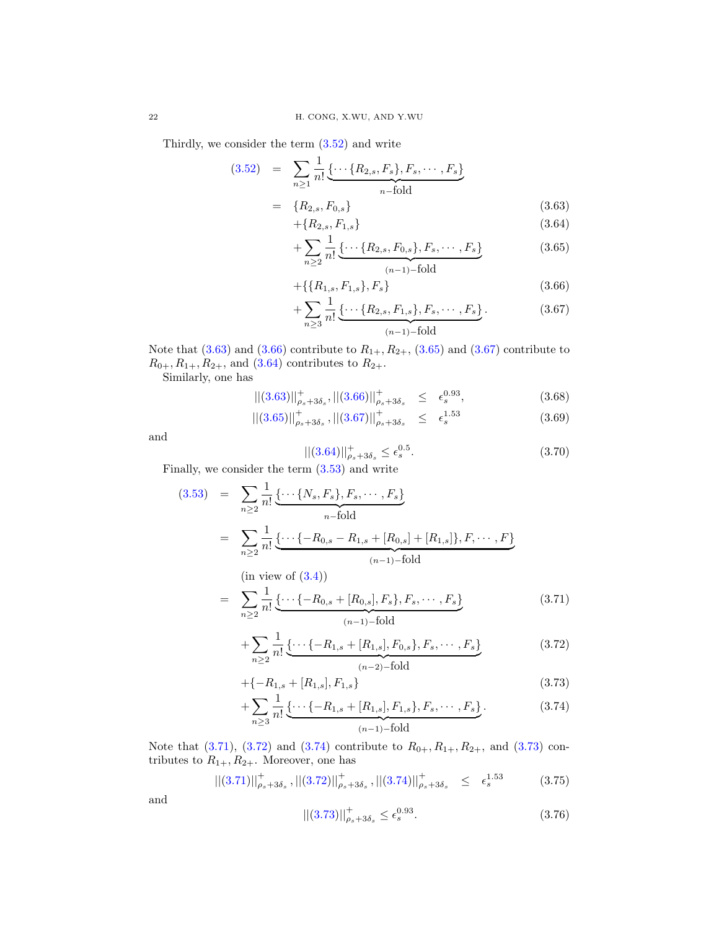Thirdly, we consider the term [\(3.52\)](#page-19-1) and write

<span id="page-21-0"></span>
$$
(3.52) = \sum_{n\geq 1} \frac{1}{n!} \underbrace{\{\cdots \{R_{2,s}, F_s\}, F_s, \cdots, F_s\}}_{n-\text{fold}}
$$

$$
= \{R_{2,s}, F_{0,s}\}
$$
(3.63)

$$
+\{R_{2,s}, F_{1,s}\}\tag{3.64}
$$

$$
+\sum_{n\geq 2} \frac{1}{n!} \underbrace{\{\cdots \{R_{2,s}, F_{0,s}\}, F_s, \cdots, F_s\}}_{(n-1)-\text{fold}}
$$
 (3.65)

$$
+\{\{R_{1,s}, F_{1,s}\}, F_s\}\tag{3.66}
$$

$$
+\sum_{n\geq 3} \frac{1}{n!} \underbrace{\{\cdots \{R_{2,s}, F_{1,s}\}, F_s, \cdots, F_s\}}_{(n-1)-\text{fold}}.\tag{3.67}
$$

Note that  $(3.63)$  and  $(3.66)$  contribute to  $R_{1+}$ ,  $R_{2+}$ ,  $(3.65)$  and  $(3.67)$  contribute to  $R_{0+}, R_{1+}, R_{2+}, \text{ and } (3.64)$  $R_{0+}, R_{1+}, R_{2+}, \text{ and } (3.64)$  contributes to  $R_{2+}.$ 

Similarly, one has

$$
\| (3.63) \|_{\rho_s + 3\delta_s}^+, \| (3.66) \|_{\rho_s + 3\delta_s}^+ \le \epsilon_s^{0.93}, \tag{3.68}
$$

$$
\left\| (3.65) \right\|_{\rho_s + 3\delta_s}^+ , \left\| (3.67) \right\|_{\rho_s + 3\delta_s}^+ \leq \epsilon_s^{1.53} \tag{3.69}
$$

and

$$
||(3.64)||_{\rho_s+3\delta_s}^+ \le \epsilon_s^{0.5}.
$$
\n(3.70)

Finally, we consider the term [\(3.53\)](#page-19-1) and write

<span id="page-21-1"></span>
$$
(3.53) = \sum_{n\geq 2} \frac{1}{n!} \underbrace{\{\cdots \{N_s, F_s\}, F_s, \cdots, F_s\}}_{n-\text{fold}}
$$

$$
= \sum_{n\geq 2} \frac{1}{n!} \underbrace{\{\cdots \{-R_{0,s} - R_{1,s} + [R_{0,s}] + [R_{1,s}]\}, F, \cdots, F\}}_{(n-1)-\text{fold}}
$$
(in view of (3.4))

$$
= \sum_{n\geq 2} \frac{1}{n!} \underbrace{\{\cdots \{-R_{0,s} + [R_{0,s}], F_s\}, F_s, \cdots, F_s\}}_{(n-1)-\text{fold}}
$$
\n(3.71)

$$
+\sum_{n\geq 2} \frac{1}{n!} \underbrace{\{\cdots \{-R_{1,s} + [R_{1,s}], F_{0,s}\}, F_s, \cdots, F_s\}}_{(n-2)-\text{fold}}
$$
\n(3.72)

$$
+\{-R_{1,s} + [R_{1,s}], F_{1,s}\}\tag{3.73}
$$

$$
+\sum_{n\geq 3} \frac{1}{n!} \underbrace{\{\cdots \{-R_{1,s}+[R_{1,s}],F_{1,s}\},F_s,\cdots,F_s\}}_{(n-1)-\text{fold}}.\tag{3.74}
$$

Note that [\(3.71\)](#page-21-1), [\(3.72\)](#page-21-1) and [\(3.74\)](#page-21-1) contribute to  $R_{0+}$ ,  $R_{1+}$ ,  $R_{2+}$ , and [\(3.73\)](#page-21-1) contributes to  $R_{1+}$ ,  $R_{2+}$ . Moreover, one has

$$
\left\| (3.71) \right\|_{\rho_s + 3\delta_s}^+, \left\| (3.72) \right\|_{\rho_s + 3\delta_s}^+, \left\| (3.74) \right\|_{\rho_s + 3\delta_s}^+ \le \epsilon_s^{1.53} \tag{3.75}
$$

and

$$
||(3.73)||_{\rho_s+3\delta_s}^+ \le \epsilon_s^{0.93}.\tag{3.76}
$$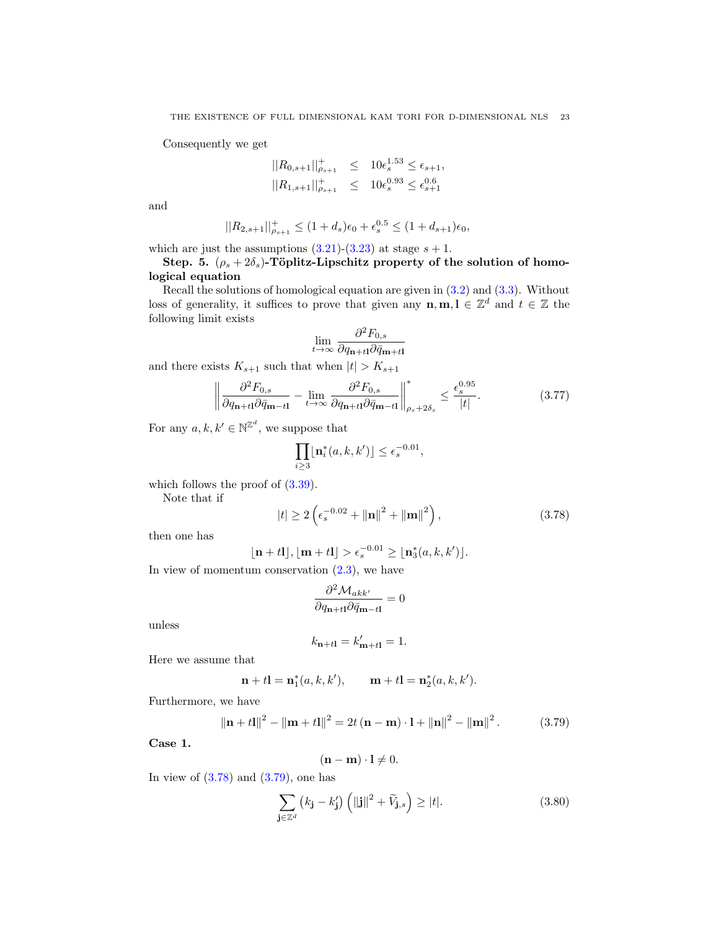Consequently we get

$$
||R_{0,s+1}||_{\rho_{s+1}}^+ \le 10\epsilon_s^{1.53} \le \epsilon_{s+1},
$$
  

$$
||R_{1,s+1}||_{\rho_{s+1}}^+ \le 10\epsilon_s^{0.93} \le \epsilon_{s+1}^{0.6}
$$

and

$$
||R_{2,s+1}||_{\rho_{s+1}}^{+} \le (1+d_s)\epsilon_0 + \epsilon_s^{0.5} \le (1+d_{s+1})\epsilon_0,
$$

which are just the assumptions  $(3.21)-(3.23)$  $(3.21)-(3.23)$  $(3.21)-(3.23)$  at stage  $s + 1$ .

### Step. 5.  $(\rho_s + 2\delta_s)$ -Töplitz-Lipschitz property of the solution of homological equation

Recall the solutions of homological equation are given in [\(3.2\)](#page-12-1) and [\(3.3\)](#page-12-1). Without loss of generality, it suffices to prove that given any  $\mathbf{n}, \mathbf{m}, \mathbf{l} \in \mathbb{Z}^d$  and  $t \in \mathbb{Z}$  the following limit exists

$$
\lim_{t \to \infty} \frac{\partial^2 F_{0,s}}{\partial q_{\mathbf{n}+t\mathbf{l}} \partial \bar{q}_{\mathbf{m}+t\mathbf{l}}}
$$

and there exists  $K_{s+1}$  such that when  $|t| > K_{s+1}$ 

<span id="page-22-3"></span>
$$
\left\| \frac{\partial^2 F_{0,s}}{\partial q_{\mathbf{n}+t\mathbf{l}} \partial \bar{q}_{\mathbf{m}-t\mathbf{l}}} - \lim_{t \to \infty} \frac{\partial^2 F_{0,s}}{\partial q_{\mathbf{n}+t\mathbf{l}} \partial \bar{q}_{\mathbf{m}-t\mathbf{l}}} \right\|_{\rho_s + 2\delta_s}^* \le \frac{\epsilon_s^{0.95}}{|t|}.
$$
 (3.77)

For any  $a, k, k' \in \mathbb{N}^{\mathbb{Z}^d}$ , we suppose that

$$
\prod_{i\geq 3} \lfloor \mathbf{n}^*_i(a,k,k') \rfloor \leq \epsilon_s^{-0.01},
$$

which follows the proof of  $(3.39)$ .

Note that if

<span id="page-22-0"></span>
$$
|t| \ge 2\left(\epsilon_s^{-0.02} + \|\mathbf{n}\|^2 + \|\mathbf{m}\|^2\right),\tag{3.78}
$$

then one has

$$
\lfloor \mathbf{n} + t \mathbf{l} \rfloor, \lfloor \mathbf{m} + t \mathbf{l} \rfloor > \epsilon_s^{-0.01} \ge \lfloor \mathbf{n}_3^*(a, k, k') \rfloor.
$$

In view of momentum conservation  $(2.3)$ , we have

$$
\frac{\partial^2 \mathcal{M}_{akk'}}{\partial q_{\mathbf{n}+tl} \partial \bar{q}_{\mathbf{m}-tl}} = 0
$$

unless

$$
k_{\mathbf{n}+t\mathbf{l}} = k'_{\mathbf{m}+t\mathbf{l}} = 1.
$$

Here we assume that

$$
\mathbf{n} + t\mathbf{l} = \mathbf{n}_1^*(a, k, k'), \qquad \mathbf{m} + t\mathbf{l} = \mathbf{n}_2^*(a, k, k').
$$

Furthermore, we have

<span id="page-22-1"></span>
$$
\|\mathbf{n} + t\mathbf{l}\|^2 - \|\mathbf{m} + t\mathbf{l}\|^2 = 2t(\mathbf{n} - \mathbf{m}) \cdot \mathbf{l} + \|\mathbf{n}\|^2 - \|\mathbf{m}\|^2. \tag{3.79}
$$

Case 1.

$$
(\mathbf{n}-\mathbf{m})\cdot\mathbf{l}\neq 0.
$$

In view of  $(3.78)$  and  $(3.79)$ , one has

<span id="page-22-2"></span>
$$
\sum_{\mathbf{j}\in\mathbb{Z}^d} \left( k_\mathbf{j} - k_\mathbf{j}' \right) \left( \|\mathbf{j}\|^2 + \widetilde{V}_{\mathbf{j},s} \right) \ge |t|. \tag{3.80}
$$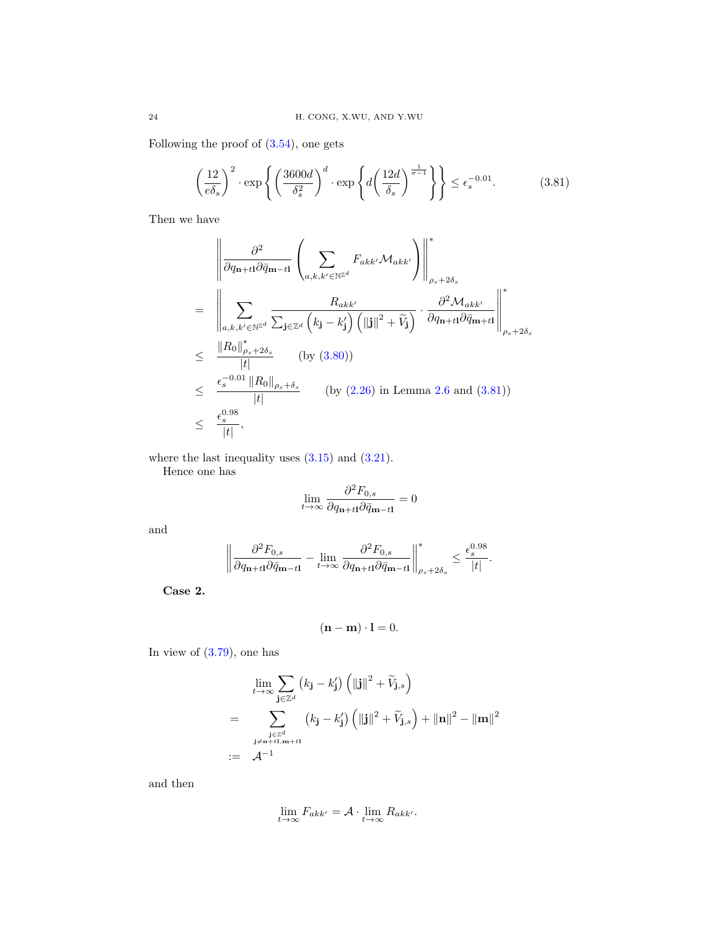Following the proof of  $(3.54)$ , one gets

<span id="page-23-0"></span>
$$
\left(\frac{12}{e\delta_s}\right)^2 \cdot \exp\left\{ \left(\frac{3600d}{\delta_s^2}\right)^d \cdot \exp\left\{ d\left(\frac{12d}{\delta_s}\right)^{\frac{1}{\sigma-1}} \right\} \right\} \le \epsilon_s^{-0.01}.\tag{3.81}
$$

Then we have

$$
\begin{split}\n&\quad = \left\| \frac{\partial^2}{\partial q_{\mathbf{n}+t\mathbf{l}} \partial \bar{q}_{\mathbf{m}-t\mathbf{l}}} \left( \sum_{a,k,k' \in \mathbb{N}^{\mathbb{Z}^d}} F_{akk'} \mathcal{M}_{akk'} \right) \right\|_{\rho_s + 2\delta_s}^* \\
&= \left\| \sum_{a,k,k' \in \mathbb{N}^{\mathbb{Z}^d}} \frac{R_{akk'}}{\sum_{\mathbf{j} \in \mathbb{Z}^d} \left( k_{\mathbf{j}} - k_{\mathbf{j}}' \right) \left( ||\mathbf{j}||^2 + \widetilde{V}_{\mathbf{j}} \right)} \cdot \frac{\partial^2 \mathcal{M}_{akk'}}{\partial q_{\mathbf{n}+t\mathbf{l}} \partial \bar{q}_{\mathbf{m}+t\mathbf{l}}} \right\|_{\rho_s + 2\delta_s}^* \\
&\leq \frac{\|R_0\|_{\rho_s + 2\delta_s}^*}{|t|} \qquad \text{(by (3.80))} \\
&\leq \frac{\epsilon_s^{-0.01} \|R_0\|_{\rho_s + \delta_s}}{|t|} \qquad \text{(by (2.26) in Lemma 2.6 and (3.81))} \\
&\leq \frac{\epsilon_s^{0.98}}{|t|},\n\end{split}
$$

where the last inequality uses  $(3.15)$  and  $(3.21)$ .

Hence one has

$$
\lim_{t \to \infty} \frac{\partial^2 F_{0,s}}{\partial q_{\mathbf{n}+t1} \partial \bar{q}_{\mathbf{m}-t1}} = 0
$$

and

$$
\left\|\frac{\partial^2 F_{0,s}}{\partial q_{\mathbf{n}+t1}\partial\bar q_{\mathbf{m}-t1}}-\lim_{t\to\infty}\frac{\partial^2 F_{0,s}}{\partial q_{\mathbf{n}+t1}\partial\bar q_{\mathbf{m}-t1}}\right\|^*_{\rho_s+2\delta_s}\leq \frac{\epsilon_s^{0.98}}{|t|}.
$$

Case 2.

$$
(\mathbf{n}-\mathbf{m})\cdot\mathbf{l}=0.
$$

In view of  $(3.79)$ , one has

$$
\lim_{t \to \infty} \sum_{\mathbf{j} \in \mathbb{Z}^d} (k_{\mathbf{j}} - k_{\mathbf{j}}') \left( \|\mathbf{j}\|^2 + \widetilde{V}_{\mathbf{j},s} \right)
$$
\n
$$
= \sum_{\substack{\mathbf{j} \in \mathbb{Z}^d \\ \mathbf{j} \neq \mathbf{n} + t\mathbf{1}, \mathbf{m} + t\mathbf{l}}} (k_{\mathbf{j}} - k_{\mathbf{j}}') \left( \|\mathbf{j}\|^2 + \widetilde{V}_{\mathbf{j},s} \right) + \|\mathbf{n}\|^2 - \|\mathbf{m}\|^2
$$
\n
$$
:= \mathcal{A}^{-1}
$$

and then

$$
\lim_{t \to \infty} F_{akk'} = \mathcal{A} \cdot \lim_{t \to \infty} R_{akk'}.
$$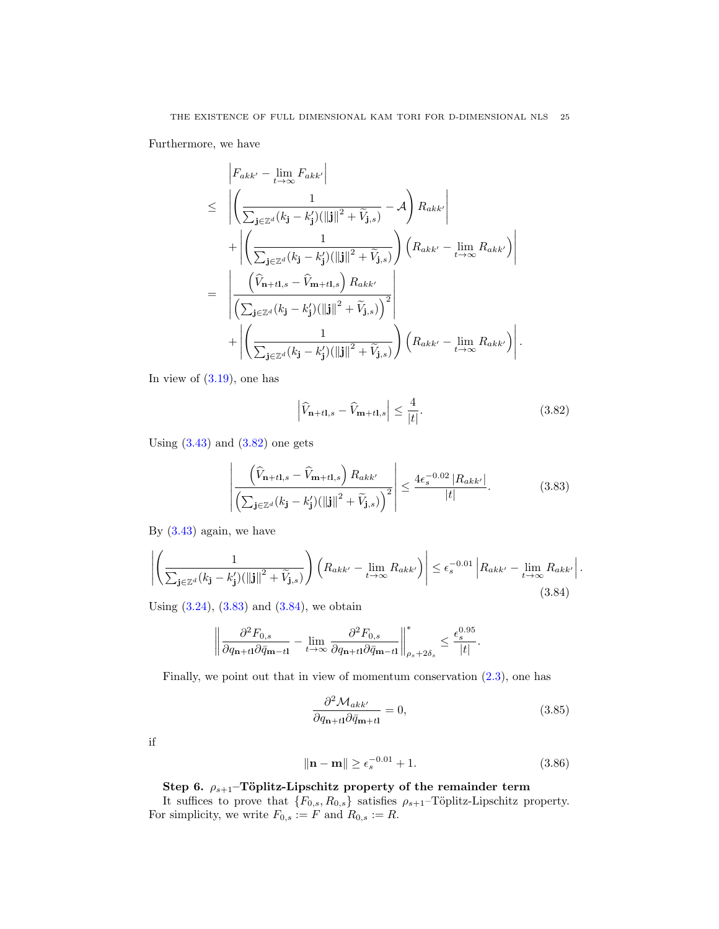Furthermore, we have

$$
\begin{split}\n&\left|F_{akk'} - \lim_{t \to \infty} F_{akk'}\right| \\
&\leq \left| \left( \frac{1}{\sum_{\mathbf{j} \in \mathbb{Z}^d} (k_{\mathbf{j}} - k_{\mathbf{j}}') (||\mathbf{j}||^2 + \widetilde{V}_{\mathbf{j},s})} - \mathcal{A} \right) R_{akk'} \right| \\
&+ \left| \left( \frac{1}{\sum_{\mathbf{j} \in \mathbb{Z}^d} (k_{\mathbf{j}} - k_{\mathbf{j}}') (||\mathbf{j}||^2 + \widetilde{V}_{\mathbf{j},s})} \right) \left( R_{akk'} - \lim_{t \to \infty} R_{akk'} \right) \right| \\
&= \left| \frac{\left( \widehat{V}_{\mathbf{n}+t\mathbf{l},s} - \widehat{V}_{\mathbf{m}+t\mathbf{l},s} \right) R_{akk'}}{\left( \sum_{\mathbf{j} \in \mathbb{Z}^d} (k_{\mathbf{j}} - k_{\mathbf{j}}') (||\mathbf{j}||^2 + \widetilde{V}_{\mathbf{j},s}) \right)^2} \right| \\
&+ \left| \left( \frac{1}{\sum_{\mathbf{j} \in \mathbb{Z}^d} (k_{\mathbf{j}} - k_{\mathbf{j}}') (||\mathbf{j}||^2 + \widetilde{V}_{\mathbf{j},s})} \right) \left( R_{akk'} - \lim_{t \to \infty} R_{akk'} \right) \right|.\n\end{split}
$$

In view of  $(3.19)$ , one has

<span id="page-24-0"></span>
$$
\left|\widehat{V}_{\mathbf{n}+t\mathbf{l},s} - \widehat{V}_{\mathbf{m}+t\mathbf{l},s}\right| \le \frac{4}{|t|}.\tag{3.82}
$$

Using  $(3.43)$  and  $(3.82)$  one gets

<span id="page-24-1"></span>
$$
\left| \frac{\left(\widehat{V}_{\mathbf{n}+t\mathbf{l},s} - \widehat{V}_{\mathbf{m}+t\mathbf{l},s}\right) R_{akk'}}{\left(\sum_{\mathbf{j} \in \mathbb{Z}^d} (k_{\mathbf{j}} - k_{\mathbf{j}}') (\|\mathbf{j}\|^2 + \widetilde{V}_{\mathbf{j},s})\right)^2} \right| \le \frac{4\epsilon_s^{-0.02} |R_{akk'}|}{|t|}.
$$
 (3.83)

By  $(3.43)$  again, we have

<span id="page-24-2"></span>
$$
\left| \left( \frac{1}{\sum_{\mathbf{j} \in \mathbb{Z}^d} (k_{\mathbf{j}} - k_{\mathbf{j}}') (\|\mathbf{j}\|^2 + \widetilde{V}_{\mathbf{j},s})} \right) \left( R_{akk'} - \lim_{t \to \infty} R_{akk'} \right) \right| \le \epsilon_s^{-0.01} \left| R_{akk'} - \lim_{t \to \infty} R_{akk'} \right|.
$$
\n(3.84)

Using  $(3.24)$ ,  $(3.83)$  and  $(3.84)$ , we obtain

<span id="page-24-3"></span>
$$
\left\|\frac{\partial^2 F_{0,s}}{\partial q_{\mathbf{n}+t1}\partial\bar{q}_{\mathbf{m}-t1}}-\lim_{t\to\infty}\frac{\partial^2 F_{0,s}}{\partial q_{\mathbf{n}+t1}\partial\bar{q}_{\mathbf{m}-t1}}\right\|^*_{\rho_s+2\delta_s}\leq \frac{\epsilon_s^{0.95}}{|t|}.
$$

Finally, we point out that in view of momentum conservation [\(2.3\)](#page-5-0), one has

$$
\frac{\partial^2 \mathcal{M}_{akk'}}{\partial q_{\mathbf{n}+t\mathbf{l}} \partial \bar{q}_{\mathbf{m}+t\mathbf{l}}} = 0, \tag{3.85}
$$

if

$$
\|\mathbf{n} - \mathbf{m}\| \ge \epsilon_s^{-0.01} + 1. \tag{3.86}
$$

# Step 6.  $\rho_{s+1}$ –Töplitz-Lipschitz property of the remainder term

It suffices to prove that  ${F_{0,s}, R_{0,s}}$  satisfies  $\rho_{s+1}$ –Töplitz-Lipschitz property. For simplicity, we write  $F_{0,s} := F$  and  $R_{0,s} := R$ .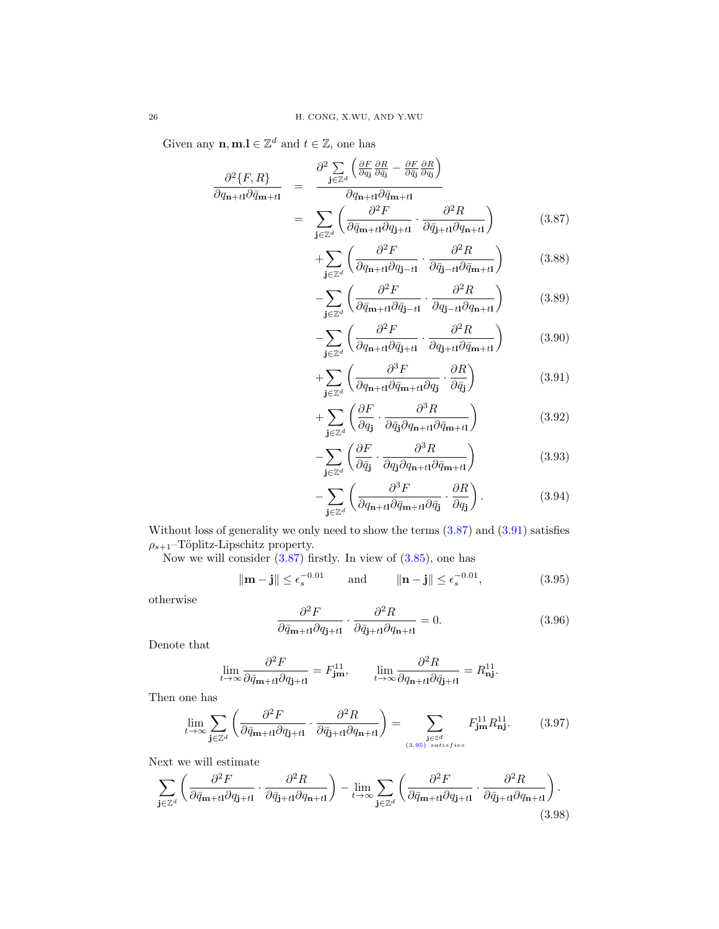Given any  $\mathbf{n}, \mathbf{m}.\mathbf{l} \in \mathbb{Z}^d$  and  $t \in \mathbb{Z}$ , one has

<span id="page-25-0"></span>
$$
\frac{\partial^2 \{F, R\}}{\partial q_{\mathbf{n}+t1} \partial \bar{q}_{\mathbf{m}+t1}} = \frac{\partial^2 \sum_{\mathbf{j} \in \mathbb{Z}^d} \left( \frac{\partial F}{\partial q_{\mathbf{j}}} \frac{\partial R}{\partial \bar{q}_{\mathbf{j}}} - \frac{\partial F}{\partial \bar{q}_{\mathbf{j}}} \frac{\partial R}{\partial q_{\mathbf{j}}} \right)}{\partial q_{\mathbf{n}+t1} \partial \bar{q}_{\mathbf{m}+t1}} \n= \sum_{\mathbf{j} \in \mathbb{Z}^d} \left( \frac{\partial^2 F}{\partial \bar{q}_{\mathbf{m}+t1} \partial q_{\mathbf{j}+t1}} \cdot \frac{\partial^2 R}{\partial \bar{q}_{\mathbf{j}+t1} \partial q_{\mathbf{n}+t1}} \right)
$$
\n(3.87)

$$
+\sum_{\mathbf{j}\in\mathbb{Z}^d} \left( \frac{\partial^2 F}{\partial q_{\mathbf{n}+t1}\partial q_{\mathbf{j}-t1}} \cdot \frac{\partial^2 R}{\partial \bar{q}_{\mathbf{j}-t1}\partial \bar{q}_{\mathbf{m}+t1}} \right) \tag{3.88}
$$

$$
-\sum_{\mathbf{j}\in\mathbb{Z}^d} \left( \frac{\partial^2 F}{\partial \bar{q}_{\mathbf{m}+t1} \partial \bar{q}_{\mathbf{j}-t1}} \cdot \frac{\partial^2 R}{\partial q_{\mathbf{j}-t1} \partial q_{\mathbf{n}+t1}} \right) \tag{3.89}
$$

$$
-\sum_{\mathbf{j}\in\mathbb{Z}^d} \left( \frac{\partial^2 F}{\partial q_{\mathbf{n}+t\mathbf{l}}\partial \bar{q}_{\mathbf{j}+t\mathbf{l}}} \cdot \frac{\partial^2 R}{\partial q_{\mathbf{j}+t\mathbf{l}}\partial \bar{q}_{\mathbf{m}+t\mathbf{l}}} \right) \tag{3.90}
$$

$$
+\sum_{\mathbf{j}\in\mathbb{Z}^d} \left( \frac{\partial^3 F}{\partial q_{\mathbf{n}+t\mathbf{l}}\partial \bar{q}_{\mathbf{m}+t\mathbf{l}}\partial q_{\mathbf{j}}} \cdot \frac{\partial R}{\partial \bar{q}_{\mathbf{j}}} \right) \tag{3.91}
$$

$$
+\sum_{\mathbf{j}\in\mathbb{Z}^d} \left(\frac{\partial F}{\partial q_{\mathbf{j}}} \cdot \frac{\partial^3 R}{\partial \bar{q}_{\mathbf{j}} \partial q_{\mathbf{n}+t\mathbf{l}} \partial \bar{q}_{\mathbf{m}+t\mathbf{l}}}\right) \tag{3.92}
$$

$$
-\sum_{\mathbf{j}\in\mathbb{Z}^d} \left( \frac{\partial F}{\partial \bar{q}_{\mathbf{j}}} \cdot \frac{\partial^3 R}{\partial q_{\mathbf{j}} \partial q_{\mathbf{n}+t1} \partial \bar{q}_{\mathbf{m}+t1}} \right) \tag{3.93}
$$

$$
-\sum_{\mathbf{j}\in\mathbb{Z}^d} \left( \frac{\partial^3 F}{\partial q_{\mathbf{n}+t1} \partial \bar{q}_{\mathbf{m}+t1} \partial \bar{q}_{\mathbf{j}}} \cdot \frac{\partial R}{\partial q_{\mathbf{j}}} \right). \tag{3.94}
$$

Without loss of generality we only need to show the terms [\(3.87\)](#page-25-0) and [\(3.91\)](#page-25-0) satisfies  $\rho_{s+1}$ –Töplitz-Lipschitz property.

Now we will consider  $(3.87)$  firstly. In view of  $(3.85)$ , one has

<span id="page-25-1"></span>
$$
\|\mathbf{m} - \mathbf{j}\| \le \epsilon_s^{-0.01} \qquad \text{and} \qquad \|\mathbf{n} - \mathbf{j}\| \le \epsilon_s^{-0.01}, \tag{3.95}
$$

otherwise

<span id="page-25-2"></span>
$$
\frac{\partial^2 F}{\partial \bar{q}_{m+t1} \partial q_{\mathbf{j}+t1}} \cdot \frac{\partial^2 R}{\partial \bar{q}_{\mathbf{j}+t1} \partial q_{\mathbf{n}+t1}} = 0. \tag{3.96}
$$

Denote that

$$
\lim_{t \to \infty} \frac{\partial^2 F}{\partial \bar{q}_{m+t1} \partial q_{\mathbf{j}+t1}} = F_{\mathbf{j}m}^{11}, \qquad \lim_{t \to \infty} \frac{\partial^2 R}{\partial q_{\mathbf{n}+t1} \partial \bar{q}_{\mathbf{j}+t1}} = R_{\mathbf{n} \mathbf{j}}^{11}.
$$

Then one has

<span id="page-25-3"></span>
$$
\lim_{t \to \infty} \sum_{\mathbf{j} \in \mathbb{Z}^d} \left( \frac{\partial^2 F}{\partial \bar{q}_{\mathbf{m}+t\mathbf{l}} \partial q_{\mathbf{j}+t\mathbf{l}}} \cdot \frac{\partial^2 R}{\partial \bar{q}_{\mathbf{j}+t\mathbf{l}} \partial q_{\mathbf{n}+t\mathbf{l}}} \right) = \sum_{\substack{\mathbf{j} \in \mathbb{Z}^d \\ (3.95) \; satisfies}} F_{\mathbf{jm}}^{11} R_{\mathbf{n}\mathbf{j}}^{11}. \tag{3.97}
$$

Next we will estimate

<span id="page-25-4"></span>
$$
\sum_{\mathbf{j}\in\mathbb{Z}^d} \left( \frac{\partial^2 F}{\partial \bar{q}_{\mathbf{m}+t\mathbf{l}}\partial q_{\mathbf{j}+t\mathbf{l}}} \cdot \frac{\partial^2 R}{\partial \bar{q}_{\mathbf{j}+t\mathbf{l}}\partial q_{\mathbf{n}+t\mathbf{l}}} \right) - \lim_{t\to\infty} \sum_{\mathbf{j}\in\mathbb{Z}^d} \left( \frac{\partial^2 F}{\partial \bar{q}_{\mathbf{m}+t\mathbf{l}}\partial q_{\mathbf{j}+t\mathbf{l}}} \cdot \frac{\partial^2 R}{\partial \bar{q}_{\mathbf{j}+t\mathbf{l}}\partial q_{\mathbf{n}+t\mathbf{l}}} \right). \tag{3.98}
$$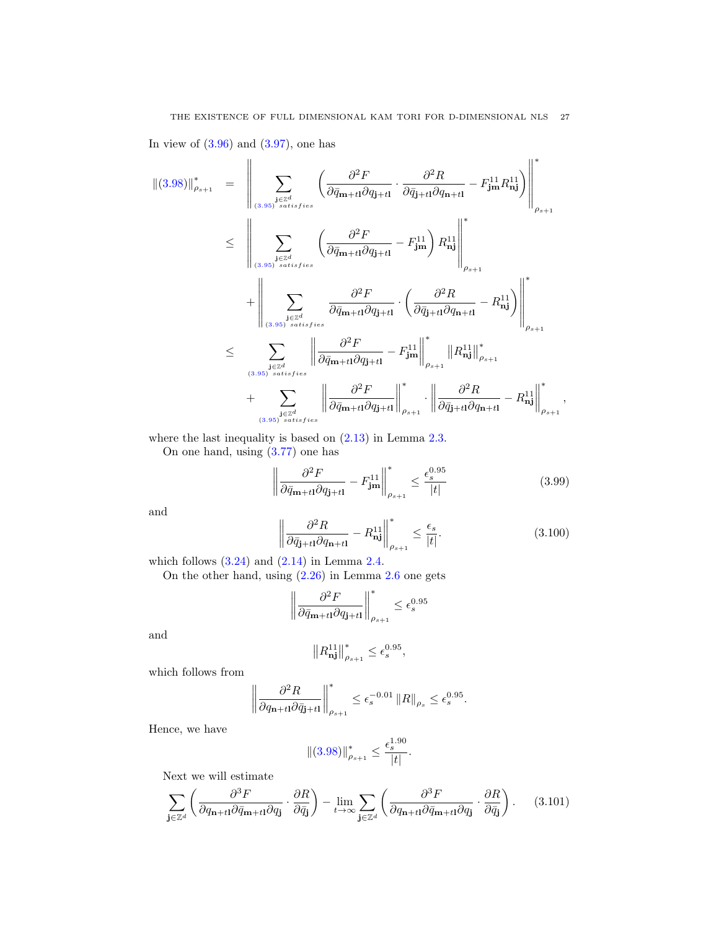In view of  $(3.96)$  and  $(3.97)$ , one has

$$
\| (3.98)\|_{\rho_{s+1}}^* = \left\| \sum_{\substack{\mathbf{j} \in \mathbb{Z}^d \\ (\mathbf{3.95}) \ satisfies}} \left( \frac{\partial^2 F}{\partial \bar{q}_{\mathbf{m}+t1} \partial q_{\mathbf{j}+t1}} \cdot \frac{\partial^2 R}{\partial \bar{q}_{\mathbf{j}+t1} \partial q_{\mathbf{n}+t1}} - F_{\mathbf{j}\mathbf{m}}^{11} R_{\mathbf{n}\mathbf{j}}^{11} \right) \right\|_{\rho_{s+1}}^*
$$
  
\n
$$
\leq \left\| \sum_{\substack{\mathbf{j} \in \mathbb{Z}^d \\ (\mathbf{3.95}) \ satisfies}} \left( \frac{\partial^2 F}{\partial \bar{q}_{\mathbf{m}+t1} \partial q_{\mathbf{j}+t1}} - F_{\mathbf{j}\mathbf{m}}^{11} \right) R_{\mathbf{n}\mathbf{j}}^{11} \right\|_{\rho_{s+1}}^*
$$
  
\n
$$
\leq \sum_{\substack{\mathbf{j} \in \mathbb{Z}^d \\ (\mathbf{3.95}) \ satisfies}} \left\| \frac{\partial^2 F}{\partial \bar{q}_{\mathbf{m}+t1} \partial q_{\mathbf{j}+t1}} \cdot \left( \frac{\partial^2 R}{\partial \bar{q}_{\mathbf{j}+t1} \partial q_{\mathbf{n}+t1}} - R_{\mathbf{n}\mathbf{j}}^{11} \right) \right\|_{\rho_{s+1}}^*
$$
  
\n
$$
\leq \sum_{\substack{\mathbf{j} \in \mathbb{Z}^d \\ (\mathbf{3.95}) \ satisfies}} \left\| \frac{\partial^2 F}{\partial \bar{q}_{\mathbf{m}+t1} \partial q_{\mathbf{j}+t1}} - F_{\mathbf{j}\mathbf{m}}^{11} \right\|_{\rho_{s+1}}^*
$$
  
\n
$$
+ \sum_{\substack{\mathbf{j} \in \mathbb{Z}^d \\ (\mathbf{3.95}) \ satisfies}} \left\| \frac{\partial^2 F}{\partial \bar{q}_{\mathbf{m}+t1} \partial q_{\mathbf{j}+t1}} \right\|_{\rho_{s+1}}^*
$$
  
\n
$$
\cdot \left\| \frac{\partial^2 R}{\partial \bar{q}_{\mathbf{j}
$$

where the last inequality is based on  $(2.13)$  in Lemma [2.3.](#page-6-9)

On one hand, using [\(3.77\)](#page-22-3) one has

$$
\left\| \frac{\partial^2 F}{\partial \bar{q}_{m+t1} \partial q_{j+t1}} - F_{\rm jm}^{11} \right\|_{\rho_{s+1}}^* \le \frac{\epsilon_s^{0.95}}{|t|} \tag{3.99}
$$

and

$$
\left\| \frac{\partial^2 R}{\partial \bar{q}_{\mathbf{j}+t1} \partial q_{\mathbf{n}+t1}} - R_{\mathbf{n}\mathbf{j}}^{11} \right\|_{\rho_{s+1}}^* \le \frac{\epsilon_s}{|t|}.
$$
 (3.100)

which follows  $(3.24)$  and  $(2.14)$  in Lemma [2.4.](#page-6-10)

On the other hand, using [\(2.26\)](#page-9-2) in Lemma [2.6](#page-9-3) one gets

$$
\left\| \frac{\partial^2 F}{\partial \bar{q}_{m+tl} \partial q_{\mathbf{j}+tl}} \right\|_{\rho_{s+1}}^* \leq \epsilon_s^{0.95}
$$

and

$$
\left\|R^{11}_{\textbf{nj}}\right\|_{\rho_{s+1}}^*\leq \epsilon_s^{0.95},
$$

which follows from

$$
\left\|\frac{\partial^2 R}{\partial q_{\mathbf{n}+t\mathbf{l}}\partial\bar{q}_{\mathbf{j}+t\mathbf{l}}}\right\|_{\rho_{s+1}}^*\leq \epsilon_s^{-0.01}\left\|R\right\|_{\rho_s}\leq \epsilon_s^{0.95}.
$$

Hence, we have

$$
\| (3.98) \|_{\rho_{s+1}}^* \leq \frac{\epsilon_s^{1.90}}{|t|}.
$$

Next we will estimate

<span id="page-26-0"></span>
$$
\sum_{\mathbf{j}\in\mathbb{Z}^d} \left( \frac{\partial^3 F}{\partial q_{\mathbf{n}+t1} \partial \bar{q}_{\mathbf{m}+t1} \partial q_{\mathbf{j}}} \cdot \frac{\partial R}{\partial \bar{q}_{\mathbf{j}}} \right) - \lim_{t \to \infty} \sum_{\mathbf{j}\in\mathbb{Z}^d} \left( \frac{\partial^3 F}{\partial q_{\mathbf{n}+t1} \partial \bar{q}_{\mathbf{m}+t1} \partial q_{\mathbf{j}}} \cdot \frac{\partial R}{\partial \bar{q}_{\mathbf{j}}} \right). \tag{3.101}
$$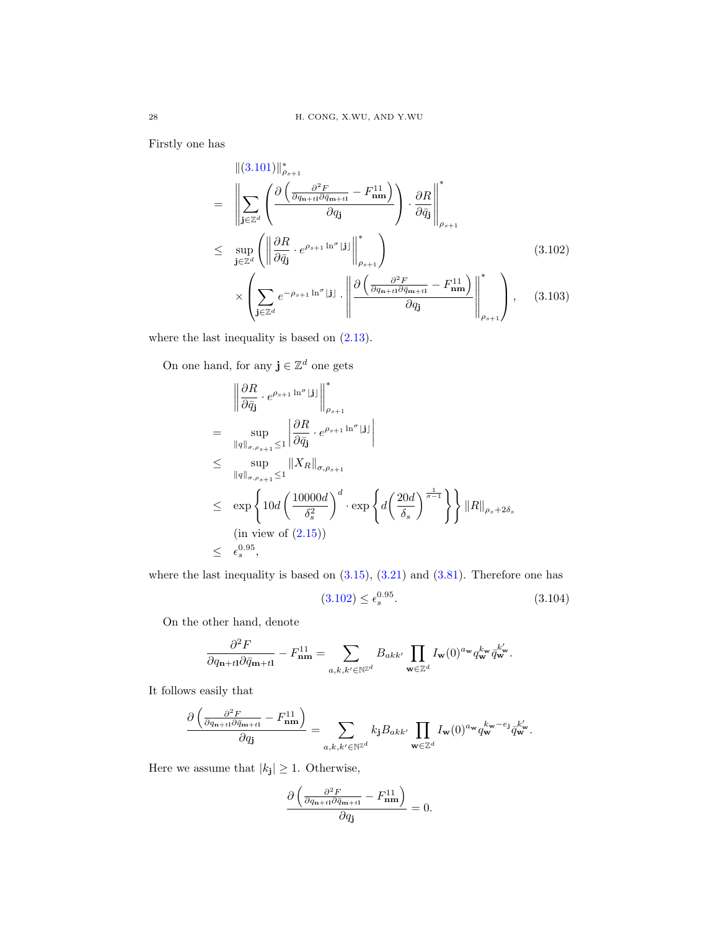Firstly one has

<span id="page-27-0"></span>
$$
\| (3.101) \|_{\rho_{s+1}}^*
$$
\n
$$
= \left\| \sum_{\mathbf{j} \in \mathbb{Z}^d} \left( \frac{\partial \left( \frac{\partial^2 F}{\partial q_{n+t1} \partial \bar{q}_{m+t1}} - F_{\mathbf{n} \mathbf{m}}^{11} \right)}{\partial q_{\mathbf{j}}} \right) \cdot \frac{\partial R}{\partial \bar{q}_{\mathbf{j}}} \right\|_{\rho_{s+1}}^*
$$
\n
$$
\leq \sup_{\mathbf{j} \in \mathbb{Z}^d} \left( \left\| \frac{\partial R}{\partial \bar{q}_{\mathbf{j}}} \cdot e^{\rho_{s+1} \ln^{\sigma} \lfloor \mathbf{j} \rfloor} \right\|_{\rho_{s+1}}^* \right) \times \left( \sum_{\mathbf{j} \in \mathbb{Z}^d} e^{-\rho_{s+1} \ln^{\sigma} \lfloor \mathbf{j} \rfloor} \cdot \left\| \frac{\partial \left( \frac{\partial^2 F}{\partial q_{n+t1} \partial \bar{q}_{m+t1}} - F_{\mathbf{n} \mathbf{m}}^{11} \right)}{\partial q_{\mathbf{j}}} \right\|_{\rho_{s+1}}^* \right), \quad (3.103)
$$

where the last inequality is based on  $(2.13)$ .

On one hand, for any  $\mathbf{j} \in \mathbb{Z}^d$  one gets

$$
\left\| \frac{\partial R}{\partial \bar{q}_{\mathbf{j}}} \cdot e^{\rho_{s+1} \ln^{\sigma}[\mathbf{j}]} \right\|_{\rho_{s+1}}^{*}
$$
\n
$$
= \sup_{\|q\|_{\sigma,\rho_{s+1}} \le 1} \left| \frac{\partial R}{\partial \bar{q}_{\mathbf{j}}} \cdot e^{\rho_{s+1} \ln^{\sigma}[\mathbf{j}]} \right|
$$
\n
$$
\le \sup_{\|q\|_{\sigma,\rho_{s+1}} \le 1} \|X_R\|_{\sigma,\rho_{s+1}}
$$
\n
$$
\le \exp \left\{ 10d \left( \frac{10000d}{\delta_s^2} \right)^d \cdot \exp \left\{ d \left( \frac{20d}{\delta_s} \right)^{\frac{1}{\sigma-1}} \right\} \right\} \|R\|_{\rho_s + 2\delta_s}
$$
\n(in view of (2.15))\n
$$
\le \epsilon_s^{0.95},
$$

where the last inequality is based on  $(3.15)$ ,  $(3.21)$  and  $(3.81)$ . Therefore one has

$$
(3.102) \le \epsilon_s^{0.95}.\tag{3.104}
$$

On the other hand, denote

$$
\frac{\partial^2 F}{\partial q_{\mathbf{n}+t\mathbf{l}}\partial \bar{q}_{\mathbf{m}+t\mathbf{l}}}-F_{\mathbf{n}\mathbf{m}}^{11}=\sum_{a,k,k'\in\mathbb{N}^{\mathbb{Z}^d}}B_{akk'}\prod_{\mathbf{w}\in\mathbb{Z}^d}I_{\mathbf{w}}(0)^{a_{\mathbf{w}}}q_{\mathbf{w}}^{k_{\mathbf{w}}}\bar{q}_{\mathbf{w}}^{k'}.
$$

It follows easily that

$$
\frac{\partial \left(\frac{\partial^2 F}{\partial q_{\mathbf{n}+t1}\partial \bar{q}_{\mathbf{m}+t1}}-F^{11}_{\mathbf{n}\mathbf{m}}\right)}{\partial q_{\mathbf{j}}}=\sum_{a,k,k'\in\mathbb{N}^{\mathbb{Z}^d}}k_{\mathbf{j}}B_{akk'}\prod_{\mathbf{w}\in\mathbb{Z}^d}I_{\mathbf{w}}(0)^{a_{\mathbf{w}}}q_{\mathbf{w}}^{k_{\mathbf{w}}-e_{\mathbf{j}}} \frac{1}{q_{\mathbf{w}}^{k'}}.
$$

Here we assume that  $|k_j| \geq 1$ . Otherwise,

$$
\frac{\partial \left( \frac{\partial^2 F}{\partial q_{\mathbf{n}+t1} \partial \bar{q}_{\mathbf{m}+t1}} - F_{\mathbf{n}\mathbf{m}}^{11} \right)}{\partial q_{\mathbf{j}}} = 0.
$$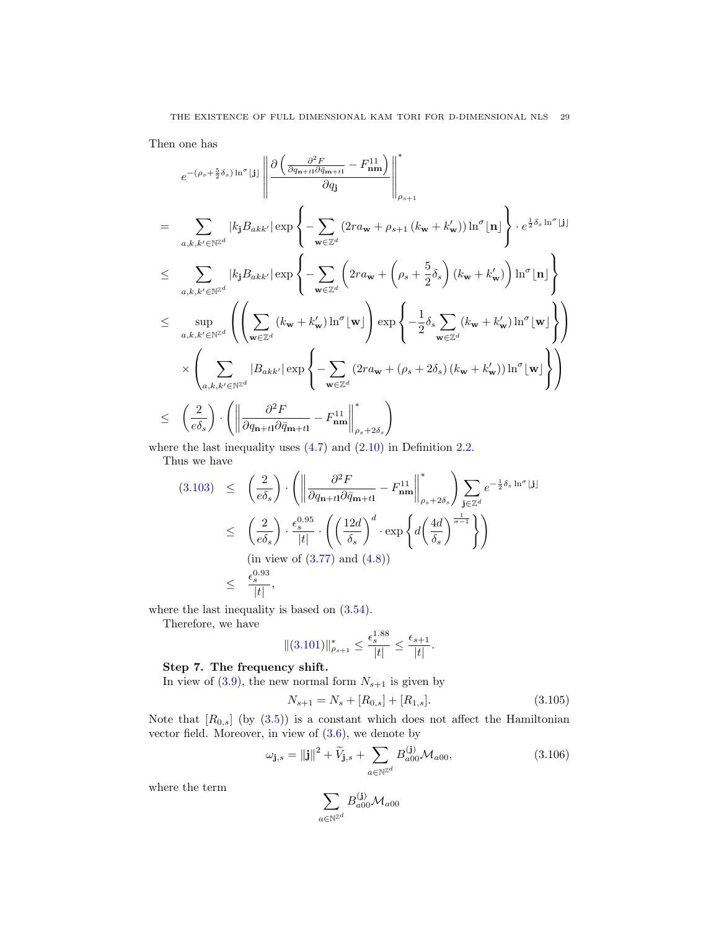Then one has

$$
e^{-(\rho_s + \frac{5}{2}\delta_s) \ln^{\sigma}[\mathbf{j}]} \left\| \frac{\partial \left( \frac{\partial^2 F}{\partial q_{n+1} \partial \bar{q}_{m+1}} - F_{nm}^{11} \right)}{\partial q_{\mathbf{j}}} \right\|_{\rho_{s+1}}^{\ast}
$$
\n
$$
= \sum_{a,k,k' \in \mathbb{N}^{\mathbb{Z}^d}} |k_{\mathbf{j}} B_{akk'}| \exp \left\{ - \sum_{\mathbf{w} \in \mathbb{Z}^d} \left( 2r a_{\mathbf{w}} + \rho_{s+1} \left( k_{\mathbf{w}} + k_{\mathbf{w}}' \right) \right) \ln^{\sigma}[\mathbf{n}] \right\} \cdot e^{\frac{1}{2}\delta_s \ln^{\sigma}[\mathbf{j}]} \leq \sum_{a,k,k' \in \mathbb{N}^{\mathbb{Z}^d}} |k_{\mathbf{j}} B_{akk'}| \exp \left\{ - \sum_{\mathbf{w} \in \mathbb{Z}^d} \left( 2r a_{\mathbf{w}} + \left( \rho_s + \frac{5}{2} \delta_s \right) \left( k_{\mathbf{w}} + k_{\mathbf{w}}' \right) \right) \ln^{\sigma}[\mathbf{n}] \right\} \leq \sup_{a,k,k' \in \mathbb{N}^{\mathbb{Z}^d}} \left( \left( \sum_{\mathbf{w} \in \mathbb{Z}^d} \left( k_{\mathbf{w}} + k_{\mathbf{w}}' \right) \ln^{\sigma}[\mathbf{w}] \right) \exp \left\{ -\frac{1}{2} \delta_s \sum_{\mathbf{w} \in \mathbb{Z}^d} \left( k_{\mathbf{w}} + k_{\mathbf{w}}' \right) \ln^{\sigma}[\mathbf{w}] \right\} \right)
$$
\n
$$
\times \left( \sum_{a,k,k' \in \mathbb{N}^{\mathbb{Z}^d}} |B_{akk'}| \exp \left\{ - \sum_{\mathbf{w} \in \mathbb{Z}^d} \left( 2r a_{\mathbf{w}} + \left( \rho_s + 2\delta_s \right) \left( k_{\mathbf{w}} + k_{\mathbf{w}}' \right) \right) \ln^{\sigma}[\mathbf{w}] \right\} \right)
$$
\n
$$
\leq \left( \frac{2}{e\delta
$$

where the last inequality uses  $(4.7)$  and  $(2.10)$  in Definition [2.2.](#page-6-6)

Thus we have

$$
(3.103) \leq \left(\frac{2}{e\delta_s}\right) \cdot \left(\left\|\frac{\partial^2 F}{\partial q_{\mathbf{n}+t1} \partial \bar{q}_{\mathbf{m}+t1}} - F_{\mathbf{n}\mathbf{m}}^{11}\right\|_{\rho_s + 2\delta_s}^*\right) \sum_{\mathbf{j} \in \mathbb{Z}^d} e^{-\frac{1}{2}\delta_s \ln^{\sigma} \lfloor \mathbf{j} \rfloor}
$$
  

$$
\leq \left(\frac{2}{e\delta_s}\right) \cdot \frac{\epsilon_s^{0.95}}{|t|} \cdot \left(\left(\frac{12d}{\delta_s}\right)^d \cdot \exp\left\{d\left(\frac{4d}{\delta_s}\right)^{\frac{1}{\sigma-1}}\right\}\right)
$$
  
(in view of (3.77) and (4.8))  

$$
\leq \frac{\epsilon_s^{0.93}}{|t|},
$$

where the last inequality is based on  $(3.54)$ .

Therefore, we have

$$
\|(3.101)\|_{\rho_{s+1}}^* \le \frac{\epsilon_s^{1.88}}{|t|} \le \frac{\epsilon_{s+1}}{|t|}.
$$

### Step 7. The frequency shift.

In view of [\(3.9\)](#page-12-4), the new normal form  $N_{s+1}$  is given by

$$
N_{s+1} = N_s + [R_{0,s}] + [R_{1,s}].
$$
\n(3.105)

Note that  $[R_{0,s}]$  (by  $(3.5)$ ) is a constant which does not affect the Hamiltonian vector field. Moreover, in view of  $(3.6)$ , we denote by

$$
\omega_{\mathbf{j},s} = ||\mathbf{j}||^2 + \widetilde{V}_{\mathbf{j},s} + \sum_{a \in \mathbb{N}^{\mathbb{Z}^d}} B_{a00}^{(\mathbf{j})} \mathcal{M}_{a00},
$$
\n(3.106)

where the term

$$
\sum_{a\in\mathbb{N}^{\mathbb{Z}^d}}B_{a00}^{(\mathbf{j})}\mathcal{M}_{a00}
$$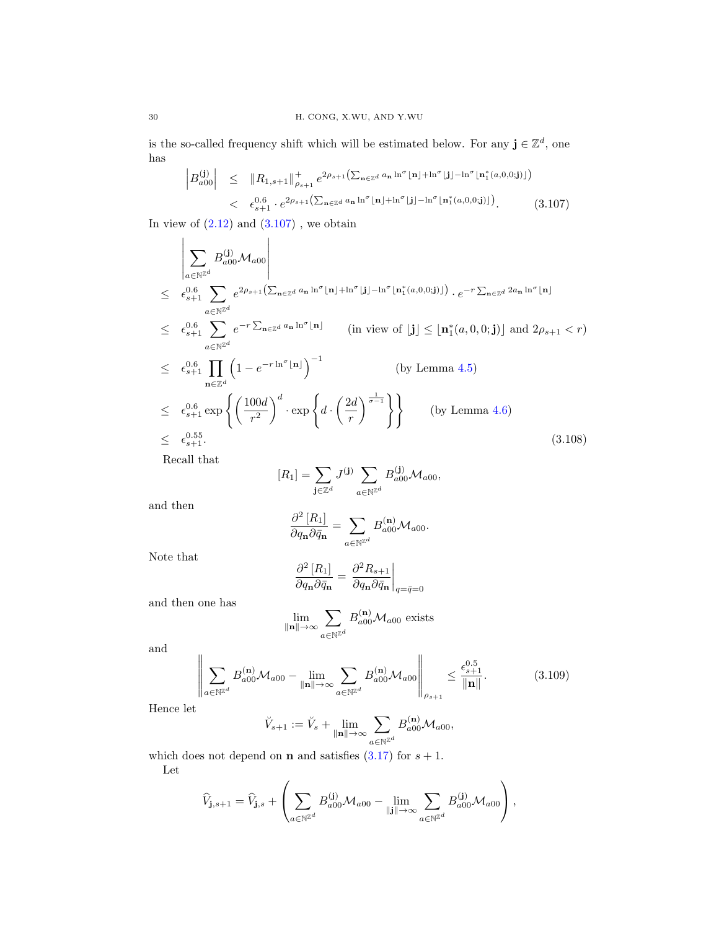is the so-called frequency shift which will be estimated below. For any  $\mathbf{j} \in \mathbb{Z}^d$ , one has

<span id="page-29-0"></span>
$$
\begin{array}{lcl}\n\left|B_{a00}^{(\mathbf{j})}\right| & \leq & \left\|R_{1,s+1}\right\|_{\rho_{s+1}}^{+} e^{2\rho_{s+1}\left(\sum_{\mathbf{n}\in\mathbb{Z}^{d}} a_{\mathbf{n}} \ln^{\sigma}[\mathbf{n}] + \ln^{\sigma}[\mathbf{j}] - \ln^{\sigma}[\mathbf{n}_{1}^{*}(a,0,0;\mathbf{j})]\right)} \\
&< & \epsilon_{s+1}^{0.6} \cdot e^{2\rho_{s+1}\left(\sum_{\mathbf{n}\in\mathbb{Z}^{d}} a_{\mathbf{n}} \ln^{\sigma}[\mathbf{n}] + \ln^{\sigma}[\mathbf{j}] - \ln^{\sigma}[\mathbf{n}_{1}^{*}(a,0,0;\mathbf{j})]\right)}.\n\end{array} \tag{3.107}
$$

In view of  $(2.12)$  and  $(3.107)$ , we obtain

<span id="page-29-2"></span>
$$
\left| \sum_{a \in \mathbb{N}^{\mathbb{Z}^d}} B_{a00}^{(j)} \mathcal{M}_{a00} \right|
$$
\n
$$
\leq \epsilon_{s+1}^{0.6} \sum_{a \in \mathbb{N}^{\mathbb{Z}^d}} e^{2\rho_{s+1} \left( \sum_{n \in \mathbb{Z}^d} a_n \ln^{\sigma} \lfloor n \rfloor + \ln^{\sigma} \lfloor j \rfloor - \ln^{\sigma} \lfloor n_1^*(a,0,0;j) \rfloor \right) \cdot e^{-r \sum_{n \in \mathbb{Z}^d} 2a_n \ln^{\sigma} \lfloor n \rfloor}
$$
\n
$$
\leq \epsilon_{s+1}^{0.6} \sum_{a \in \mathbb{N}^{\mathbb{Z}^d}} e^{-r \sum_{n \in \mathbb{Z}^d} a_n \ln^{\sigma} \lfloor n \rfloor} \qquad \text{(in view of } \lfloor j \rfloor \leq \lfloor n_1^*(a,0,0;j) \rfloor \text{ and } 2\rho_{s+1} < r)
$$
\n
$$
\leq \epsilon_{s+1}^{0.6} \prod_{n \in \mathbb{Z}^d} \left( 1 - e^{-r \ln^{\sigma} \lfloor n \rfloor} \right)^{-1} \qquad \text{(by Lemma 4.5)}
$$
\n
$$
\leq \epsilon_{s+1}^{0.6} \exp \left\{ \left( \frac{100d}{r^2} \right)^d \cdot \exp \left\{ d \cdot \left( \frac{2d}{r} \right)^{\frac{1}{\sigma-1}} \right\} \right\} \qquad \text{(by Lemma 4.6)}
$$
\n
$$
\leq \epsilon_{s+1}^{0.55}.
$$
\n
$$
\text{(3.108)}
$$

Recall that

$$
[R_1] = \sum_{\mathbf{j} \in \mathbb{Z}^d} J^{(\mathbf{j})} \sum_{a \in \mathbb{N}^{\mathbb{Z}^d}} B_{a00}^{(\mathbf{j})} \mathcal{M}_{a00},
$$

and then

$$
\frac{\partial^2 [R_1]}{\partial q_{\mathbf{n}} \partial \bar{q}_{\mathbf{n}}} = \sum_{a \in \mathbb{N}^{\mathbb{Z}^d}} B_{a00}^{(\mathbf{n})} \mathcal{M}_{a00}.
$$

Note that

$$
\frac{\partial^2 [R_1]}{\partial q_{\mathbf{n}} \partial \bar{q}_{\mathbf{n}}} = \frac{\partial^2 R_{s+1}}{\partial q_{\mathbf{n}} \partial \bar{q}_{\mathbf{n}}} \bigg|_{q = \bar{q} = 0}
$$

and then one has

$$
\lim_{\|\mathbf{n}\| \to \infty} \sum_{a \in \mathbb{N}^{\mathbb{Z}^d}} B_{a00}^{(\mathbf{n})} \mathcal{M}_{a00}
$$
 exists

and

<span id="page-29-1"></span>
$$
\left\| \sum_{a \in \mathbb{N}^{\mathbb{Z}^d}} B_{a00}^{(\mathbf{n})} \mathcal{M}_{a00} - \lim_{\|\mathbf{n}\| \to \infty} \sum_{a \in \mathbb{N}^{\mathbb{Z}^d}} B_{a00}^{(\mathbf{n})} \mathcal{M}_{a00} \right\|_{\rho_{s+1}} \le \frac{\epsilon_{s+1}^{0.5}}{\|\mathbf{n}\|}. \tag{3.109}
$$

Hence let

$$
\breve{V}_{s+1} := \breve{V}_s + \lim_{\|\mathbf{n}\| \to \infty} \sum_{a \in \mathbb{N}^{\mathbb{Z}^d}} B_{a00}^{(\mathbf{n})} \mathcal{M}_{a00},
$$

which does not depend on **n** and satisfies  $(3.17)$  for  $s + 1$ . Let

$$
\widehat{V}_{\mathbf{j},s+1} = \widehat{V}_{\mathbf{j},s} + \left(\sum_{a \in \mathbb{N}^{\mathbb{Z}^d}} B_{a00}^{(\mathbf{j})} \mathcal{M}_{a00} - \lim_{\|\mathbf{j}\| \to \infty} \sum_{a \in \mathbb{N}^{\mathbb{Z}^d}} B_{a00}^{(\mathbf{j})} \mathcal{M}_{a00}\right),
$$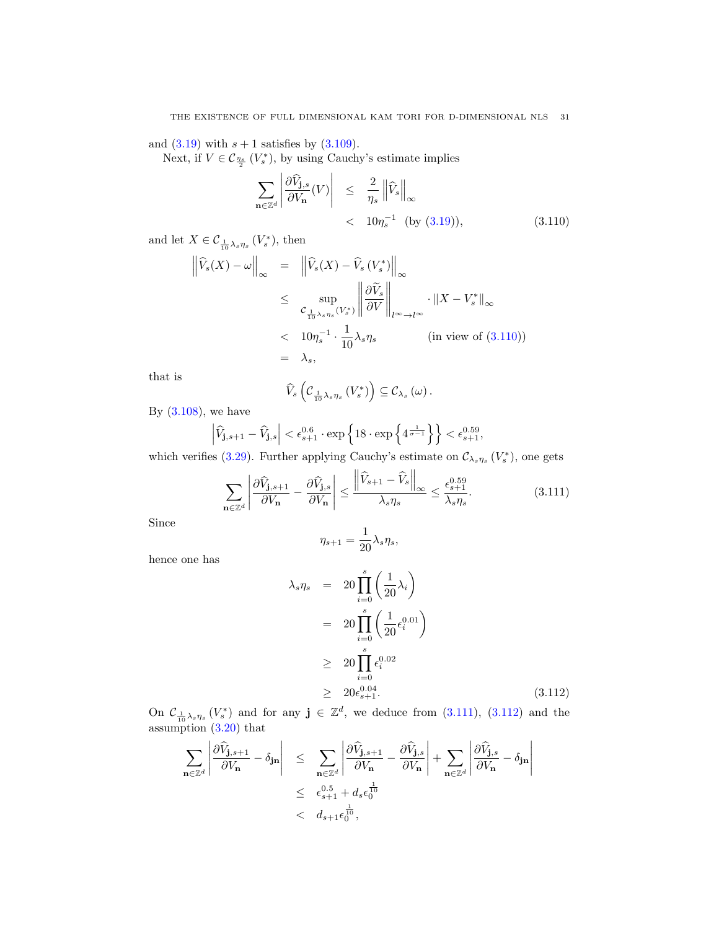and  $(3.19)$  with  $s + 1$  satisfies by  $(3.109)$ .

Next, if  $V \in C_{\frac{\eta_s}{2}}(V_s^*)$ , by using Cauchy's estimate implies

<span id="page-30-0"></span>
$$
\sum_{\mathbf{n}\in\mathbb{Z}^d} \left| \frac{\partial \widehat{V}_{\mathbf{j},s}}{\partial V_{\mathbf{n}}}(V) \right| \leq \frac{2}{\eta_s} \left\| \widehat{V}_s \right\|_{\infty} \leq 10\eta_s^{-1} \text{ (by (3.19))}, \tag{3.110}
$$

and let  $X \in \mathcal{C}_{\frac{1}{10}\lambda_s\eta_s}(V_s^*)$ , then

$$
\left\| \widehat{V}_s(X) - \omega \right\|_{\infty} = \left\| \widehat{V}_s(X) - \widehat{V}_s(V_s^*) \right\|_{\infty}
$$
  
\n
$$
\leq \sup_{\substack{\mathcal{C}_{\frac{1}{10}\lambda_s\eta_s}(V_s^*) \\ \leq 10\eta_s^{-1} \cdot \frac{1}{10}\lambda_s\eta_s}} \cdot \left\| X - V_s^* \right\|_{\infty}
$$
  
\n
$$
\leq 10\eta_s^{-1} \cdot \frac{1}{10}\lambda_s\eta_s \qquad \text{(in view of (3.110))}
$$
  
\n
$$
= \lambda_s,
$$

that is

$$
\widehat{V}_s\left(\mathcal{C}_{\frac{1}{10}\lambda_s\eta_s}\left(V_s^*\right)\right)\subseteq \mathcal{C}_{\lambda_s}\left(\omega\right).
$$

By  $(3.108)$ , we have

$$
\left|\widehat{V}_{\mathbf{j},s+1} - \widehat{V}_{\mathbf{j},s}\right| < \epsilon_{s+1}^{0.6} \cdot \exp\left\{18 \cdot \exp\left\{4^{\frac{1}{\sigma-1}}\right\}\right\} < \epsilon_{s+1}^{0.59},
$$

which verifies [\(3.29\)](#page-15-3). Further applying Cauchy's estimate on  $\mathcal{C}_{\lambda_s\eta_s}(V_s^*)$ , one gets

<span id="page-30-1"></span>
$$
\sum_{\mathbf{n}\in\mathbb{Z}^d} \left| \frac{\partial \widehat{V}_{\mathbf{j},s+1}}{\partial V_{\mathbf{n}}} - \frac{\partial \widehat{V}_{\mathbf{j},s}}{\partial V_{\mathbf{n}}} \right| \le \frac{\left\| \widehat{V}_{s+1} - \widehat{V}_{s} \right\|_{\infty}}{\lambda_s \eta_s} \le \frac{\epsilon_{s+1}^{0.59}}{\lambda_s \eta_s}.
$$
\n(3.111)

Since

$$
\eta_{s+1} = \frac{1}{20} \lambda_s \eta_s,
$$

hence one has

<span id="page-30-2"></span>
$$
\lambda_s \eta_s = 20 \prod_{i=0}^s \left(\frac{1}{20} \lambda_i\right)
$$
  
= 
$$
20 \prod_{i=0}^s \left(\frac{1}{20} \epsilon_i^{0.01}\right)
$$
  

$$
\geq 20 \prod_{i=0}^s \epsilon_i^{0.02}
$$
  

$$
\geq 20 \epsilon_{s+1}^{0.04}.
$$
 (3.112)

On  $\mathcal{C}_{\frac{1}{10}\lambda_s\eta_s}(V_s^*)$  and for any  $\mathbf{j} \in \mathbb{Z}^d$ , we deduce from [\(3.111\)](#page-30-1), [\(3.112\)](#page-30-2) and the assumption [\(3.20\)](#page-14-2) that

$$
\sum_{\mathbf{n}\in\mathbb{Z}^d} \left| \frac{\partial \widehat{V}_{\mathbf{j},s+1}}{\partial V_{\mathbf{n}}} - \delta_{\mathbf{j}\mathbf{n}} \right| \leq \sum_{\mathbf{n}\in\mathbb{Z}^d} \left| \frac{\partial \widehat{V}_{\mathbf{j},s+1}}{\partial V_{\mathbf{n}}} - \frac{\partial \widehat{V}_{\mathbf{j},s}}{\partial V_{\mathbf{n}}} \right| + \sum_{\mathbf{n}\in\mathbb{Z}^d} \left| \frac{\partial \widehat{V}_{\mathbf{j},s}}{\partial V_{\mathbf{n}}} - \delta_{\mathbf{j}\mathbf{n}} \right|
$$
  

$$
\leq \epsilon_{s+1}^{0.5} + d_s \epsilon_0^{\frac{1}{10}}
$$
  

$$
< d_{s+1} \epsilon_0^{\frac{1}{10}},
$$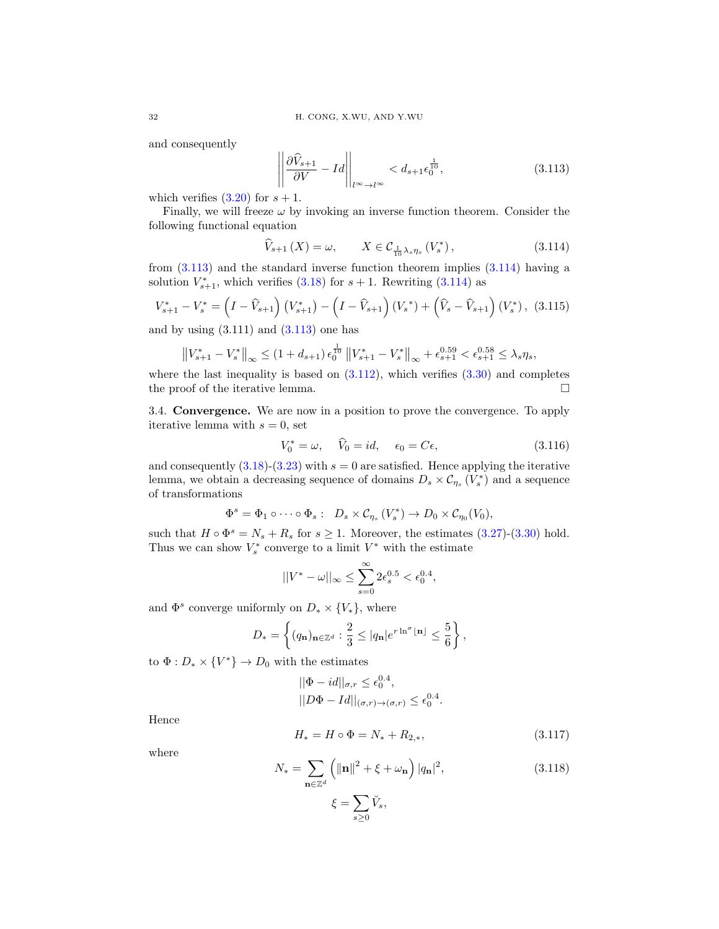and consequently

<span id="page-31-0"></span>
$$
\left\| \frac{\partial \widehat{V}_{s+1}}{\partial V} - Id \right\|_{l^{\infty} \to l^{\infty}} < d_{s+1} \epsilon_0^{\frac{1}{10}}, \tag{3.113}
$$

which verifies  $(3.20)$  for  $s + 1$ .

Finally, we will freeze  $\omega$  by invoking an inverse function theorem. Consider the following functional equation

<span id="page-31-1"></span>
$$
\widehat{V}_{s+1}\left(X\right) = \omega, \qquad X \in \mathcal{C}_{\frac{1}{10}\lambda_s \eta_s}\left(V_s^*\right),\tag{3.114}
$$

from [\(3.113\)](#page-31-0) and the standard inverse function theorem implies [\(3.114\)](#page-31-1) having a solution  $V_{s+1}^*$ , which verifies [\(3.18\)](#page-14-2) for  $s + 1$ . Rewriting [\(3.114\)](#page-31-1) as

$$
V_{s+1}^* - V_s^* = \left(I - \widehat{V}_{s+1}\right)\left(V_{s+1}^*\right) - \left(I - \widehat{V}_{s+1}\right)\left(V_s^*\right) + \left(\widehat{V}_s - \widehat{V}_{s+1}\right)\left(V_s^*\right), \tag{3.115}
$$

and by using  $(3.111)$  and  $(3.113)$  one has

$$
\left\|V_{s+1}^*-V_s^*\right\|_{\infty} \leq (1+d_{s+1})\,\epsilon_0^{\frac{1}{10}}\left\|V_{s+1}^*-V_s^*\right\|_{\infty} + \epsilon_{s+1}^{0.59} < \epsilon_{s+1}^{0.58} \leq \lambda_s \eta_s,
$$

where the last inequality is based on  $(3.112)$ , which verifies  $(3.30)$  and completes the proof of the iterative lemma.

3.4. Convergence. We are now in a position to prove the convergence. To apply iterative lemma with  $s = 0$ , set

<span id="page-31-2"></span>
$$
V_0^* = \omega, \quad \widehat{V}_0 = id, \quad \epsilon_0 = C\epsilon,
$$
\n(3.116)

and consequently  $(3.18)-(3.23)$  $(3.18)-(3.23)$  $(3.18)-(3.23)$  with  $s=0$  are satisfied. Hence applying the iterative lemma, we obtain a decreasing sequence of domains  $D_s \times C_{\eta_s} (V_s^*)$  and a sequence of transformations

$$
\Phi^s = \Phi_1 \circ \cdots \circ \Phi_s: D_s \times C_{\eta_s} (V_s^*) \to D_0 \times C_{\eta_0}(V_0),
$$

such that  $H \circ \Phi^s = N_s + R_s$  for  $s \ge 1$ . Moreover, the estimates [\(3.27\)](#page-15-1)-[\(3.30\)](#page-15-4) hold. Thus we can show  $V_s^*$  converge to a limit  $V^*$  with the estimate

$$
||V^*-\omega||_\infty\leq \sum_{s=0}^\infty 2\epsilon_s^{0.5}<\epsilon_0^{0.4},
$$

and  $\Phi^s$  converge uniformly on  $D_* \times \{V_*\}$ , where

$$
D_* = \left\{ (q_{\mathbf{n}})_{\mathbf{n} \in \mathbb{Z}^d} : \frac{2}{3} \le |q_{\mathbf{n}}|e^{r \ln^{\sigma} \lfloor \mathbf{n} \rfloor} \le \frac{5}{6} \right\},\,
$$

to  $\Phi: D_* \times \{V^*\} \to D_0$  with the estimates

<span id="page-31-3"></span>
$$
||\Phi - id||_{\sigma,r} \le \epsilon_0^{0.4},
$$
  

$$
||D\Phi - Id||_{(\sigma,r)\to(\sigma,r)} \le \epsilon_0^{0.4}.
$$

Hence

$$
H_* = H \circ \Phi = N_* + R_{2,*},\tag{3.117}
$$

where

$$
N_{*} = \sum_{\mathbf{n} \in \mathbb{Z}^{d}} \left( \|\mathbf{n}\|^{2} + \xi + \omega_{\mathbf{n}} \right) |q_{\mathbf{n}}|^{2},
$$
\n
$$
\xi = \sum_{s \ge 0} \check{V}_{s},
$$
\n(3.118)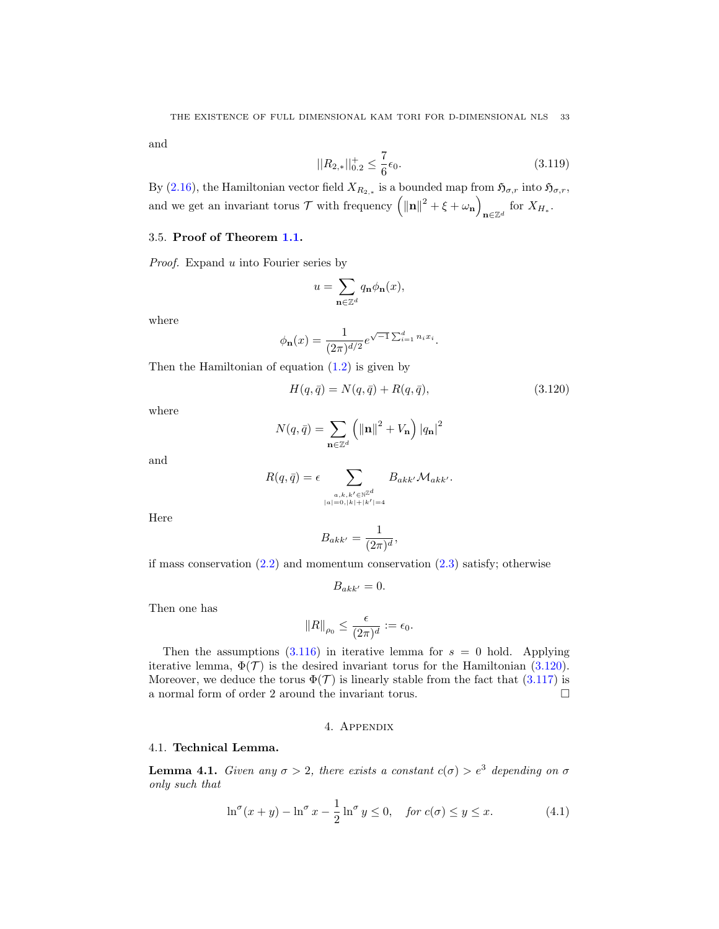and

$$
||R_{2,*}||_{0.2}^{+} \le \frac{7}{6}\epsilon_0. \tag{3.119}
$$

By [\(2.16\)](#page-7-4), the Hamiltonian vector field  $X_{R_{2,*}}$  is a bounded map from  $\mathfrak{H}_{\sigma,r}$  into  $\mathfrak{H}_{\sigma,r}$ , and we get an invariant torus  $\mathcal{T}$  with frequency  $(|\mathbf{n}|^2 + \xi + \omega_{\mathbf{n}})$  $n \in \mathbb{Z}^d$  for  $X_{H_*}.$ 

### 3.5. Proof of Theorem [1.1.](#page-2-0)

Proof. Expand u into Fourier series by

$$
u = \sum_{\mathbf{n} \in \mathbb{Z}^d} q_{\mathbf{n}} \phi_{\mathbf{n}}(x),
$$

where

$$
\phi_{\mathbf{n}}(x) = \frac{1}{(2\pi)^{d/2}} e^{\sqrt{-1} \sum_{i=1}^{d} n_i x_i}.
$$

Then the Hamiltonian of equation  $(1.2)$  is given by

<span id="page-32-1"></span>
$$
H(q, \bar{q}) = N(q, \bar{q}) + R(q, \bar{q}), \qquad (3.120)
$$

where

$$
N(q,\bar{q}) = \sum_{\mathbf{n}\in\mathbb{Z}^d} \left( \|\mathbf{n}\|^2 + V_{\mathbf{n}} \right) |q_{\mathbf{n}}|^2
$$

and

$$
R(q,\bar{q}) = \epsilon \sum_{\substack{a,k,k' \in \mathbb{N}^{\mathbb{Z}^d} \\ |a| = 0, |k| + |k'| = 4}} B_{akk'} \mathcal{M}_{akk'}.
$$

Here

$$
B_{akk'} = \frac{1}{(2\pi)^d},
$$

if mass conservation  $(2.2)$  and momentum conservation  $(2.3)$  satisfy; otherwise

$$
B_{akk'}=0.
$$

Then one has

$$
||R||_{\rho_0} \le \frac{\epsilon}{(2\pi)^d} := \epsilon_0.
$$

Then the assumptions  $(3.116)$  in iterative lemma for  $s = 0$  hold. Applying iterative lemma,  $\Phi(\mathcal{T})$  is the desired invariant torus for the Hamiltonian [\(3.120\)](#page-32-1). Moreover, we deduce the torus  $\Phi(\mathcal{T})$  is linearly stable from the fact that [\(3.117\)](#page-31-3) is a normal form of order 2 around the invariant torus.  $\Box$ 

#### 4. Appendix

### 4.1. Technical Lemma.

<span id="page-32-0"></span>**Lemma 4.1.** Given any  $\sigma > 2$ , there exists a constant  $c(\sigma) > e^3$  depending on  $\sigma$ only such that

<span id="page-32-2"></span>
$$
\ln^{\sigma}(x+y) - \ln^{\sigma} x - \frac{1}{2}\ln^{\sigma} y \le 0, \quad \text{for } c(\sigma) \le y \le x. \tag{4.1}
$$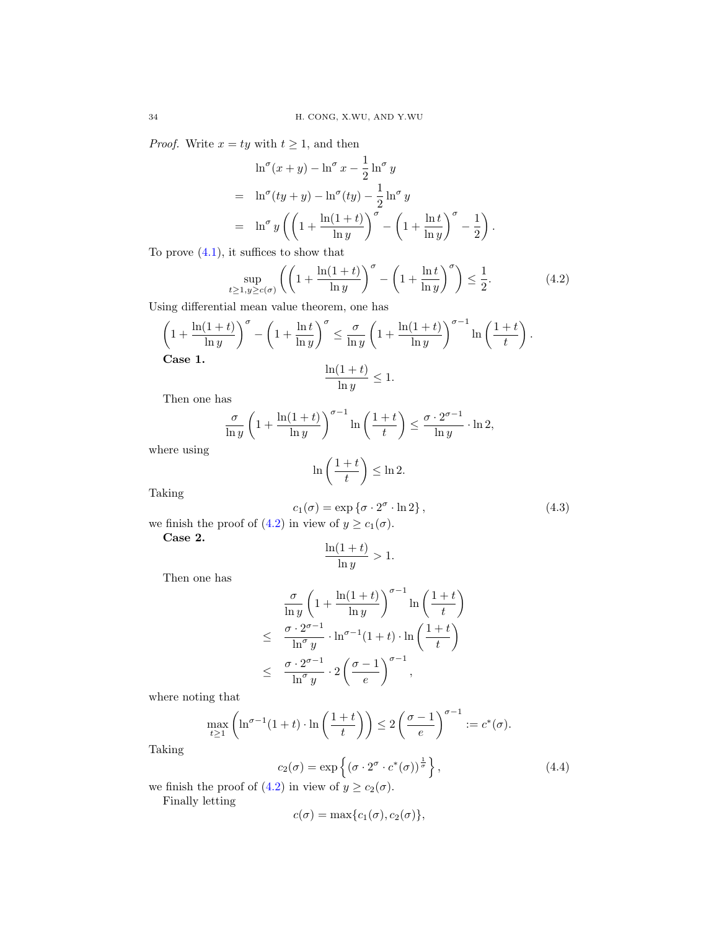*Proof.* Write  $x = ty$  with  $t \ge 1$ , and then

$$
\ln^{\sigma}(x+y) - \ln^{\sigma} x - \frac{1}{2} \ln^{\sigma} y
$$
  
= 
$$
\ln^{\sigma}(ty+y) - \ln^{\sigma}(ty) - \frac{1}{2} \ln^{\sigma} y
$$
  
= 
$$
\ln^{\sigma} y \left( \left( 1 + \frac{\ln(1+t)}{\ln y} \right)^{\sigma} - \left( 1 + \frac{\ln t}{\ln y} \right)^{\sigma} - \frac{1}{2} \right).
$$

To prove  $(4.1)$ , it suffices to show that

<span id="page-33-0"></span>
$$
\sup_{t \ge 1, y \ge c(\sigma)} \left( \left( 1 + \frac{\ln(1+t)}{\ln y} \right)^{\sigma} - \left( 1 + \frac{\ln t}{\ln y} \right)^{\sigma} \right) \le \frac{1}{2}.
$$
\n(4.2)

Using differential mean value theorem, one has

$$
\left(1 + \frac{\ln(1+t)}{\ln y}\right)^{\sigma} - \left(1 + \frac{\ln t}{\ln y}\right)^{\sigma} \le \frac{\sigma}{\ln y} \left(1 + \frac{\ln(1+t)}{\ln y}\right)^{\sigma - 1} \ln\left(\frac{1+t}{t}\right).
$$
  
Case 1.  

$$
\frac{\ln(1+t)}{\ln y} \le 1.
$$

Then one has

$$
\frac{\sigma}{\ln y} \left( 1 + \frac{\ln(1+t)}{\ln y} \right)^{\sigma - 1} \ln \left( \frac{1+t}{t} \right) \le \frac{\sigma \cdot 2^{\sigma - 1}}{\ln y} \cdot \ln 2,
$$

where using

$$
\ln\left(\frac{1+t}{t}\right) \le \ln 2.
$$

Taking

<span id="page-33-1"></span>
$$
c_1(\sigma) = \exp \{ \sigma \cdot 2^{\sigma} \cdot \ln 2 \}, \tag{4.3}
$$

we finish the proof of [\(4.2\)](#page-33-0) in view of  $y \ge c_1(\sigma)$ .

Case 2.

$$
\frac{\ln(1+t)}{\ln y} > 1.
$$

Then one has

$$
\frac{\sigma}{\ln y} \left( 1 + \frac{\ln(1+t)}{\ln y} \right)^{\sigma - 1} \ln \left( \frac{1+t}{t} \right)
$$
\n
$$
\leq \frac{\sigma \cdot 2^{\sigma - 1}}{\ln^{\sigma} y} \cdot \ln^{\sigma - 1} (1+t) \cdot \ln \left( \frac{1+t}{t} \right)
$$
\n
$$
\leq \frac{\sigma \cdot 2^{\sigma - 1}}{\ln^{\sigma} y} \cdot 2 \left( \frac{\sigma - 1}{e} \right)^{\sigma - 1},
$$

where noting that

$$
\max_{t \ge 1} \left( \ln^{\sigma - 1} (1 + t) \cdot \ln \left( \frac{1 + t}{t} \right) \right) \le 2 \left( \frac{\sigma - 1}{e} \right)^{\sigma - 1} := c^*(\sigma).
$$

Taking

<span id="page-33-2"></span>
$$
c_2(\sigma) = \exp\left\{ (\sigma \cdot 2^{\sigma} \cdot c^*(\sigma))^{\frac{1}{\sigma}} \right\},\tag{4.4}
$$

we finish the proof of [\(4.2\)](#page-33-0) in view of  $y \ge c_2(\sigma)$ .

Finally letting

$$
c(\sigma) = \max\{c_1(\sigma), c_2(\sigma)\},\
$$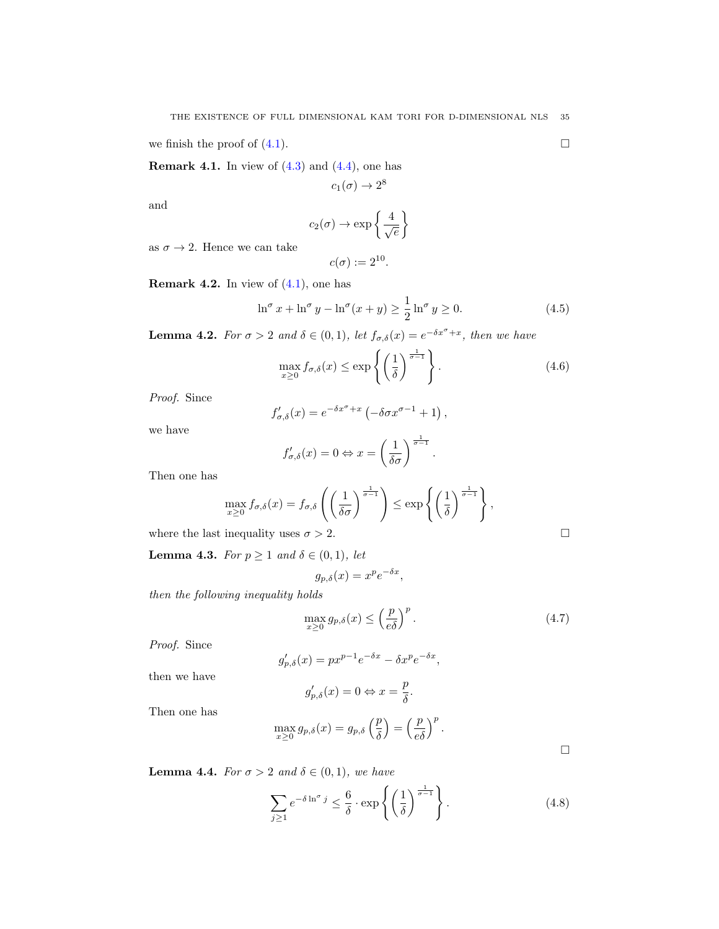we finish the proof of  $(4.1)$ .

**Remark 4.1.** In view of  $(4.3)$  and  $(4.4)$ , one has

$$
c_1(\sigma) \to 2^8
$$

and

$$
c_2(\sigma) \to \exp\left\{\frac{4}{\sqrt{e}}\right\}
$$

as  $\sigma \rightarrow 2.$  Hence we can take

$$
c(\sigma) := 2^{10}.
$$

<span id="page-34-1"></span>**Remark 4.2.** In view of  $(4.1)$ , one has

<span id="page-34-0"></span>
$$
\ln^{\sigma} x + \ln^{\sigma} y - \ln^{\sigma} (x + y) \ge \frac{1}{2} \ln^{\sigma} y \ge 0.
$$
 (4.5)

**Lemma 4.2.** For  $\sigma > 2$  and  $\delta \in (0,1)$ , let  $f_{\sigma,\delta}(x) = e^{-\delta x^{\sigma} + x}$ , then we have

<span id="page-34-4"></span>
$$
\max_{x \ge 0} f_{\sigma,\delta}(x) \le \exp\left\{ \left(\frac{1}{\delta}\right)^{\frac{1}{\sigma-1}} \right\}.
$$
\n(4.6)

Proof. Since

$$
f'_{\sigma,\delta}(x) = e^{-\delta x^{\sigma} + x} \left( -\delta \sigma x^{\sigma - 1} + 1 \right),
$$

we have

$$
f'_{\sigma,\delta}(x) = 0 \Leftrightarrow x = \left(\frac{1}{\delta\sigma}\right)^{\frac{1}{\sigma-1}}.
$$

Then one has

$$
\max_{x\geq 0} f_{\sigma,\delta}(x) = f_{\sigma,\delta}\left(\left(\frac{1}{\delta\sigma}\right)^{\frac{1}{\sigma-1}}\right) \leq \exp\left\{\left(\frac{1}{\delta}\right)^{\frac{1}{\sigma-1}}\right\},\,
$$

where the last inequality uses  $\sigma > 2$ .

<span id="page-34-6"></span>**Lemma 4.3.** For  $p \geq 1$  and  $\delta \in (0,1)$ , let

$$
g_{p,\delta}(x) = x^p e^{-\delta x},
$$

then the following inequality holds

<span id="page-34-2"></span>
$$
\max_{x \ge 0} g_{p,\delta}(x) \le \left(\frac{p}{e\delta}\right)^p. \tag{4.7}
$$

Proof. Since

$$
g'_{p,\delta}(x) = px^{p-1}e^{-\delta x} - \delta x^p e^{-\delta x},
$$

then we have

$$
g'_{p,\delta}(x) = 0 \Leftrightarrow x = \frac{p}{\delta}.
$$

Then one has

$$
\max_{x\geq 0} g_{p,\delta}(x) = g_{p,\delta}\left(\frac{p}{\delta}\right) = \left(\frac{p}{e\delta}\right)^p.
$$

 $\Box$ 

<span id="page-34-5"></span>**Lemma 4.4.** For  $\sigma > 2$  and  $\delta \in (0,1)$ , we have

<span id="page-34-3"></span>
$$
\sum_{j\geq 1} e^{-\delta \ln^{\sigma} j} \leq \frac{6}{\delta} \cdot \exp\left\{ \left( \frac{1}{\delta} \right)^{\frac{1}{\sigma - 1}} \right\}.
$$
 (4.8)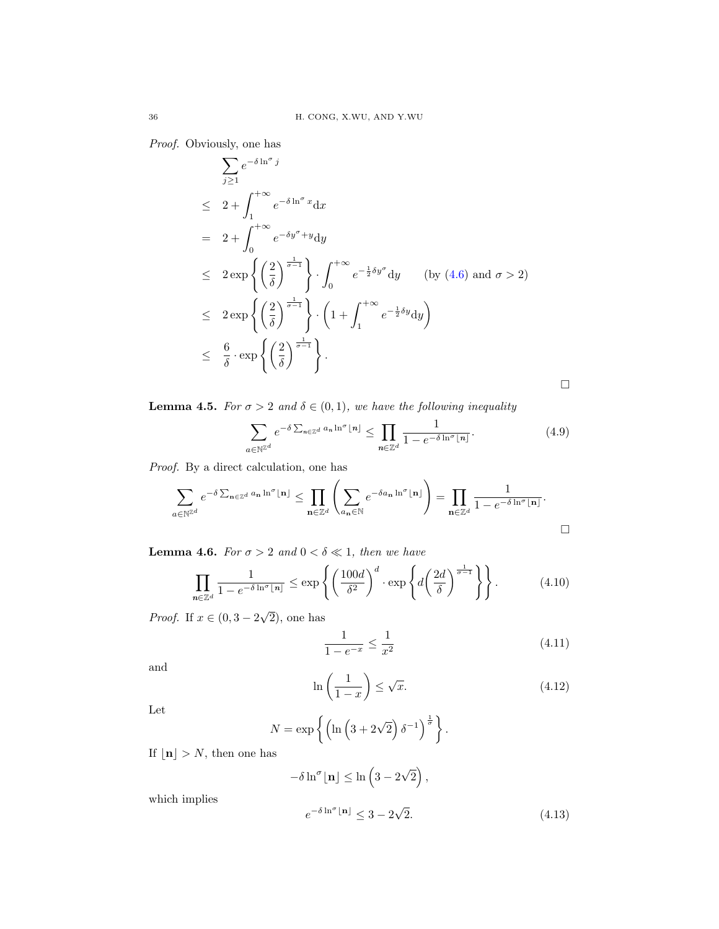Proof. Obviously, one has

$$
\sum_{j\geq 1} e^{-\delta \ln^{\sigma} j}
$$
\n
$$
\leq 2 + \int_{1}^{+\infty} e^{-\delta \ln^{\sigma} x} dx
$$
\n
$$
= 2 + \int_{0}^{+\infty} e^{-\delta y^{\sigma} + y} dy
$$
\n
$$
\leq 2 \exp \left\{ \left( \frac{2}{\delta} \right)^{\frac{1}{\sigma - 1}} \right\} \cdot \int_{0}^{+\infty} e^{-\frac{1}{2} \delta y^{\sigma}} dy \quad \text{(by (4.6) and } \sigma > 2)
$$
\n
$$
\leq 2 \exp \left\{ \left( \frac{2}{\delta} \right)^{\frac{1}{\sigma - 1}} \right\} \cdot \left( 1 + \int_{1}^{+\infty} e^{-\frac{1}{2} \delta y} dy \right)
$$
\n
$$
\leq \frac{6}{\delta} \cdot \exp \left\{ \left( \frac{2}{\delta} \right)^{\frac{1}{\sigma - 1}} \right\}.
$$

 $\Box$ 

<span id="page-35-3"></span>**Lemma 4.5.** For  $\sigma > 2$  and  $\delta \in (0,1)$ , we have the following inequality

<span id="page-35-0"></span>
$$
\sum_{a \in \mathbb{N}^{\mathbb{Z}^d}} e^{-\delta \sum_{n \in \mathbb{Z}^d} a_n \ln^{\sigma} \lfloor n \rfloor} \le \prod_{n \in \mathbb{Z}^d} \frac{1}{1 - e^{-\delta \ln^{\sigma} \lfloor n \rfloor}}.
$$
\n(4.9)

Proof. By a direct calculation, one has

$$
\sum_{a \in \mathbb{N}^{\mathbb{Z}^d}} e^{-\delta \sum_{\mathbf{n} \in \mathbb{Z}^d} a_{\mathbf{n}} \ln^{\sigma} \lfloor \mathbf{n} \rfloor} \leq \prod_{\mathbf{n} \in \mathbb{Z}^d} \left( \sum_{a_{\mathbf{n}} \in \mathbb{N}} e^{-\delta a_{\mathbf{n}} \ln^{\sigma} \lfloor \mathbf{n} \rfloor} \right) = \prod_{\mathbf{n} \in \mathbb{Z}^d} \frac{1}{1 - e^{-\delta \ln^{\sigma} \lfloor \mathbf{n} \rfloor}}.
$$

<span id="page-35-2"></span>**Lemma 4.6.** For  $\sigma > 2$  and  $0 < \delta \ll 1$ , then we have

<span id="page-35-1"></span>
$$
\prod_{n \in \mathbb{Z}^d} \frac{1}{1 - e^{-\delta \ln \sigma} \lfloor n \rfloor} \le \exp \left\{ \left( \frac{100d}{\delta^2} \right)^d \cdot \exp \left\{ d \left( \frac{2d}{\delta} \right)^{\frac{1}{\sigma - 1}} \right\} \right\}.
$$
 (4.10)

*Proof.* If  $x \in (0, 3 - 2)$ 2), one has

<span id="page-35-4"></span>
$$
\frac{1}{1 - e^{-x}} \le \frac{1}{x^2} \tag{4.11}
$$

and

<span id="page-35-5"></span>
$$
\ln\left(\frac{1}{1-x}\right) \le \sqrt{x}.\tag{4.12}
$$

Let

$$
N = \exp\left\{ \left( \ln\left(3 + 2\sqrt{2}\right) \delta^{-1} \right)^{\frac{1}{\sigma}} \right\}.
$$

If  $\lfloor n \rfloor > N$ , then one has

which implies

<span id="page-35-6"></span>
$$
-\delta \ln^{\sigma}[\mathbf{n}] \le \ln\left(3 - 2\sqrt{2}\right),
$$
  

$$
e^{-\delta \ln^{\sigma}[\mathbf{n}]} \le 3 - 2\sqrt{2}.
$$
 (4.13)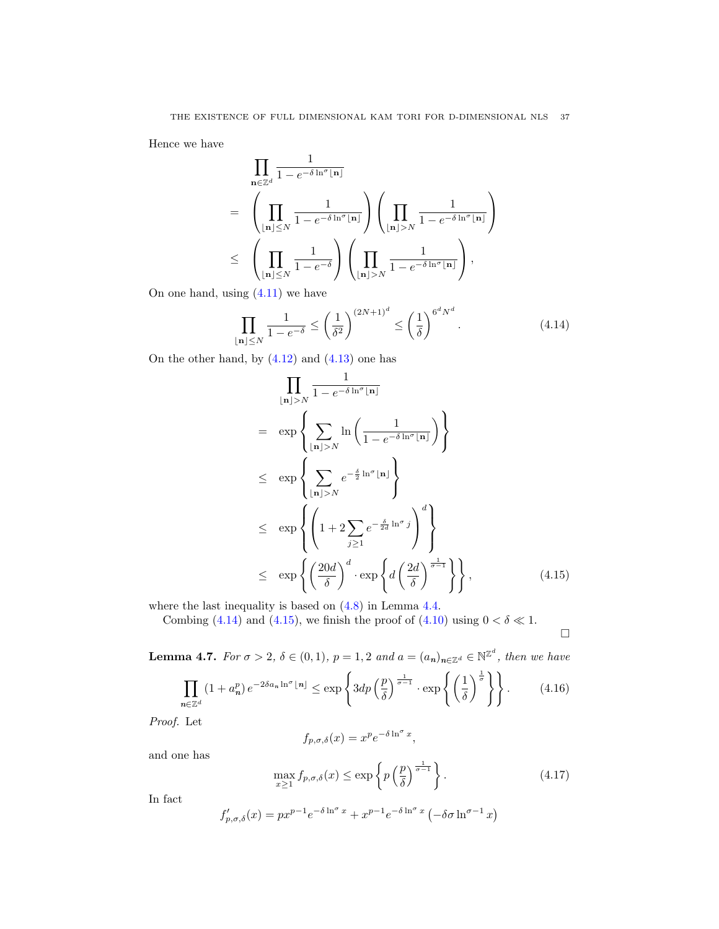Hence we have

$$
\prod_{\mathbf{n}\in\mathbb{Z}^d} \frac{1}{1 - e^{-\delta \ln^{\sigma}[\mathbf{n}]}}
$$
\n
$$
= \left(\prod_{\lfloor \mathbf{n}\rfloor \leq N} \frac{1}{1 - e^{-\delta \ln^{\sigma}[\mathbf{n}]}}\right) \left(\prod_{\lfloor \mathbf{n}\rfloor > N} \frac{1}{1 - e^{-\delta \ln^{\sigma}[\mathbf{n}]}}\right)
$$
\n
$$
\leq \left(\prod_{\lfloor \mathbf{n}\rfloor \leq N} \frac{1}{1 - e^{-\delta}}\right) \left(\prod_{\lfloor \mathbf{n}\rfloor > N} \frac{1}{1 - e^{-\delta \ln^{\sigma}[\mathbf{n}]}}\right),
$$
\n
$$
\lim_{\text{min } (4, 11) \text{ m is has } }
$$

On one hand, using [\(4.11\)](#page-35-4) we have

<span id="page-36-1"></span>
$$
\prod_{\lfloor n \rfloor \le N} \frac{1}{1 - e^{-\delta}} \le \left(\frac{1}{\delta^2}\right)^{(2N+1)^d} \le \left(\frac{1}{\delta}\right)^{6^d N^d}.\tag{4.14}
$$

On the other hand, by [\(4.12\)](#page-35-5) and [\(4.13\)](#page-35-6) one has

<span id="page-36-2"></span>
$$
\prod_{\lfloor n \rfloor > N} \frac{1}{1 - e^{-\delta \ln^{\sigma} \lfloor n \rfloor}} \n= \exp \left\{ \sum_{\lfloor n \rfloor > N} \ln \left( \frac{1}{1 - e^{-\delta \ln^{\sigma} \lfloor n \rfloor}} \right) \right\} \n\le \exp \left\{ \sum_{\lfloor n \rfloor > N} e^{-\frac{\delta}{2} \ln^{\sigma} \lfloor n \rfloor} \right\} \n\le \exp \left\{ \left( 1 + 2 \sum_{j \ge 1} e^{-\frac{\delta}{2d} \ln^{\sigma} j} \right)^{d} \right\} \n\le \exp \left\{ \left( \frac{20d}{\delta} \right)^{d} \cdot \exp \left\{ d \left( \frac{2d}{\delta} \right)^{\frac{1}{\sigma - 1}} \right\} \right\},
$$
\n(4.15)

where the last inequality is based on [\(4.8\)](#page-34-3) in Lemma [4.4.](#page-34-5)

Combing [\(4.14\)](#page-36-1) and [\(4.15\)](#page-36-2), we finish the proof of [\(4.10\)](#page-35-1) using  $0 < \delta \ll 1$ .

 $\Box$ 

<span id="page-36-0"></span>**Lemma 4.7.** For 
$$
\sigma > 2
$$
,  $\delta \in (0, 1)$ ,  $p = 1, 2$  and  $a = (a_n)_{n \in \mathbb{Z}^d} \in \mathbb{N}^{\mathbb{Z}^d}$ , then we have\n
$$
\prod_{n \in \mathbb{Z}^d} (1 + a_n^p) e^{-2\delta a_n \ln^{\sigma} \lfloor n \rfloor} \leq \exp\left\{3dp \left(\frac{p}{\delta}\right)^{\frac{1}{\sigma-1}} \cdot \exp\left\{\left(\frac{1}{\delta}\right)^{\frac{1}{\sigma}}\right\}\right\}.
$$
\n(4.16)

Proof. Let

$$
f_{p,\sigma,\delta}(x) = x^p e^{-\delta \ln^{\sigma} x},
$$

and one has

<span id="page-36-3"></span>
$$
\max_{x \ge 1} f_{p,\sigma,\delta}(x) \le \exp\left\{ p \left(\frac{p}{\delta}\right)^{\frac{1}{\sigma-1}} \right\}.
$$
\n(4.17)

In fact

$$
f'_{p,\sigma,\delta}(x) = px^{p-1}e^{-\delta \ln^{\sigma} x} + x^{p-1}e^{-\delta \ln^{\sigma} x} \left(-\delta \sigma \ln^{\sigma-1} x\right)
$$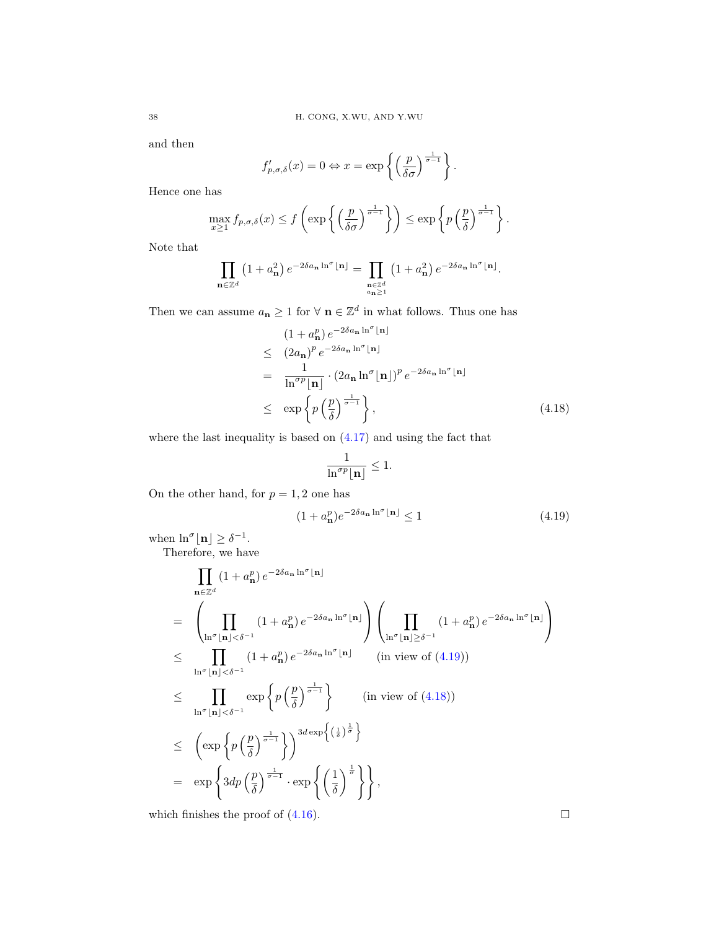and then

$$
f'_{p,\sigma,\delta}(x) = 0 \Leftrightarrow x = \exp\left\{ \left( \frac{p}{\delta \sigma} \right)^{\frac{1}{\sigma-1}} \right\}.
$$

Hence one has

$$
\max_{x\geq 1} f_{p,\sigma,\delta}(x) \leq f\left(\exp\left\{\left(\frac{p}{\delta\sigma}\right)^{\frac{1}{\sigma-1}}\right\}\right) \leq \exp\left\{p\left(\frac{p}{\delta}\right)^{\frac{1}{\sigma-1}}\right\}.
$$

Note that

$$
\prod_{\mathbf{n}\in\mathbb{Z}^d} \left(1+a_{\mathbf{n}}^2\right)e^{-2\delta a_{\mathbf{n}}\ln^{\sigma}\lfloor\mathbf{n}\rfloor} = \prod_{\substack{\mathbf{n}\in\mathbb{Z}^d\\ a_{\mathbf{n}}\geq 1}} \left(1+a_{\mathbf{n}}^2\right)e^{-2\delta a_{\mathbf{n}}\ln^{\sigma}\lfloor\mathbf{n}\rfloor}.
$$

Then we can assume  $a_{\mathbf{n}} \geq 1$  for  $\forall \mathbf{n} \in \mathbb{Z}^d$  in what follows. Thus one has

<span id="page-37-1"></span>
$$
(1 + a_{\mathbf{n}}^{p}) e^{-2\delta a_{\mathbf{n}} \ln^{\sigma}[\mathbf{n}]}
$$
  
\n
$$
\leq (2a_{\mathbf{n}})^{p} e^{-2\delta a_{\mathbf{n}} \ln^{\sigma}[\mathbf{n}]}
$$
  
\n
$$
= \frac{1}{\ln^{\sigma p}[\mathbf{n}]} \cdot (2a_{\mathbf{n}} \ln^{\sigma}[\mathbf{n}])^{p} e^{-2\delta a_{\mathbf{n}} \ln^{\sigma}[\mathbf{n}]}
$$
  
\n
$$
\leq \exp \left\{ p \left(\frac{p}{\delta}\right)^{\frac{1}{\sigma - 1}} \right\},
$$
\n(4.18)

where the last inequality is based on  $(4.17)$  and using the fact that

$$
\frac{1}{\ln^{\sigma p} \lfloor \mathbf{n} \rfloor} \leq 1.
$$

On the other hand, for  $p = 1, 2$  one has

<span id="page-37-0"></span>
$$
(1 + a_{\mathbf{n}}^p) e^{-2\delta a_{\mathbf{n}} \ln^{\sigma} \lfloor \mathbf{n} \rfloor} \le 1 \tag{4.19}
$$

when  $\ln^{\sigma}|\mathbf{n}| \geq \delta^{-1}$ .

Therefore, we have

$$
\prod_{\mathbf{n}\in\mathbb{Z}^{d}}(1+a_{\mathbf{n}}^{p})e^{-2\delta a_{\mathbf{n}}\ln^{\sigma}|\mathbf{n}|}
$$
\n
$$
=\left(\prod_{\ln^{\sigma}|\mathbf{n}|<\delta^{-1}}(1+a_{\mathbf{n}}^{p})e^{-2\delta a_{\mathbf{n}}\ln^{\sigma}|\mathbf{n}|}\right)\left(\prod_{\ln^{\sigma}|\mathbf{n}|\geq\delta^{-1}}(1+a_{\mathbf{n}}^{p})e^{-2\delta a_{\mathbf{n}}\ln^{\sigma}|\mathbf{n}|}\right)
$$
\n
$$
\leq \prod_{\ln^{\sigma}|\mathbf{n}|<\delta^{-1}}(1+a_{\mathbf{n}}^{p})e^{-2\delta a_{\mathbf{n}}\ln^{\sigma}|\mathbf{n}|} \qquad (\text{in view of (4.19))}
$$
\n
$$
\leq \prod_{\ln^{\sigma}|\mathbf{n}|<\delta^{-1}}\exp\left\{p\left(\frac{p}{\delta}\right)^{\frac{1}{\sigma-1}}\right\} \qquad (\text{in view of (4.18))}
$$
\n
$$
\leq \left(\exp\left\{p\left(\frac{p}{\delta}\right)^{\frac{1}{\sigma-1}}\right\}\right)^{3d\exp\left\{(\frac{1}{\delta})^{\frac{1}{\sigma}}\right\}}
$$
\n
$$
= \exp\left\{3dp\left(\frac{p}{\delta}\right)^{\frac{1}{\sigma-1}}\cdot \exp\left\{\left(\frac{1}{\delta}\right)^{\frac{1}{\sigma}}\right\}\right\},
$$

which finishes the proof of  $(4.16)$ .

$$
^{38}
$$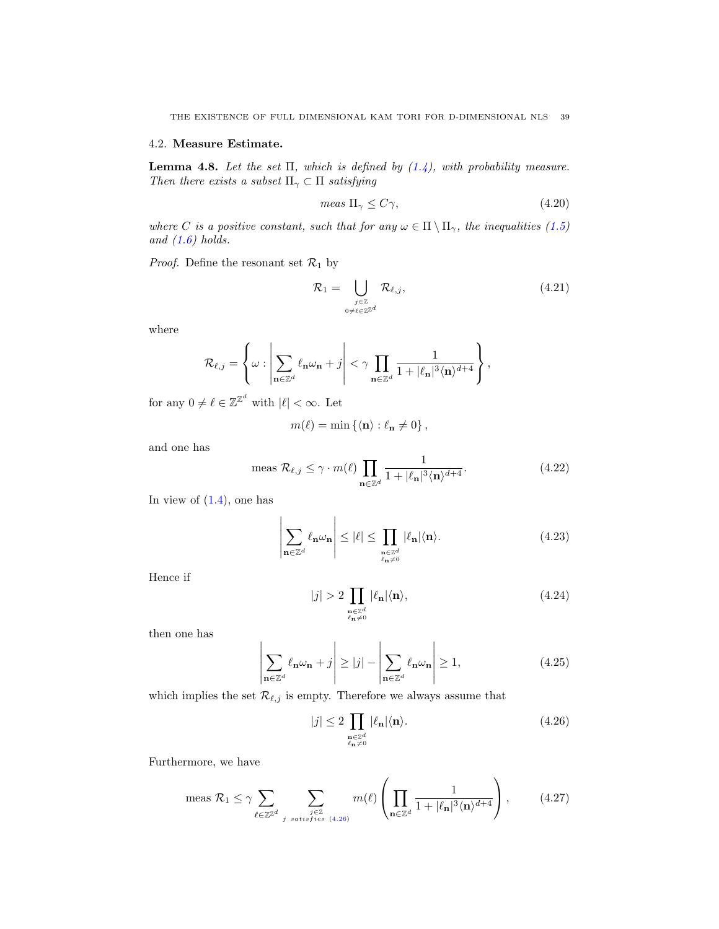### 4.2. Measure Estimate.

<span id="page-38-0"></span>**Lemma 4.8.** Let the set  $\Pi$ , which is defined by  $(1.4)$ , with probability measure. Then there exists a subset  $\Pi_{\gamma} \subset \Pi$  satisfying

$$
meas \Pi_{\gamma} \le C\gamma, \tag{4.20}
$$

where C is a positive constant, such that for any  $\omega \in \Pi \setminus \Pi_{\gamma}$ , the inequalities [\(1.5\)](#page-1-1) and  $(1.6)$  holds.

*Proof.* Define the resonant set  $\mathcal{R}_1$  by

<span id="page-38-4"></span>
$$
\mathcal{R}_1 = \bigcup_{\substack{j \in \mathbb{Z} \\ 0 \neq \ell \in \mathbb{Z}^{\mathbb{Z}^d}}} \mathcal{R}_{\ell,j},\tag{4.21}
$$

where

$$
\mathcal{R}_{\ell,j} = \left\{\omega: \left|\sum_{\mathbf{n}\in\mathbb{Z}^d}\ell_\mathbf{n}\omega_\mathbf{n} + j\right| < \gamma\prod_{\mathbf{n}\in\mathbb{Z}^d}\frac{1}{1+|\ell_\mathbf{n}|^3\langle\mathbf{n}\rangle^{d+4}}\right\},
$$

for any  $0 \neq \ell \in \mathbb{Z}^{\mathbb{Z}^d}$  with  $|\ell| < \infty$ . Let

$$
m(\ell) = \min \left\{ \langle \mathbf{n} \rangle : \ell_{\mathbf{n}} \neq 0 \right\},\
$$

and one has

<span id="page-38-3"></span>meas 
$$
\mathcal{R}_{\ell,j} \le \gamma \cdot m(\ell) \prod_{\mathbf{n} \in \mathbb{Z}^d} \frac{1}{1 + |\ell_{\mathbf{n}}|^3 \langle \mathbf{n} \rangle^{d+4}}.
$$
 (4.22)

In view of  $(1.4)$ , one has

$$
\left| \sum_{\mathbf{n} \in \mathbb{Z}^d} \ell_{\mathbf{n}} \omega_{\mathbf{n}} \right| \leq |\ell| \leq \prod_{\substack{\mathbf{n} \in \mathbb{Z}^d \\ \ell_{\mathbf{n}} \neq 0}} |\ell_{\mathbf{n}}| \langle \mathbf{n} \rangle. \tag{4.23}
$$

Hence if

$$
|j| > 2 \prod_{\substack{\mathbf{n} \in \mathbb{Z}^d \\ \ell_{\mathbf{n}} \neq 0}} |\ell_{\mathbf{n}}| \langle \mathbf{n} \rangle, \tag{4.24}
$$

then one has

$$
\left| \sum_{\mathbf{n} \in \mathbb{Z}^d} \ell_{\mathbf{n}} \omega_{\mathbf{n}} + j \right| \ge |j| - \left| \sum_{\mathbf{n} \in \mathbb{Z}^d} \ell_{\mathbf{n}} \omega_{\mathbf{n}} \right| \ge 1, \tag{4.25}
$$

which implies the set  $\mathcal{R}_{\ell,j}$  is empty. Therefore we always assume that

<span id="page-38-1"></span>
$$
|j| \le 2 \prod_{\substack{\mathbf{n} \in \mathbb{Z}^d \\ \ell_{\mathbf{n}} \neq 0}} |\ell_{\mathbf{n}}| \langle \mathbf{n} \rangle. \tag{4.26}
$$

Furthermore, we have

<span id="page-38-2"></span>
$$
\text{meas } \mathcal{R}_1 \le \gamma \sum_{\ell \in \mathbb{Z}^d} \sum_{\substack{j \in \mathbb{Z} \\ j \text{ satisfies (4.26)}}} m(\ell) \left( \prod_{\mathbf{n} \in \mathbb{Z}^d} \frac{1}{1 + |\ell_{\mathbf{n}}|^3 \langle \mathbf{n} \rangle^{d+4}} \right), \tag{4.27}
$$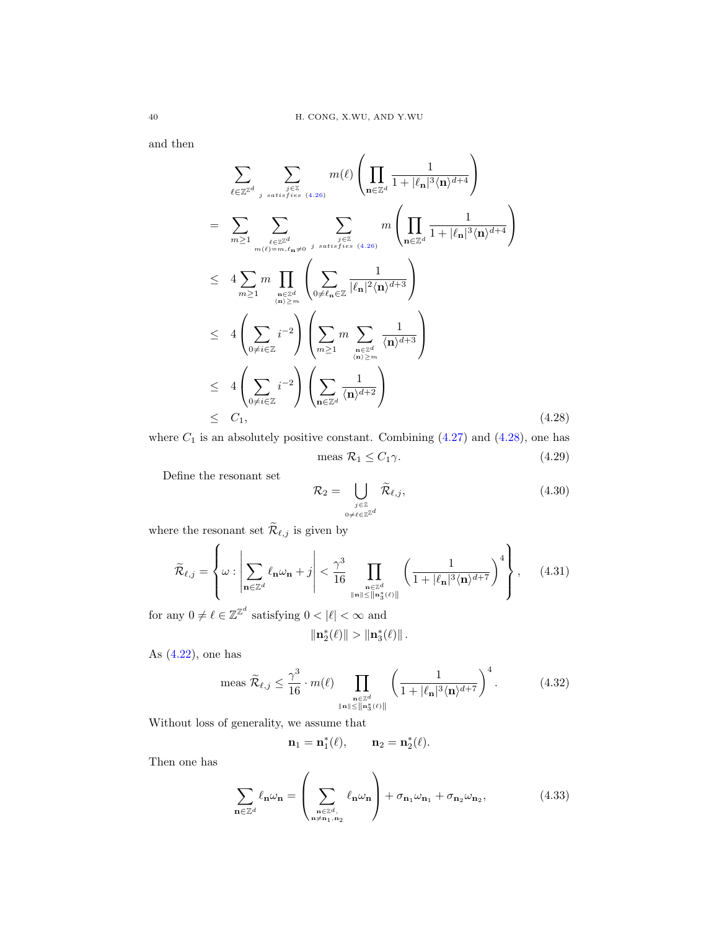and then

<span id="page-39-0"></span>
$$
\sum_{\ell \in \mathbb{Z}^d} \sum_{\substack{j \in \mathbb{Z} \\ j \text{ satisfies (4.26)}}} m(\ell) \left( \prod_{\mathbf{n} \in \mathbb{Z}^d} \frac{1}{1 + |\ell_{\mathbf{n}}|^3 \langle \mathbf{n} \rangle^{d+4}} \right)
$$
\n
$$
= \sum_{m \geq 1} \sum_{\substack{\ell \in \mathbb{Z}^d \\ m(\ell) = m, \ell_{\mathbf{n}} \neq 0}} \sum_{\substack{j \text{ satisfies (4.26)}}} m \left( \prod_{\mathbf{n} \in \mathbb{Z}^d} \frac{1}{1 + |\ell_{\mathbf{n}}|^3 \langle \mathbf{n} \rangle^{d+4}} \right)
$$
\n
$$
\leq 4 \sum_{m \geq 1} m \prod_{\substack{\mathbf{n} \in \mathbb{Z}^d \\ (\mathbf{n}) \geq m}} \left( \sum_{0 \neq \ell_{\mathbf{n}} \in \mathbb{Z}} \frac{1}{|\ell_{\mathbf{n}}|^2 \langle \mathbf{n} \rangle^{d+3}} \right)
$$
\n
$$
\leq 4 \left( \sum_{0 \neq i \in \mathbb{Z}} i^{-2} \right) \left( \sum_{m \geq 1} m \sum_{\substack{\mathbf{n} \in \mathbb{Z}^d \\ (\mathbf{n}) \geq m}} \frac{1}{\langle \mathbf{n} \rangle^{d+3}} \right)
$$
\n
$$
\leq 4 \left( \sum_{0 \neq i \in \mathbb{Z}} i^{-2} \right) \left( \sum_{\mathbf{n} \in \mathbb{Z}^d} \frac{1}{\langle \mathbf{n} \rangle^{d+2}} \right)
$$
\n
$$
\leq C_1, \tag{4.28}
$$

where  $C_1$  is an absolutely positive constant. Combining  $(4.27)$  and  $(4.28)$ , one has meas  $\mathcal{R}_1 \leq C_1 \gamma$ . (4.29)

Define the resonant set

<span id="page-39-3"></span>
$$
\mathcal{R}_2 = \bigcup_{\substack{j \in \mathbb{Z} \\ 0 \neq \ell \in \mathbb{Z}^{\mathbb{Z}^d}}} \widetilde{\mathcal{R}}_{\ell,j},\tag{4.30}
$$

where the resonant set  $\mathcal{R}_{\ell,j}$  is given by

$$
\widetilde{\mathcal{R}}_{\ell,j} = \left\{ \omega : \left| \sum_{\mathbf{n} \in \mathbb{Z}^d} \ell_{\mathbf{n}} \omega_{\mathbf{n}} + j \right| < \frac{\gamma^3}{16} \prod_{\substack{\mathbf{n} \in \mathbb{Z}^d \\ \|\mathbf{n}\| \le \|\mathbf{n}\|^4 \le \ell \ge 1}} \left( \frac{1}{1 + |\ell_{\mathbf{n}}|^3 \langle \mathbf{n} \rangle^{d+7}} \right)^4 \right\}, \quad (4.31)
$$

for any  $0 \neq \ell \in \mathbb{Z}^{\mathbb{Z}^d}$  satisfying  $0 < |\ell| < \infty$  and

$$
\|{\bf n}_2^*(\ell)\|>\|{\bf n}_3^*(\ell)\|\,.
$$

As  $(4.22)$ , one has

<span id="page-39-2"></span>
$$
\text{meas } \widetilde{\mathcal{R}}_{\ell,j} \leq \frac{\gamma^3}{16} \cdot m(\ell) \prod_{\substack{\mathbf{n} \in \mathbb{Z}^d \\ \|\mathbf{n}\| \leq \|\mathbf{n}_3^*(\ell)\|}} \left(\frac{1}{1 + |\ell_{\mathbf{n}}|^3 \langle \mathbf{n} \rangle^{d+7}}\right)^4. \tag{4.32}
$$

Without loss of generality, we assume that

$$
\mathbf{n}_1=\mathbf{n}_1^*(\ell),\qquad \mathbf{n}_2=\mathbf{n}_2^*(\ell).
$$

Then one has

<span id="page-39-1"></span>
$$
\sum_{\mathbf{n}\in\mathbb{Z}^d} \ell_{\mathbf{n}}\omega_{\mathbf{n}} = \left(\sum_{\substack{\mathbf{n}\in\mathbb{Z}^d,\\ \mathbf{n}\neq\mathbf{n}_1,\mathbf{n}_2}} \ell_{\mathbf{n}}\omega_{\mathbf{n}}\right) + \sigma_{\mathbf{n}_1}\omega_{\mathbf{n}_1} + \sigma_{\mathbf{n}_2}\omega_{\mathbf{n}_2},\tag{4.33}
$$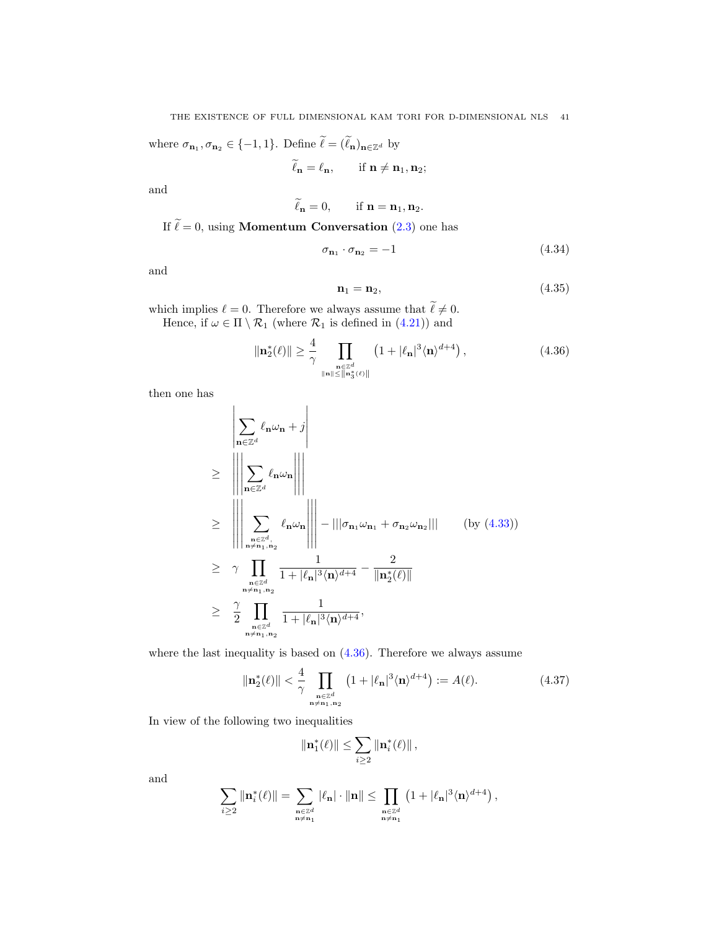where  $\sigma_{\mathbf{n}_1}, \sigma_{\mathbf{n}_2} \in \{-1, 1\}$ . Define  $\ell = (\ell_{\mathbf{n}})_{\mathbf{n} \in \mathbb{Z}^d}$  by

$$
\tilde{\ell}_{\mathbf{n}}=\ell_{\mathbf{n}},\qquad\text{if } \mathbf{n}\neq\mathbf{n}_1,\mathbf{n}_2;
$$

and

$$
\ell_{\mathbf{n}}=0, \qquad \text{if } \mathbf{n}=\mathbf{n}_1, \mathbf{n}_2.
$$

If  $\tilde{\ell} = 0$ , using **Momentum Conversation** [\(2.3\)](#page-5-0) one has

$$
\sigma_{n_1} \cdot \sigma_{n_2} = -1 \tag{4.34}
$$

and

$$
\mathbf{n}_1 = \mathbf{n}_2,\tag{4.35}
$$

which implies  $\ell = 0$ . Therefore we always assume that  $\ell \neq 0$ . Hence, if  $\omega \in \Pi \setminus \mathcal{R}_1$  (where  $\mathcal{R}_1$  is defined in [\(4.21\)](#page-38-4)) and

<span id="page-40-0"></span>
$$
\|\mathbf{n}_2^*(\ell)\| \ge \frac{4}{\gamma} \prod_{\substack{\mathbf{n} \in \mathbb{Z}^d \\ \|\mathbf{n}\| \le \|\mathbf{n}_3^*(\ell)\|}} \left(1 + |\ell_\mathbf{n}|^3 \langle \mathbf{n} \rangle^{d+4}\right),\tag{4.36}
$$

then one has

$$
\begin{aligned}\n&\geq \left\| \sum_{\mathbf{n} \in \mathbb{Z}^d} \ell_{\mathbf{n}} \omega_{\mathbf{n}} + j \right\| \\
&\geq \left\| \left\| \sum_{\mathbf{n} \in \mathbb{Z}^d} \ell_{\mathbf{n}} \omega_{\mathbf{n}} \right\| \right\| \\
&\geq \left\| \sum_{\substack{\mathbf{n} \in \mathbb{Z}^d, \\ \mathbf{n} \neq \mathbf{n}_1, \mathbf{n}_2}} \ell_{\mathbf{n}} \omega_{\mathbf{n}} \right\| \right\| - |||\sigma_{\mathbf{n}_1} \omega_{\mathbf{n}_1} + \sigma_{\mathbf{n}_2} \omega_{\mathbf{n}_2}||| \quad \text{(by (4.33))} \\
&\geq \gamma \sum_{\substack{\mathbf{n} \in \mathbb{Z}^d \\ \mathbf{n} \neq \mathbf{n}_1, \mathbf{n}_2}} \frac{1}{1 + |\ell_{\mathbf{n}}|^3 \langle \mathbf{n} \rangle^{d+4} - \frac{2}{\|\mathbf{n}_2^*(\ell)\|} \\
&\geq \frac{\gamma}{2} \prod_{\substack{\mathbf{n} \in \mathbb{Z}^d \\ \mathbf{n} \neq \mathbf{n}_1, \mathbf{n}_2}} \frac{1}{1 + |\ell_{\mathbf{n}}|^3 \langle \mathbf{n} \rangle^{d+4}},\n\end{aligned}
$$

where the last inequality is based on  $(4.36)$ . Therefore we always assume

<span id="page-40-1"></span>
$$
\|\mathbf{n}_2^*(\ell)\| < \frac{4}{\gamma} \prod_{\substack{\mathbf{n} \in \mathbb{Z}^d \\ \mathbf{n} \neq \mathbf{n}_1, \mathbf{n}_2}} \left(1 + |\ell_\mathbf{n}|^3 \langle \mathbf{n} \rangle^{d+4}\right) := A(\ell). \tag{4.37}
$$

In view of the following two inequalities

$$
\|\mathbf{n}_1^*(\ell)\| \leq \sum_{i \geq 2} \|\mathbf{n}_i^*(\ell)\|,
$$

and

$$
\sum_{i\geq 2}\|\mathbf{n}_i^*(\ell)\|=\sum_{\substack{\mathbf{n}\in\mathbb{Z}^d\\ \mathbf{n}\neq\mathbf{n}_1}}|\ell_\mathbf{n}|\cdot\|\mathbf{n}\|\leq \prod_{\substack{\mathbf{n}\in\mathbb{Z}^d\\ \mathbf{n}\neq\mathbf{n}_1}}\left(1+|\ell_\mathbf{n}|^3\langle\mathbf{n}\rangle^{d+4}\right),
$$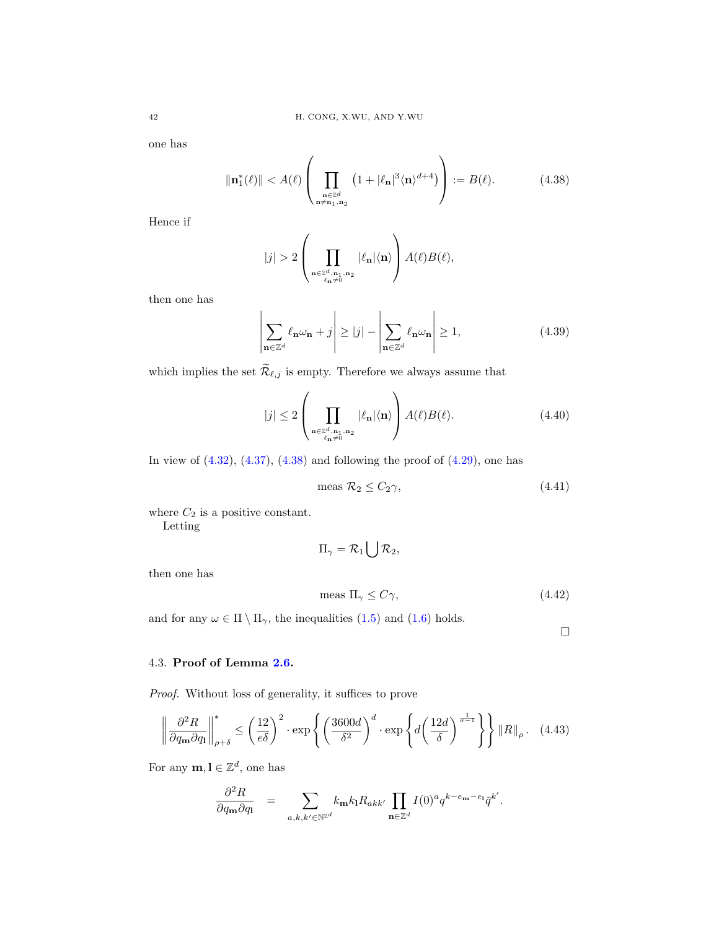one has

<span id="page-41-0"></span>
$$
\|\mathbf{n}_1^*(\ell)\| < A(\ell) \left( \prod_{\substack{\mathbf{n} \in \mathbb{Z}^d \\ \mathbf{n} \neq \mathbf{n}_1, \mathbf{n}_2}} \left( 1 + |\ell_\mathbf{n}|^3 \langle \mathbf{n} \rangle^{d+4} \right) \right) := B(\ell). \tag{4.38}
$$

Hence if

$$
|j|>2\left(\prod_{\substack{\mathbf n\in\mathbb Z^d,\mathbf n_1,\mathbf n_2\\ \ell_{\mathbf n}\neq 0}}|\ell_{\mathbf n}|\langle \mathbf n\rangle\right)A(\ell)B(\ell),
$$

then one has

$$
\left| \sum_{\mathbf{n} \in \mathbb{Z}^d} \ell_{\mathbf{n}} \omega_{\mathbf{n}} + j \right| \ge |j| - \left| \sum_{\mathbf{n} \in \mathbb{Z}^d} \ell_{\mathbf{n}} \omega_{\mathbf{n}} \right| \ge 1, \tag{4.39}
$$

which implies the set  $\widetilde{\mathcal{R}}_{\ell,j}$  is empty. Therefore we always assume that

$$
|j| \le 2 \left( \prod_{\substack{\mathbf{n} \in \mathbb{Z}_{n,\mathbf{n}_1,\mathbf{n}_2}^d \\ \ell_{\mathbf{n}} \neq 0}} |\ell_{\mathbf{n}}| \langle \mathbf{n} \rangle \right) A(\ell) B(\ell). \tag{4.40}
$$

In view of  $(4.32)$ ,  $(4.37)$ ,  $(4.38)$  and following the proof of  $(4.29)$ , one has

$$
\text{meas } \mathcal{R}_2 \le C_2 \gamma, \tag{4.41}
$$

where  $C_2$  is a positive constant. Letting

$$
\Pi_\gamma = \mathcal{R}_1 \bigcup \mathcal{R}_2,
$$

then one has

$$
\text{meas } \Pi_{\gamma} \le C\gamma,\tag{4.42}
$$

and for any  $\omega \in \Pi \setminus \Pi_{\gamma}$ , the inequalities [\(1.5\)](#page-1-1) and [\(1.6\)](#page-1-2) holds.

 $\Box$ 

# 4.3. Proof of Lemma [2.6.](#page-9-3)

Proof. Without loss of generality, it suffices to prove

<span id="page-41-1"></span>
$$
\left\| \frac{\partial^2 R}{\partial q_{\mathbf{m}} \partial q_{\mathbf{l}}} \right\|_{\rho+\delta}^* \le \left( \frac{12}{e\delta} \right)^2 \cdot \exp \left\{ \left( \frac{3600d}{\delta^2} \right)^d \cdot \exp \left\{ d \left( \frac{12d}{\delta} \right)^{\frac{1}{\sigma-1}} \right\} \right\} \|R\|_{\rho}. \tag{4.43}
$$

For any  $\mathbf{m}, \mathbf{l} \in \mathbb{Z}^d$ , one has

<span id="page-41-2"></span>
$$
\frac{\partial^2 R}{\partial q_{\mathbf{m}} \partial q_{\mathbf{l}}} = \sum_{a,k,k' \in \mathbb{N}^{\mathbb{Z}^d}} k_{\mathbf{m}} k_{\mathbf{l}} R_{akk'} \prod_{\mathbf{n} \in \mathbb{Z}^d} I(0)^a q^{k - e_{\mathbf{m}} - e_{\mathbf{l}}} \bar{q}^{k'}.
$$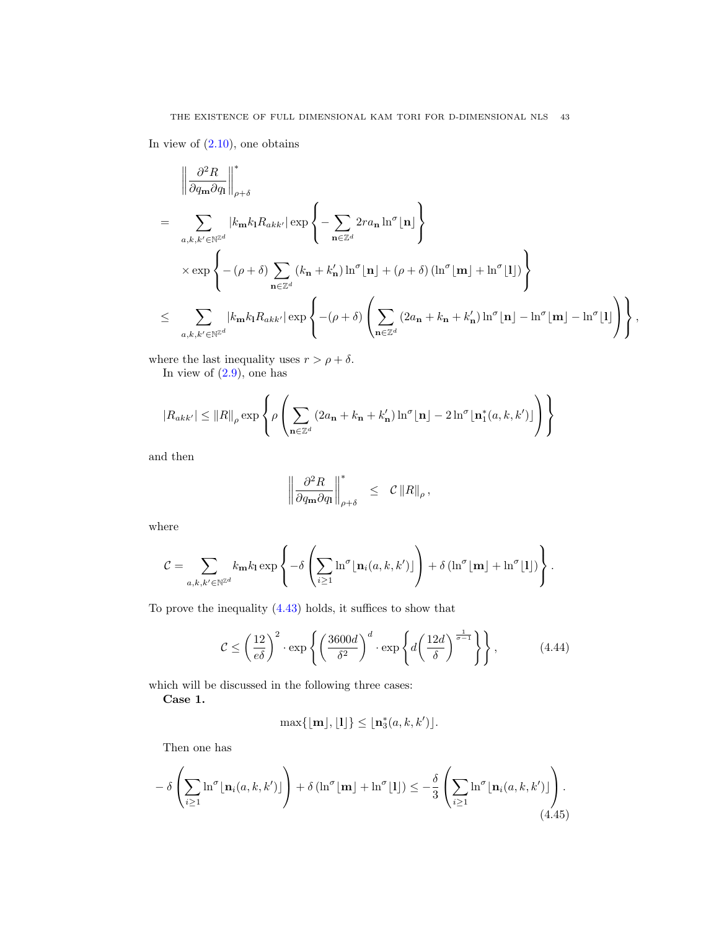In view of  $(2.10)$ , one obtains

$$
\left\| \frac{\partial^2 R}{\partial q_{\mathbf{m}} \partial q_{\mathbf{l}}} \right\|_{\rho+\delta}^*
$$
\n
$$
= \sum_{a,k,k' \in \mathbb{N}^{\mathbb{Z}^d}} \left| k_{\mathbf{m}} k_{\mathbf{l}} R_{akk'} \right| \exp \left\{ - \sum_{\mathbf{n} \in \mathbb{Z}^d} 2r a_{\mathbf{n}} \ln^{\sigma}[\mathbf{n}] \right\}
$$
\n
$$
\times \exp \left\{ - (\rho + \delta) \sum_{\mathbf{n} \in \mathbb{Z}^d} (k_{\mathbf{n}} + k_{\mathbf{n}}') \ln^{\sigma}[\mathbf{n}] + (\rho + \delta) (\ln^{\sigma}[\mathbf{m}] + \ln^{\sigma}[\mathbf{l}]) \right\}
$$
\n
$$
\leq \sum_{a,k,k' \in \mathbb{N}^{\mathbb{Z}^d}} \left| k_{\mathbf{m}} k_{\mathbf{l}} R_{akk'} \right| \exp \left\{ - (\rho + \delta) \left( \sum_{\mathbf{n} \in \mathbb{Z}^d} (2a_{\mathbf{n}} + k_{\mathbf{n}} + k_{\mathbf{n}}') \ln^{\sigma}[\mathbf{n}] - \ln^{\sigma}[\mathbf{m}] - \ln^{\sigma}[\mathbf{l}] \right) \right\},
$$

where the last inequality uses  $r > \rho + \delta$ .

In view of  $(2.9)$ , one has

$$
|R_{akk'}| \leq ||R||_{\rho} \exp \left\{ \rho \left( \sum_{\mathbf{n} \in \mathbb{Z}^d} (2a_{\mathbf{n}} + k_{\mathbf{n}} + k_{\mathbf{n}}') \ln^{\sigma}[\mathbf{n}] - 2 \ln^{\sigma}[\mathbf{n}_1^*(a, k, k')] \right) \right\}
$$

and then

$$
\left\|\frac{\partial^2 R}{\partial q_{\bf m} \partial q_{\bf l}}\right\|_{\rho+\delta}^* \ \leq \ \mathcal{C} \left\|R\right\|_{\rho},
$$

where

$$
C = \sum_{a,k,k' \in \mathbb{N}^{\mathbb{Z}^d}} k_{\mathbf{m}} k_1 \exp \left\{-\delta \left( \sum_{i \geq 1} \ln^{\sigma} \lfloor \mathbf{n}_i(a,k,k') \rfloor \right) + \delta \left( \ln^{\sigma} \lfloor \mathbf{m} \rfloor + \ln^{\sigma} \lfloor l \rfloor \right) \right\}.
$$

To prove the inequality [\(4.43\)](#page-41-1) holds, it suffices to show that

$$
C \le \left(\frac{12}{e\delta}\right)^2 \cdot \exp\left\{ \left(\frac{3600d}{\delta^2}\right)^d \cdot \exp\left\{ d\left(\frac{12d}{\delta}\right)^{\frac{1}{\sigma-1}} \right\} \right\},\tag{4.44}
$$

which will be discussed in the following three cases:

Case 1.

$$
\max\{\lfloor \mathbf{m} \rfloor, \lfloor l \rfloor\} \leq \lfloor \mathbf{n}_3^*(a, k, k') \rfloor.
$$

Then one has

<span id="page-42-0"></span>
$$
- \delta \left( \sum_{i \ge 1} \ln^{\sigma} \lfloor \mathbf{n}_i(a, k, k') \rfloor \right) + \delta \left( \ln^{\sigma} \lfloor \mathbf{m} \rfloor + \ln^{\sigma} \lfloor l \rfloor \right) \le - \frac{\delta}{3} \left( \sum_{i \ge 1} \ln^{\sigma} \lfloor \mathbf{n}_i(a, k, k') \rfloor \right). \tag{4.45}
$$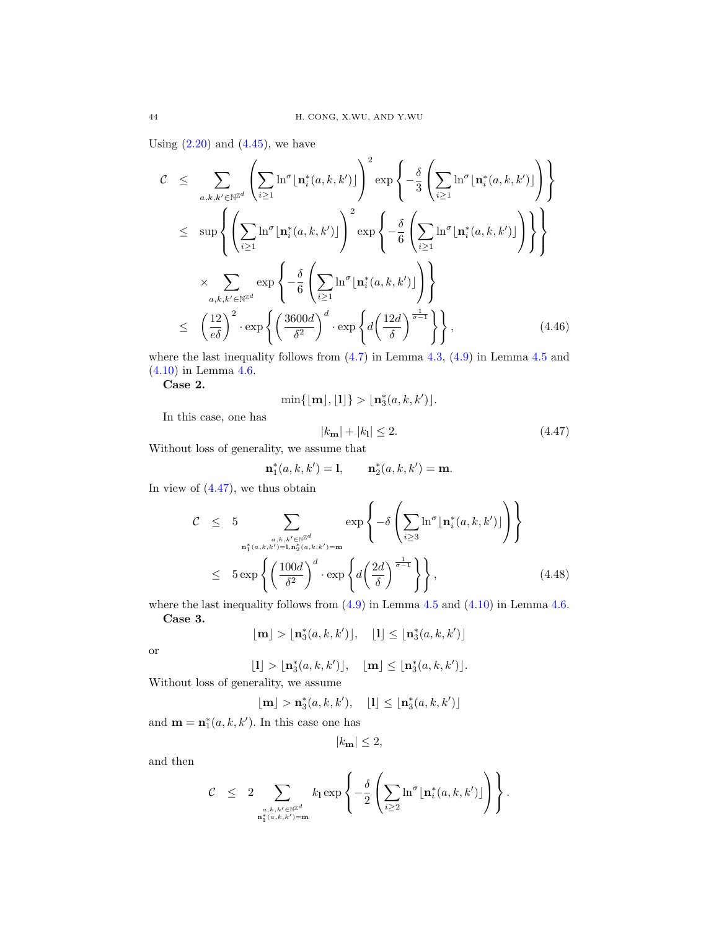Using  $(2.20)$  and  $(4.45)$ , we have

<span id="page-43-1"></span>
$$
\mathcal{C} \leq \sum_{a,k,k' \in \mathbb{N}^{\mathbb{Z}^d}} \left( \sum_{i \geq 1} \ln^{\sigma} \lfloor \mathbf{n}_i^*(a,k,k') \rfloor \right)^2 \exp \left\{ -\frac{\delta}{3} \left( \sum_{i \geq 1} \ln^{\sigma} \lfloor \mathbf{n}_i^*(a,k,k') \rfloor \right) \right\}
$$
  
\n
$$
\leq \sup \left\{ \left( \sum_{i \geq 1} \ln^{\sigma} \lfloor \mathbf{n}_i^*(a,k,k') \rfloor \right)^2 \exp \left\{ -\frac{\delta}{6} \left( \sum_{i \geq 1} \ln^{\sigma} \lfloor \mathbf{n}_i^*(a,k,k') \rfloor \right) \right\} \right\}
$$
  
\n
$$
\times \sum_{a,k,k' \in \mathbb{N}^{\mathbb{Z}^d}} \exp \left\{ -\frac{\delta}{6} \left( \sum_{i \geq 1} \ln^{\sigma} \lfloor \mathbf{n}_i^*(a,k,k') \rfloor \right) \right\}
$$
  
\n
$$
\leq \left( \frac{12}{e\delta} \right)^2 \cdot \exp \left\{ \left( \frac{3600d}{\delta^2} \right)^d \cdot \exp \left\{ d \left( \frac{12d}{\delta} \right)^{\frac{1}{\sigma - 1}} \right\} \right\}, \tag{4.46}
$$

where the last inequality follows from  $(4.7)$  in Lemma  $4.3$ ,  $(4.9)$  in Lemma  $4.5$  and [\(4.10\)](#page-35-1) in Lemma [4.6.](#page-35-2)

Case 2.

$$
\min\{\lfloor \mathbf{m} \rfloor, \lfloor l \rfloor\} > \lfloor \mathbf{n}_3^*(a, k, k') \rfloor.
$$

In this case, one has

<span id="page-43-0"></span>
$$
|k_{\mathbf{m}}| + |k_{\mathbf{l}}| \le 2. \tag{4.47}
$$

Without loss of generality, we assume that

$$
\mathbf{n}_1^*(a,k,k') = 1, \qquad \mathbf{n}_2^*(a,k,k') = \mathbf{m}.
$$

In view of  $(4.47)$ , we thus obtain

<span id="page-43-2"></span>
$$
\mathcal{C} \leq 5 \sum_{\substack{a,k,k' \in \mathbb{N}^{\mathbb{Z}^d} \\ \mathbf{n}_1^*(a,k,k')=1, \mathbf{n}_2^*(a,k,k')=m}} \exp\left\{-\delta \left(\sum_{i\geq 3} \ln^{\sigma} \lfloor \mathbf{n}_i^*(a,k,k') \rfloor\right) \right\}
$$
\n
$$
\leq 5 \exp\left\{ \left(\frac{100d}{\delta^2}\right)^d \cdot \exp\left\{ d \left(\frac{2d}{\delta}\right)^{\frac{1}{\sigma-1}} \right\} \right\},
$$
\n(4.48)

where the last inequality follows from  $(4.9)$  in Lemma [4.5](#page-35-3) and  $(4.10)$  in Lemma [4.6.](#page-35-2) Case 3.

$$
\lfloor \mathbf{m} \rfloor > \lfloor \mathbf{n}_3^*(a, k, k') \rfloor, \quad \lfloor \mathbf{l} \rfloor \leq \lfloor \mathbf{n}_3^*(a, k, k') \rfloor
$$

or

$$
\lfloor \mathbf{l}\rfloor>\lfloor \mathbf{n}_3^*(a,k,k')\rfloor, \quad \lfloor \mathbf{m}\rfloor\leq \lfloor \mathbf{n}_3^*(a,k,k')\rfloor.
$$

Without loss of generality, we assume

$$
\lfloor \mathbf{m} \rfloor > \mathbf{n}_3^*(a, k, k'), \quad \lfloor \mathbf{l} \rfloor \le \lfloor \mathbf{n}_3^*(a, k, k') \rfloor
$$

and  $\mathbf{m} = \mathbf{n}_1^*(a, k, k')$ . In this case one has

$$
|k_{\mathbf{m}}| \le 2,
$$

and then

<span id="page-43-3"></span>
$$
\mathcal{C} \quad \leq \quad 2\sum_{\substack{a,k,k' \in \mathbb{N}^{\mathbb{Z}^d} \\ \mathbf{n}_1^*(a,k,k') = \mathbf{m}}} k_1 \exp\left\{-\frac{\delta}{2}\left(\sum_{i \geq 2} \ln^\sigma \lfloor \mathbf{n}_i^*(a,k,k') \rfloor\right)\right\}.
$$

 $\overline{ }$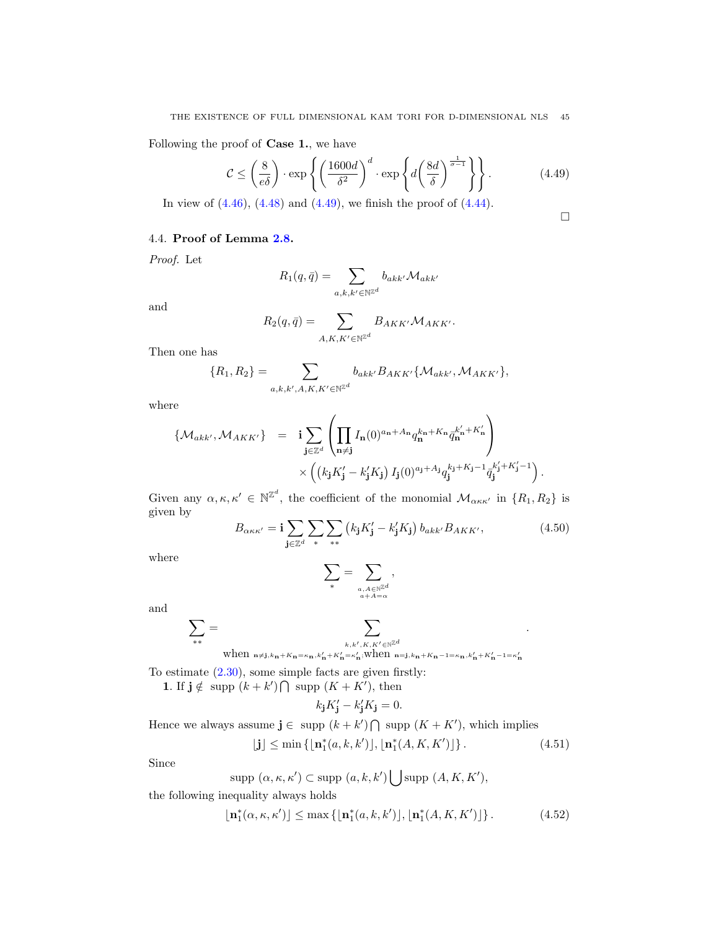Following the proof of Case 1., we have

$$
\mathcal{C} \le \left(\frac{8}{e\delta}\right) \cdot \exp\left\{ \left(\frac{1600d}{\delta^2}\right)^d \cdot \exp\left\{ d\left(\frac{8d}{\delta}\right)^{\frac{1}{\sigma-1}} \right\} \right\}.
$$
 (4.49)

In view of  $(4.46)$ ,  $(4.48)$  and  $(4.49)$ , we finish the proof of  $(4.44)$ .

$$
\Box
$$

.

.

# 4.4. Proof of Lemma [2.8.](#page-10-0)

Proof. Let

$$
R_1(q,\bar{q})=\sum_{a,k,k'\in\mathbb{N}^{\mathbb{Z}^d}}b_{akk'}\mathcal{M}_{akk'}
$$

and

$$
R_2(q,\bar{q}) = \sum_{A,K,K' \in \mathbb{N}^{\mathbb{Z}^d}} B_{AKK'} \mathcal{M}_{AKK'}.
$$

Then one has

$$
\{R_1, R_2\} = \sum_{a,k,k',A,K,K'\in\mathbb{N}^{\mathbb{Z}^d}} b_{akk'} B_{AKK'} \{ \mathcal{M}_{akk'}, \mathcal{M}_{AKK'} \},
$$

where

$$
\{\mathcal{M}_{akk'}, \mathcal{M}_{AKK'}\} = \mathbf{i} \sum_{\mathbf{j} \in \mathbb{Z}^d} \left( \prod_{\mathbf{n} \neq \mathbf{j}} I_{\mathbf{n}}(0)^{a_{\mathbf{n}} + A_{\mathbf{n}}} q_{\mathbf{n}}^{k_{\mathbf{n}} + K_{\mathbf{n}}} \bar{q}_{\mathbf{n}}^{k'_{\mathbf{n}} + K'_{\mathbf{n}}} \right) \times \left( \left( k_{\mathbf{j}} K'_{\mathbf{j}} - k'_{\mathbf{j}} K_{\mathbf{j}} \right) I_{\mathbf{j}}(0)^{a_{\mathbf{j}} + A_{\mathbf{j}}} q_{\mathbf{j}}^{k'_{\mathbf{j}} + K_{\mathbf{j}} - 1} \bar{q}_{\mathbf{j}}^{k'_{\mathbf{j}} + K'_{\mathbf{j}} - 1} \right)
$$

Given any  $\alpha, \kappa, \kappa' \in \mathbb{N}^{\mathbb{Z}^d}$ , the coefficient of the monomial  $\mathcal{M}_{\alpha\kappa\kappa'}$  in  $\{R_1, R_2\}$  is given by

<span id="page-44-2"></span>
$$
B_{\alpha\kappa\kappa'} = \mathbf{i} \sum_{\mathbf{j} \in \mathbb{Z}^d} \sum_* \sum_{**} \left( k_\mathbf{j} K_\mathbf{j}' - k_\mathbf{j}' K_\mathbf{j} \right) b_{akk'} B_{AKK'}, \tag{4.50}
$$

where

$$
\sum_* = \sum_{\stackrel{a,A\in \mathbb{N}^{\mathbb{Z}^d}}{a+A=\alpha}} ,
$$

and

$$
\sum_{**} = \sum_{\substack{k,k',K,K'\in \mathbb{N}^{\mathbb{Z}^d} \\ \text{when } n\neq j, k_{\mathbf{n}}+K_{\mathbf{n}}=\kappa_{\mathbf{n}}, k'_{\mathbf{n}}+K'_{\mathbf{n}}=\kappa'_{\mathbf{n}}; \text{when } \mathbf{n}=\mathbf{j}, k_{\mathbf{n}}+K_{\mathbf{n}}-1=\kappa_{\mathbf{n}}, k'_{\mathbf{n}}+K'_{\mathbf{n}}-1=\kappa'_{\mathbf{n}}}
$$

To estimate  $(2.30)$ , some simple facts are given firstly:

1. If  $j \notin \text{supp } (k + k') \cap \text{supp } (K + K')$ , then

$$
k_{\mathbf{j}}K_{\mathbf{j}}'-k_{\mathbf{j}}'K_{\mathbf{j}}=0.
$$

Hence we always assume  $\mathbf{j} \in \text{supp } (k + k') \cap \text{supp } (K + K')$ , which implies

<span id="page-44-0"></span>
$$
\lfloor \mathbf{j} \rfloor \le \min\left\{ \lfloor \mathbf{n}_1^*(a, k, k') \rfloor, \lfloor \mathbf{n}_1^*(A, K, K') \rfloor \right\}. \tag{4.51}
$$

Since

$$
supp\ (\alpha,\kappa,\kappa')\subset supp\ (a,k,k')\bigcup supp\ (A,K,K'),
$$

the following inequality always holds

<span id="page-44-1"></span>
$$
\lfloor \mathbf{n}_1^*(\alpha,\kappa,\kappa') \rfloor \le \max\left\{ \lfloor \mathbf{n}_1^*(a,k,k') \rfloor, \lfloor \mathbf{n}_1^*(A,K,K') \rfloor \right\}.
$$
 (4.52)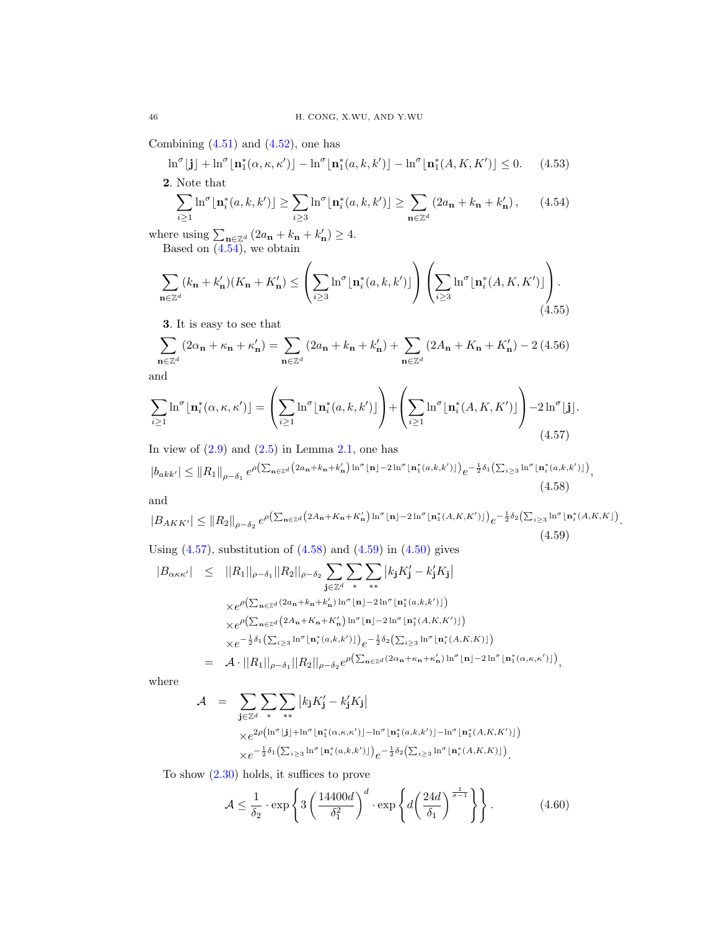Combining  $(4.51)$  and  $(4.52)$ , one has

<span id="page-45-6"></span>
$$
\ln^{\sigma}[\mathbf{j}] + \ln^{\sigma}[\mathbf{n}_1^*(\alpha, \kappa, \kappa')] - \ln^{\sigma}[\mathbf{n}_1^*(a, k, k')] - \ln^{\sigma}[\mathbf{n}_1^*(A, K, K')] \le 0. \tag{4.53}
$$

2. Note that

<span id="page-45-0"></span>
$$
\sum_{i\geq 1} \ln^{\sigma} \lfloor \mathbf{n}_i^*(a, k, k') \rfloor \geq \sum_{i\geq 3} \ln^{\sigma} \lfloor \mathbf{n}_i^*(a, k, k') \rfloor \geq \sum_{\mathbf{n} \in \mathbb{Z}^d} (2a_{\mathbf{n}} + k_{\mathbf{n}} + k'_{\mathbf{n}}), \qquad (4.54)
$$

where using  $\sum_{\mathbf{n}\in\mathbb{Z}^d} (2a_{\mathbf{n}} + k_{\mathbf{n}} + k'_{\mathbf{n}}) \geq 4$ . Based on [\(4.54\)](#page-45-0), we obtain

<span id="page-45-5"></span>
$$
\sum_{\mathbf{n}\in\mathbb{Z}^d} (k_{\mathbf{n}} + k'_{\mathbf{n}})(K_{\mathbf{n}} + K'_{\mathbf{n}}) \leq \left(\sum_{i\geq 3} \ln^{\sigma}[\mathbf{n}_i^*(a,k,k')] \right) \left(\sum_{i\geq 3} \ln^{\sigma}[\mathbf{n}_i^*(A,K,K')] \right).
$$
\n(4.55)

3. It is easy to see that

<span id="page-45-7"></span>
$$
\sum_{\mathbf{n}\in\mathbb{Z}^d} \left(2\alpha_{\mathbf{n}} + \kappa_{\mathbf{n}} + \kappa'_{\mathbf{n}}\right) = \sum_{\mathbf{n}\in\mathbb{Z}^d} \left(2a_{\mathbf{n}} + k_{\mathbf{n}} + k'_{\mathbf{n}}\right) + \sum_{\mathbf{n}\in\mathbb{Z}^d} \left(2A_{\mathbf{n}} + K_{\mathbf{n}} + K'_{\mathbf{n}}\right) - 2\left(4.56\right)
$$

and

<span id="page-45-1"></span>
$$
\sum_{i\geq 1} \ln^{\sigma} \lfloor \mathbf{n}_i^*(\alpha, \kappa, \kappa') \rfloor = \left( \sum_{i\geq 1} \ln^{\sigma} \lfloor \mathbf{n}_i^*(a, k, k') \rfloor \right) + \left( \sum_{i\geq 1} \ln^{\sigma} \lfloor \mathbf{n}_i^*(A, K, K') \rfloor \right) - 2\ln^{\sigma} \lfloor \mathbf{j} \rfloor.
$$
\n(4.57)

In view of  $(2.9)$  and  $(2.5)$  in Lemma [2.1,](#page-5-4) one has

<span id="page-45-2"></span>
$$
|b_{akk'}| \leq ||R_1||_{\rho-\delta_1} e^{\rho \left(\sum_{\mathbf{n}\in\mathbb{Z}^d} (2a_{\mathbf{n}}+k_{\mathbf{n}}+k'_{\mathbf{n}})\ln^{\sigma}[\mathbf{n}]-2\ln^{\sigma}[\mathbf{n}_1^{*}(a,k,k')]\right)} e^{-\frac{1}{2}\delta_1\left(\sum_{i\geq 3}\ln^{\sigma}[\mathbf{n}_i^{*}(a,k,k')]\right)},
$$
\n(4.58)

$$
\quad\text{and}\quad
$$

<span id="page-45-3"></span>
$$
|B_{AKK'}| \leq ||R_2||_{\rho-\delta_2} e^{\rho \left(\sum_{\mathbf{n}\in\mathbb{Z}^d} \left(2A_{\mathbf{n}}+K_{\mathbf{n}}+K_{\mathbf{n}}'\right) \ln^{\sigma}|\mathbf{n}|-2\ln^{\sigma}|\mathbf{n}_1^*(A,K,K')|\right)} e^{-\frac{1}{2}\delta_2 \left(\sum_{i\geq 3} \ln^{\sigma}|\mathbf{n}_i^*(A,K,K)\right)}.
$$
\n
$$
(4.59)
$$

Using  $(4.57)$ , substitution of  $(4.58)$  and  $(4.59)$  in  $(4.50)$  gives

$$
|B_{\alpha\kappa\kappa'}| \leq ||R_1||_{\rho-\delta_1}||R_2||_{\rho-\delta_2} \sum_{\mathbf{j}\in\mathbb{Z}^d} \sum_* \sum_{**} |k_{\mathbf{j}}K_{\mathbf{j}}' - k_{\mathbf{j}}'K_{\mathbf{j}}|
$$
  
\n
$$
\times e^{\rho\left(\sum_{\mathbf{n}\in\mathbb{Z}^d} (2a_{\mathbf{n}}+k_{\mathbf{n}}+k_{\mathbf{n}}')\ln^{\sigma}[\mathbf{n}]-2\ln^{\sigma}[\mathbf{n}_1^{*}(a,k,k')]\right)}
$$
  
\n
$$
\times e^{\rho\left(\sum_{\mathbf{n}\in\mathbb{Z}^d} (2A_{\mathbf{n}}+K_{\mathbf{n}}+K_{\mathbf{n}}')\ln^{\sigma}[\mathbf{n}]-2\ln^{\sigma}[\mathbf{n}_1^{*}(A,K,K')]\right)}
$$
  
\n
$$
\times e^{-\frac{1}{2}\delta_1\left(\sum_{i\geq 3} \ln^{\sigma}[\mathbf{n}_i^{*}(a,k,k')]\right)} e^{-\frac{1}{2}\delta_2\left(\sum_{i\geq 3} \ln^{\sigma}[\mathbf{n}_i^{*}(A,K,K)]\right)}
$$
  
\n
$$
= \mathcal{A} \cdot ||R_1||_{\rho-\delta_1}||R_2||_{\rho-\delta_2} e^{\rho\left(\sum_{\mathbf{n}\in\mathbb{Z}^d} (2\alpha_{\mathbf{n}}+k_{\mathbf{n}}+k_{\mathbf{n}}')\ln^{\sigma}[\mathbf{n}]-2\ln^{\sigma}[\mathbf{n}_1^{*}(\alpha,\kappa,\kappa')]\right)},
$$

where

$$
\begin{split} \mathcal{A} &= \sum_{\mathbf{j}\in\mathbb{Z}^d} \sum_* \sum_{**} \left| k_{\mathbf{j}} K_{\mathbf{j}}' - k_{\mathbf{j}}' K_{\mathbf{j}} \right| \\ &\times e^{2\rho \left( \ln^{\sigma} \lfloor \mathbf{j} \rfloor + \ln^{\sigma} \lfloor \mathbf{n}_1^*(\alpha,\kappa,\kappa') \rfloor - \ln^{\sigma} \lfloor \mathbf{n}_1^*(a,k,k') \rfloor - \ln^{\sigma} \lfloor \mathbf{n}_1^*(A,K,K') \rfloor \right)} \\ &\times e^{-\frac{1}{2}\delta_1 \left( \sum_{i\geq 3} \ln^{\sigma} \lfloor \mathbf{n}_i^*(a,k,k') \rfloor \right)} e^{-\frac{1}{2}\delta_2 \left( \sum_{i\geq 3} \ln^{\sigma} \lfloor \mathbf{n}_i^*(A,K,K) \rfloor \right)} . \end{split}
$$

To show [\(2.30\)](#page-10-5) holds, it suffices to prove

<span id="page-45-4"></span>
$$
\mathcal{A} \le \frac{1}{\delta_2} \cdot \exp\left\{3\left(\frac{14400d}{\delta_1^2}\right)^d \cdot \exp\left\{d\left(\frac{24d}{\delta_1}\right)^{\frac{1}{\sigma-1}}\right\}\right\}.
$$
 (4.60)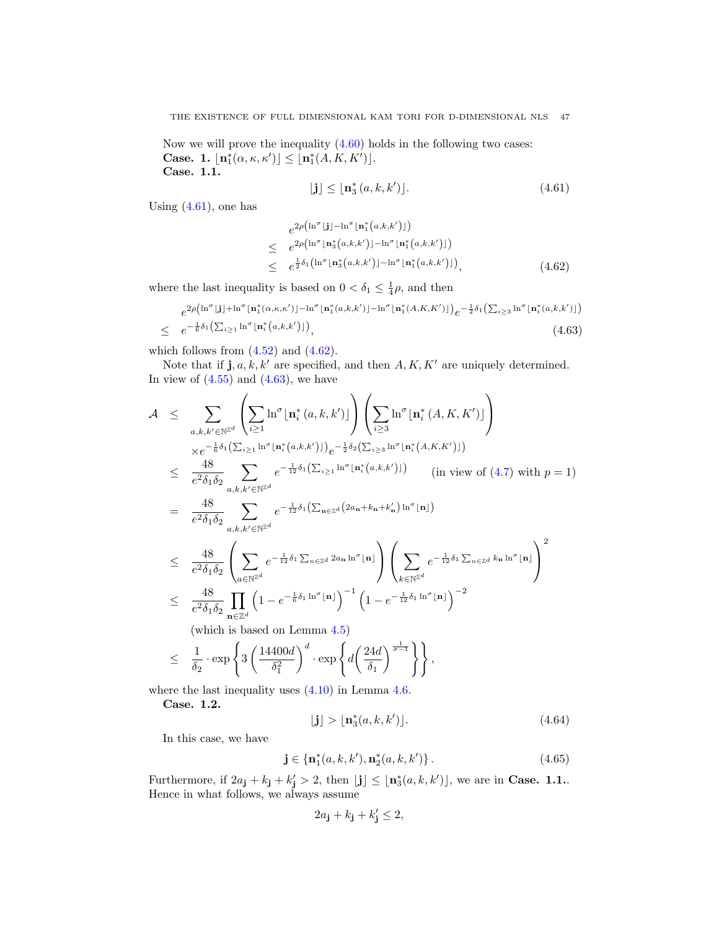Now we will prove the inequality  $(4.60)$  holds in the following two cases: Case. 1.  $\lfloor n_1^*(\alpha,\kappa,\kappa') \rfloor \leq \lfloor n_1^*(A,K,K') \rfloor$ . Case. 1.1.

<span id="page-46-0"></span>
$$
\lfloor \mathbf{j} \rfloor \le \lfloor \mathbf{n}_3^*(a, k, k') \rfloor. \tag{4.61}
$$

Using  $(4.61)$ , one has

<span id="page-46-1"></span>
$$
e^{2\rho\left(\ln^{\sigma}\lfloor j\rfloor - \ln^{\sigma}\lfloor n_1^*(a,k,k')\rfloor\right)}\leq e^{2\rho\left(\ln^{\sigma}\lfloor n_3^*(a,k,k')\rfloor - \ln^{\sigma}\lfloor n_1^*(a,k,k')\rfloor\right)}\leq e^{\frac{1}{2}\delta_1\left(\ln^{\sigma}\lfloor n_3^*(a,k,k')\rfloor - \ln^{\sigma}\lfloor n_1^*(a,k,k')\rfloor\right)},
$$
\n(4.62)

where the last inequality is based on  $0 < \delta_1 \leq \frac{1}{4}\rho$ , and then

<span id="page-46-2"></span>
$$
e^{2\rho\left(\ln^{\sigma}\left[\mathbf{j}\right]+\ln^{\sigma}\left[\mathbf{n}_1^*(\alpha,\kappa,\kappa')\right]-\ln^{\sigma}\left[\mathbf{n}_1^*(a,k,k')\right]-\ln^{\sigma}\left[\mathbf{n}_1^*(A,K,K')\right]\right)}e^{-\frac{1}{2}\delta_1\left(\sum_{i\geq 3}\ln^{\sigma}\left[\mathbf{n}_i^*(a,k,k')\right]\right)}\leq e^{-\frac{1}{6}\delta_1\left(\sum_{i\geq 1}\ln^{\sigma}\left[\mathbf{n}_i^*(a,k,k')\right]\right)},\tag{4.63}
$$

which follows from  $(4.52)$  and  $(4.62)$ .

Note that if  $\mathbf{j}, a, k, k'$  are specified, and then  $A, K, K'$  are uniquely determined. In view of  $(4.55)$  and  $(4.63)$ , we have

$$
\mathcal{A} \leq \sum_{a,k,k' \in \mathbb{N}^{\mathbb{Z}^d}} \left( \sum_{i \geq 1} \ln^{\sigma} \lfloor \mathbf{n}_i^* (a,k,k') \rfloor \right) \left( \sum_{i \geq 3} \ln^{\sigma} \lfloor \mathbf{n}_i^* (A,K,K') \rfloor \right) \times e^{-\frac{1}{6}\delta_1 \left( \sum_{i \geq 1} \ln^{\sigma} \lfloor \mathbf{n}_i^* (a,k,k') \rfloor \right)} e^{-\frac{1}{2}\delta_2 \left( \sum_{i \geq 3} \ln^{\sigma} \lfloor \mathbf{n}_i^* (A,K,K') \rfloor \right)} \right)
$$
\n
$$
\leq \frac{48}{e^2 \delta_1 \delta_2} \sum_{a,k,k' \in \mathbb{N}^{\mathbb{Z}^d}} e^{-\frac{1}{12}\delta_1 \left( \sum_{i \geq 1} \ln^{\sigma} \lfloor \mathbf{n}_i^* (a,k,k') \rfloor \right)} \quad \text{(in view of (4.7) with } p = 1)
$$
\n
$$
= \frac{48}{e^2 \delta_1 \delta_2} \sum_{a,k,k' \in \mathbb{N}^{\mathbb{Z}^d}} e^{-\frac{1}{12}\delta_1 \left( \sum_{\mathbf{n} \in \mathbb{Z}^d} \left( 2a_{\mathbf{n}} + k_{\mathbf{n}} + k_{\mathbf{n}}' \right) \ln^{\sigma} \lfloor \mathbf{n} \rfloor \right)} \right)
$$
\n
$$
\leq \frac{48}{e^2 \delta_1 \delta_2} \left( \sum_{a \in \mathbb{N}^{\mathbb{Z}^d}} e^{-\frac{1}{12}\delta_1 \sum_{\mathbf{n} \in \mathbb{Z}^d} 2a_{\mathbf{n}} \ln^{\sigma} \lfloor \mathbf{n} \rfloor} \right) \left( \sum_{k \in \mathbb{N}^{\mathbb{Z}^d}} e^{-\frac{1}{12}\delta_1 \sum_{\mathbf{n} \in \mathbb{Z}^d} k_{\mathbf{n}} \ln^{\sigma} \lfloor \mathbf{n} \rfloor} \right)^2
$$
\n
$$
\leq \frac{48}{e^2 \delta_1 \delta_2} \prod_{\mathbf{n} \in \mathbb{Z}^d} \left( 1 - e^{-\
$$

where the last inequality uses [\(4.10\)](#page-35-1) in Lemma [4.6.](#page-35-2)

Case. 1.2.

$$
\lfloor \mathbf{j} \rfloor > \lfloor \mathbf{n}_3^*(a, k, k') \rfloor. \tag{4.64}
$$

In this case, we have

<span id="page-46-3"></span>
$$
\mathbf{j} \in \{\mathbf{n}_1^*(a, k, k'), \mathbf{n}_2^*(a, k, k')\}.
$$
 (4.65)

Furthermore, if  $2a_j + k_j + k'_j > 2$ , then  $\lfloor j \rfloor \leq \lfloor n_3^*(a, k, k') \rfloor$ , we are in **Case. 1.1.**. Hence in what follows, we always assume

$$
2a_{\mathbf{j}} + k_{\mathbf{j}} + k'_{\mathbf{j}} \le 2,
$$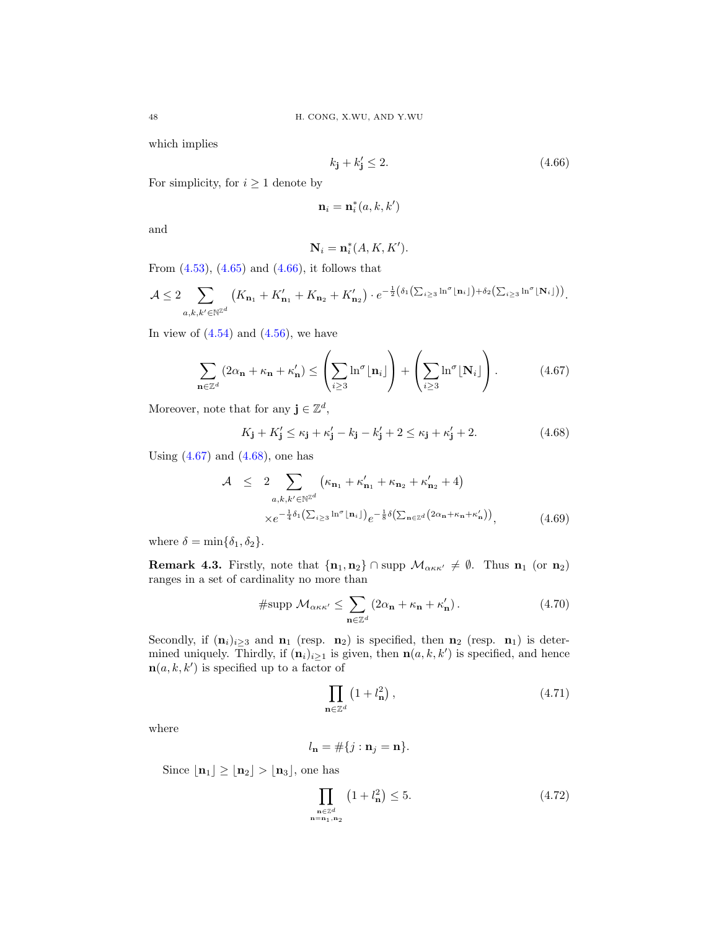which implies

<span id="page-47-0"></span>
$$
k_{\mathbf{j}} + k'_{\mathbf{j}} \le 2. \tag{4.66}
$$

For simplicity, for  $i \geq 1$  denote by

$$
\mathbf{n}_i = \mathbf{n}_i^*(a, k, k')
$$

and

$$
\mathbf{N}_i = \mathbf{n}_i^*(A, K, K').
$$

From  $(4.53)$ ,  $(4.65)$  and  $(4.66)$ , it follows that

$$
\mathcal{A} \leq 2 \sum_{a,k,k' \in \mathbb{N}^{\mathbb{Z}^d}} \left( K_{\mathbf{n}_1} + K_{\mathbf{n}_1} + K_{\mathbf{n}_2} + K_{\mathbf{n}_2}' \right) \cdot e^{-\frac{1}{2} \left( \delta_1 \left( \sum_{i \geq 3} \ln^{\sigma} \lfloor \mathbf{n}_i \rfloor \right) + \delta_2 \left( \sum_{i \geq 3} \ln^{\sigma} \lfloor \mathbf{N}_i \rfloor \right) \right)}.
$$

In view of  $(4.54)$  and  $(4.56)$ , we have

<span id="page-47-1"></span>
$$
\sum_{\mathbf{n}\in\mathbb{Z}^d} (2\alpha_{\mathbf{n}} + \kappa_{\mathbf{n}} + \kappa_{\mathbf{n}}') \le \left(\sum_{i\ge 3} \ln^{\sigma}[\mathbf{n}_i]\right) + \left(\sum_{i\ge 3} \ln^{\sigma}[\mathbf{N}_i]\right). \tag{4.67}
$$

Moreover, note that for any  $\mathbf{j} \in \mathbb{Z}^d$ ,

<span id="page-47-2"></span>
$$
K_{\mathbf{j}} + K'_{\mathbf{j}} \le \kappa_{\mathbf{j}} + \kappa'_{\mathbf{j}} - k_{\mathbf{j}} - k'_{\mathbf{j}} + 2 \le \kappa_{\mathbf{j}} + \kappa'_{\mathbf{j}} + 2. \tag{4.68}
$$

Using  $(4.67)$  and  $(4.68)$ , one has

<span id="page-47-3"></span>
$$
\begin{array}{rcl}\n\mathcal{A} & \leq & 2 \sum_{a,k,k' \in \mathbb{N}^{\mathbb{Z}^d}} \left( \kappa_{\mathbf{n}_1} + \kappa_{\mathbf{n}_1} + \kappa_{\mathbf{n}_2} + \kappa_{\mathbf{n}_2}' + 4 \right) \\
& \times e^{-\frac{1}{4}\delta_1 \left( \sum_{i \geq 3} \ln^{\sigma} \lfloor \mathbf{n}_i \rfloor \right)} e^{-\frac{1}{8}\delta \left( \sum_{\mathbf{n} \in \mathbb{Z}^d} \left( 2\alpha_{\mathbf{n}} + \kappa_{\mathbf{n}} + \kappa_{\mathbf{n}}' \right) \right)},\n\end{array} \tag{4.69}
$$

where  $\delta = \min{\{\delta_1, \delta_2\}}$ .

**Remark 4.3.** Firstly, note that  $\{n_1, n_2\}$  ∩ supp  $\mathcal{M}_{\alpha\kappa\kappa'} \neq \emptyset$ . Thus  $n_1$  (or  $n_2$ ) ranges in a set of cardinality no more than

$$
\#\text{supp }\mathcal{M}_{\alpha\kappa\kappa'} \leq \sum_{\mathbf{n}\in\mathbb{Z}^d} \left(2\alpha_\mathbf{n} + \kappa_\mathbf{n} + \kappa'_\mathbf{n}\right). \tag{4.70}
$$

Secondly, if  $(n_i)_{i>3}$  and  $n_1$  (resp.  $n_2$ ) is specified, then  $n_2$  (resp.  $n_1$ ) is determined uniquely. Thirdly, if  $(\mathbf{n}_i)_{i\geq 1}$  is given, then  $\mathbf{n}(a, k, k')$  is specified, and hence  $\mathbf{n}(a, k, k')$  is specified up to a factor of

$$
\prod_{\mathbf{n}\in\mathbb{Z}^d} \left(1 + l_\mathbf{n}^2\right),\tag{4.71}
$$

where

$$
l_{\mathbf{n}} = \#\{j : \mathbf{n}_j = \mathbf{n}\}.
$$

 $n<sub>1</sub>$ 

Since  $\lfloor n_1 \rfloor \ge \lfloor n_2 \rfloor > \lfloor n_3 \rfloor$ , one has

<span id="page-47-4"></span>
$$
\prod_{\substack{\mathbf{n} \in \mathbb{Z}^d \\ = \mathbf{n}_1, \mathbf{n}_2}} \left( 1 + l_\mathbf{n}^2 \right) \le 5. \tag{4.72}
$$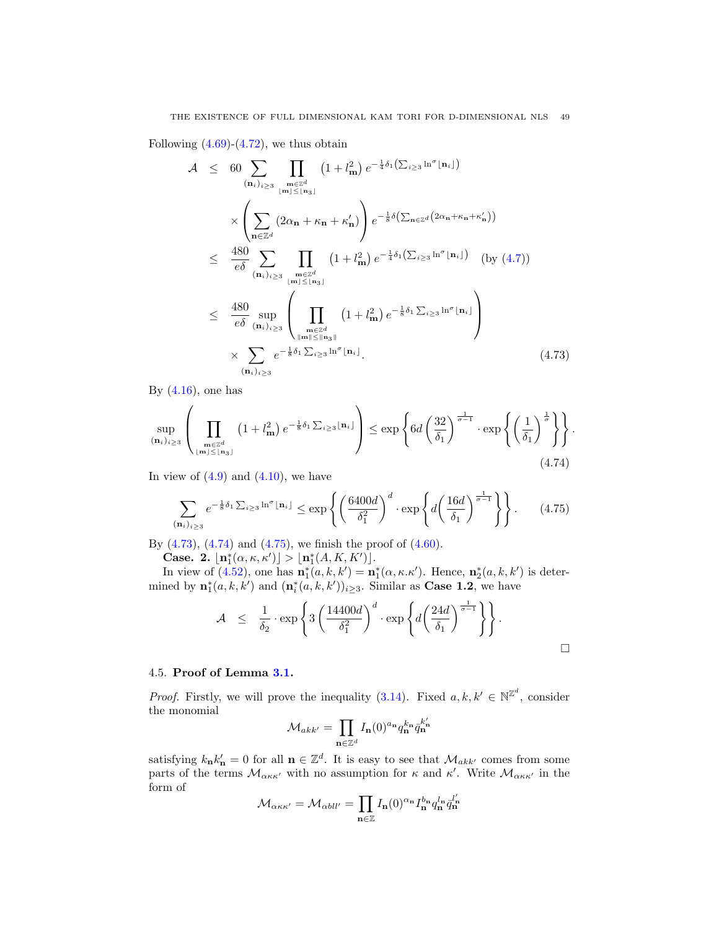Following  $(4.69)-(4.72)$  $(4.69)-(4.72)$  $(4.69)-(4.72)$ , we thus obtain

<span id="page-48-0"></span>
$$
\mathcal{A} \leq 60 \sum_{(\mathbf{n}_i)_{i\geq 3}} \prod_{\substack{\mathbf{m}\in \mathbb{Z}^d \\ |\mathbf{m}|\leq |\mathbf{n}_3}}} (1+l_{\mathbf{m}}^2) e^{-\frac{1}{4}\delta_1(\sum_{i\geq 3} \ln^{\sigma} |\mathbf{n}_i|)} \times \left(\sum_{\mathbf{n}\in \mathbb{Z}^d} (2\alpha_{\mathbf{n}} + \kappa_{\mathbf{n}} + \kappa_{\mathbf{n}}')\right) e^{-\frac{1}{8}\delta(\sum_{\mathbf{n}\in \mathbb{Z}^d} (2\alpha_{\mathbf{n}} + \kappa_{\mathbf{n}} + \kappa_{\mathbf{n}}'))} \times \frac{480}{e\delta} \sum_{(\mathbf{n}_i)_{i\geq 3}} \prod_{\substack{\mathbf{m}\in \mathbb{Z}^d \\ |\mathbf{m}|\leq |\mathbf{n}_3|}} (1+l_{\mathbf{m}}^2) e^{-\frac{1}{4}\delta_1(\sum_{i\geq 3} \ln^{\sigma} |\mathbf{n}_i|)} (\text{by (4.7)}) \times \frac{480}{e\delta} \sup_{(\mathbf{n}_i)_{i\geq 3}} \left(\prod_{\substack{\mathbf{m}\in \mathbb{Z}^d \\ |\mathbf{m}|\leq |\mathbf{n}_3||}} (1+l_{\mathbf{m}}^2) e^{-\frac{1}{8}\delta_1 \sum_{i\geq 3} \ln^{\sigma} |\mathbf{n}_i|}\right) \times \sum_{(\mathbf{n}_i)_{i\geq 3}} e^{-\frac{1}{8}\delta_1 \sum_{i\geq 3} \ln^{\sigma} |\mathbf{n}_i|}.
$$
\n(4.73)

By  $(4.16)$ , one has

<span id="page-48-1"></span>
$$
\sup_{(\mathbf{n}_i)_{i\geq 3}} \left( \prod_{\substack{\mathbf{m}\in \mathbb{Z}^d \\ |\mathbf{m}| \leq \lfloor \mathbf{n}_3\rfloor}} \left(1 + l_{\mathbf{m}}^2\right) e^{-\frac{1}{8}\delta_1 \sum_{i\geq 3} \lfloor \mathbf{n}_i \rfloor} \right) \leq \exp\left\{ 6d \left(\frac{32}{\delta_1}\right)^{\frac{1}{\sigma-1}} \cdot \exp\left\{ \left(\frac{1}{\delta_1}\right)^{\frac{1}{\sigma}} \right\} \right\}.
$$
\n(4.74)

In view of  $(4.9)$  and  $(4.10)$ , we have

<span id="page-48-2"></span>
$$
\sum_{(\mathbf{n}_i)_{i\geq 3}} e^{-\frac{1}{8}\delta_1 \sum_{i\geq 3} \ln^{\sigma} \lfloor \mathbf{n}_i \rfloor} \leq \exp\left\{ \left(\frac{6400d}{\delta_1^2}\right)^d \cdot \exp\left\{ d \left(\frac{16d}{\delta_1}\right)^{\frac{1}{\sigma-1}} \right\} \right\}.
$$
 (4.75)

By  $(4.73)$ ,  $(4.74)$  and  $(4.75)$ , we finish the proof of  $(4.60)$ .

Case. 2.  $\lfloor n_1^*(\alpha, \kappa, \kappa') \rfloor > \lfloor n_1^*(A, K, K') \rfloor$ .

In view of [\(4.52\)](#page-44-1), one has  $\mathbf{n}_1^*(a, k, k') = \mathbf{n}_1^*(\alpha, \kappa \cdot \kappa')$ . Hence,  $\mathbf{n}_2^*(a, k, k')$  is determined by  $\mathbf{n}_1^*(a, k, k')$  and  $(\mathbf{n}_i^*(a, k, k'))_{i \geq 3}$ . Similar as **Case 1.2**, we have

$$
\mathcal{A} \leq \frac{1}{\delta_2} \cdot \exp \left\{ 3 \left( \frac{14400d}{\delta_1^2} \right)^d \cdot \exp \left\{ d \left( \frac{24d}{\delta_1} \right)^{\frac{1}{\sigma - 1}} \right\} \right\}.
$$

### 4.5. Proof of Lemma [3.1.](#page-13-1)

*Proof.* Firstly, we will prove the inequality [\(3.14\)](#page-13-2). Fixed  $a, k, k' \in \mathbb{N}^{\mathbb{Z}^d}$ , consider the monomial

$$
\mathcal{M}_{akk'}=\prod_{\mathbf{n}\in\mathbb{Z}^d}I_{\mathbf{n}}(0)^{a_{\mathbf{n}}}q_{\mathbf{n}}^{k_{\mathbf{n}}}\bar{q}_{\mathbf{n}}^{k'_{\mathbf{n}}}
$$

satisfying  $k_n k'_n = 0$  for all  $n \in \mathbb{Z}^d$ . It is easy to see that  $\mathcal{M}_{akk'}$  comes from some parts of the terms  $\mathcal{M}_{\alpha\kappa\kappa'}$  with no assumption for  $\kappa$  and  $\kappa'$ . Write  $\mathcal{M}_{\alpha\kappa\kappa'}$  in the form of

$$
\mathcal{M}_{\alpha\kappa\kappa'} = \mathcal{M}_{\alpha\delta ll'} = \prod_{\mathbf{n}\in\mathbb{Z}} I_{\mathbf{n}}(0)^{\alpha_{\mathbf{n}}} I_{\mathbf{n}}^{b_{\mathbf{n}}} q_{\mathbf{n}}^{l_{\mathbf{n}}} \bar{q}_{\mathbf{n}}^{l'}
$$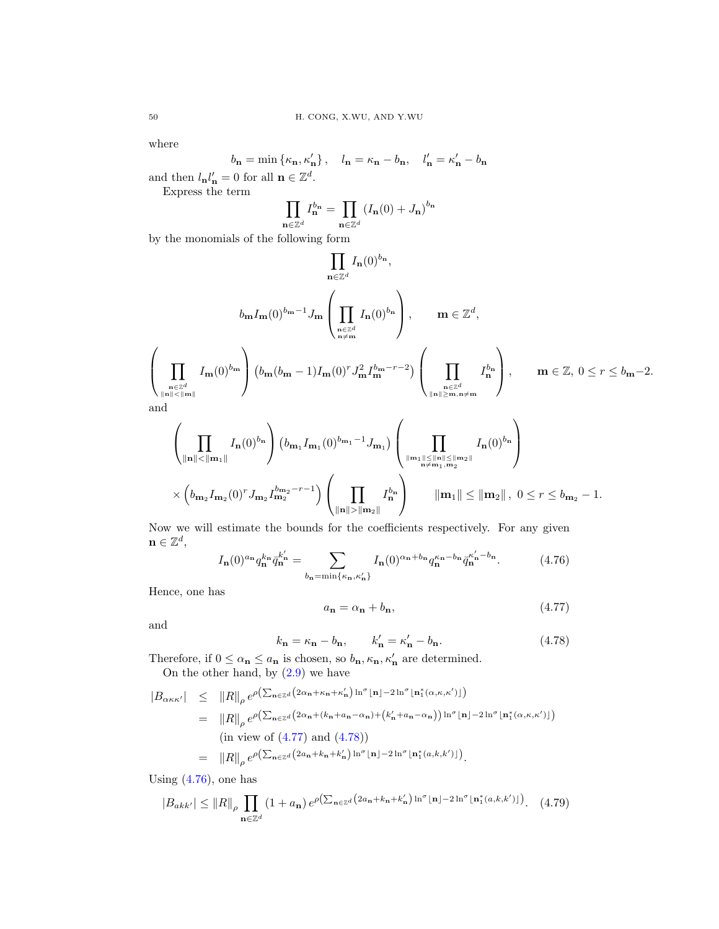where

$$
b_{\mathbf{n}} = \min \{ \kappa_{\mathbf{n}}, \kappa_{\mathbf{n}}' \}, \quad l_{\mathbf{n}} = \kappa_{\mathbf{n}} - b_{\mathbf{n}}, \quad l_{\mathbf{n}}' = \kappa_{\mathbf{n}}' - b_{\mathbf{n}}
$$
  
= 0 for all  $\mathbf{n} \in \mathbb{Z}^d$ 

and then  $l_{\mathbf{n}}l'_{\mathbf{n}}=0$  for all  $\mathbf{n} \in \mathbb{Z}^d$ .

Express the term

$$
\prod_{\mathbf{n}\in\mathbb{Z}^d} I_{\mathbf{n}}^{b_{\mathbf{n}}} = \prod_{\mathbf{n}\in\mathbb{Z}^d} \left( I_{\mathbf{n}}(0) + J_{\mathbf{n}} \right)^{b_{\mathbf{n}}}
$$

by the monomials of the following form

$$
\prod_{\mathbf{n}\in\mathbb{Z}^d} I_{\mathbf{n}}(0)^{b_{\mathbf{n}}},
$$
\n
$$
b_{\mathbf{m}}I_{\mathbf{m}}(0)^{b_{\mathbf{m}}-1}J_{\mathbf{m}}\left(\prod_{\substack{\mathbf{n}\in\mathbb{Z}^d\\ \mathbf{n}\neq\mathbf{m}}}\nI_{\mathbf{n}}(0)^{b_{\mathbf{n}}}\right), \qquad \mathbf{m}\in\mathbb{Z}^d,
$$
\n
$$
\left(\prod_{\substack{\mathbf{n}\in\mathbb{Z}^d\\ \|\mathbf{n}\| \le \|\mathbf{m}\|}}\nI_{\mathbf{m}}(0)^{b_{\mathbf{m}}}\right)\n\left(b_{\mathbf{m}}(b_{\mathbf{m}}-1)I_{\mathbf{m}}(0)^r J_{\mathbf{m}}^2 I_{\mathbf{m}}^{b_{\mathbf{m}}-r-2}\right)\n\left(\prod_{\substack{\mathbf{n}\in\mathbb{Z}^d\\ \|\mathbf{n}\| \ge \mathbf{m}, \mathbf{n}\neq\mathbf{m}}}\nI_{\mathbf{n}}^{b_{\mathbf{n}}}\right), \qquad \mathbf{m}\in\mathbb{Z}, 0 \le r \le b_{\mathbf{m}}-2.
$$

and

$$
\left(\prod_{\|\mathbf{n}\|<\|\mathbf{m}_1\|} I_{\mathbf{n}}(0)^{b_{\mathbf{n}}}\right) (b_{\mathbf{m}_1} I_{\mathbf{m}_1}(0)^{b_{\mathbf{m}_1}-1} J_{\mathbf{m}_1}) \left(\prod_{\|\mathbf{m}_1\|\leq\|\mathbf{n}\|\leq\|\mathbf{m}_2\|} I_{\mathbf{n}}(0)^{b_{\mathbf{n}}}\right) \times \left(b_{\mathbf{m}_2} I_{\mathbf{m}_2}(0)^r J_{\mathbf{m}_2} I_{\mathbf{m}_2}^{b_{\mathbf{m}_2}-r-1}\right) \left(\prod_{\|\mathbf{n}\|\geq\|\mathbf{m}_2\|} I_{\mathbf{n}}^{b_{\mathbf{n}}}\right) \qquad \|\mathbf{m}_1\| \leq \|\mathbf{m}_2\|, 0 \leq r \leq b_{\mathbf{m}_2}-1.
$$

Now we will estimate the bounds for the coefficients respectively. For any given  $\mathbf{n} \in \mathbb{Z}^d$ ,

<span id="page-49-2"></span>
$$
I_{n}(0)^{a_{n}}q_{n}^{k_{n}}\bar{q}_{n}^{k_{n}'} = \sum_{b_{n}=\min\{\kappa_{n},\kappa_{n}'\}} I_{n}(0)^{\alpha_{n}+b_{n}}q_{n}^{\kappa_{n}-b_{n}}\bar{q}_{n}^{\kappa_{n}'-b_{n}}.
$$
 (4.76)

Hence, one has

<span id="page-49-0"></span>
$$
a_{\mathbf{n}} = \alpha_{\mathbf{n}} + b_{\mathbf{n}},\tag{4.77}
$$

and

<span id="page-49-1"></span>
$$
k_{\mathbf{n}} = \kappa_{\mathbf{n}} - b_{\mathbf{n}}, \qquad k'_{\mathbf{n}} = \kappa'_{\mathbf{n}} - b_{\mathbf{n}}.\tag{4.78}
$$

Therefore, if  $0 \le \alpha_{\mathbf{n}} \le a_{\mathbf{n}}$  is chosen, so  $b_{\mathbf{n}}, \kappa_{\mathbf{n}}, \kappa_{\mathbf{n}}'$  are determined. On the other hand, by  $(2.9)$  we have

<span id="page-49-3"></span>
$$
|B_{\alpha\kappa\kappa'}| \leq ||R||_{\rho} e^{\rho \left(\sum_{\mathbf{n}\in\mathbb{Z}^d} \left(2\alpha_{\mathbf{n}}+\kappa_{\mathbf{n}}+\kappa_{\mathbf{n}}'\right) \ln^{\sigma}[\mathbf{n}]-2\ln^{\sigma}[\mathbf{n}_1^*(\alpha,\kappa,\kappa')]\right)}
$$
  
\n
$$
= ||R||_{\rho} e^{\rho \left(\sum_{\mathbf{n}\in\mathbb{Z}^d} \left(2\alpha_{\mathbf{n}}+(k_{\mathbf{n}}+a_{\mathbf{n}}-\alpha_{\mathbf{n}})\right) + \left(k_{\mathbf{n}}'+a_{\mathbf{n}}-\alpha_{\mathbf{n}}\right)\right) \ln^{\sigma}[\mathbf{n}]-2\ln^{\sigma}[\mathbf{n}_1^*(\alpha,\kappa,\kappa')]\right)}
$$
  
\n(in view of (4.77) and (4.78))  
\n
$$
= ||R||_{\rho} e^{\rho \left(\sum_{\mathbf{n}\in\mathbb{Z}^d} \left(2a_{\mathbf{n}}+k_{\mathbf{n}}+k_{\mathbf{n}}'\right) \ln^{\sigma}[\mathbf{n}]-2\ln^{\sigma}[\mathbf{n}_1^*(a,k,k')]\right)}.
$$

Using  $(4.76)$ , one has

$$
|B_{akk'}| \le ||R||_{\rho} \prod_{\mathbf{n}\in\mathbb{Z}^d} (1+a_{\mathbf{n}}) e^{\rho \left(\sum_{\mathbf{n}\in\mathbb{Z}^d} \left(2a_{\mathbf{n}}+k_{\mathbf{n}}+k'_{\mathbf{n}}\right) \ln^{\sigma} \lfloor \mathbf{n} \rfloor - 2\ln^{\sigma} \lfloor \mathbf{n}_1^*(a,k,k') \rfloor\right)}.
$$
 (4.79)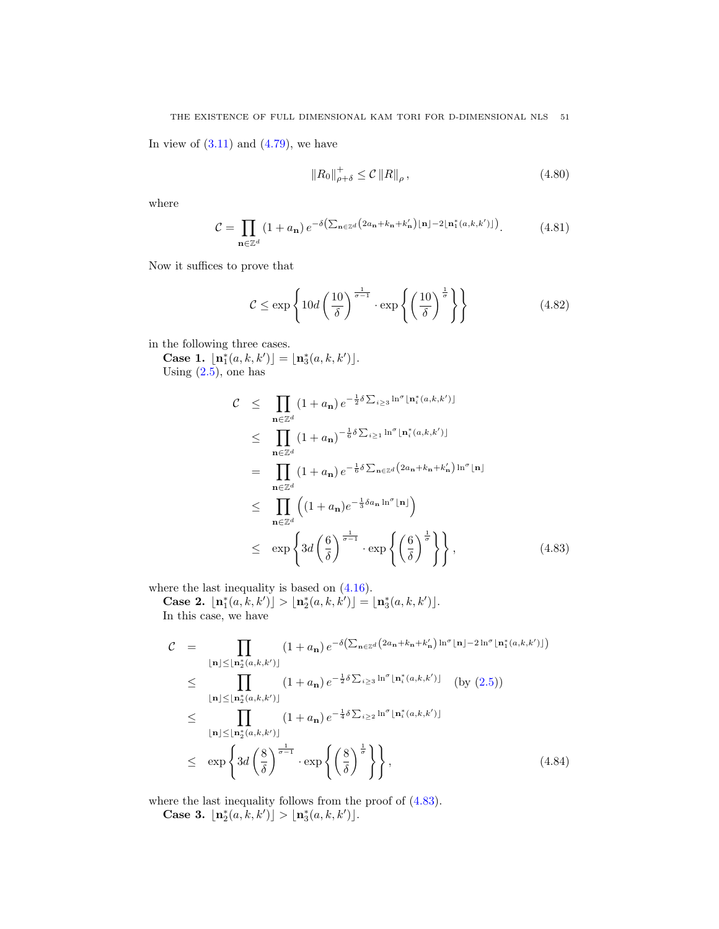In view of  $(3.11)$  and  $(4.79)$ , we have

$$
||R_0||_{\rho+\delta}^+ \leq \mathcal{C} ||R||_{\rho}, \qquad (4.80)
$$

where

$$
\mathcal{C} = \prod_{\mathbf{n} \in \mathbb{Z}^d} (1 + a_{\mathbf{n}}) e^{-\delta \left( \sum_{\mathbf{n} \in \mathbb{Z}^d} \left( 2a_{\mathbf{n}} + k_{\mathbf{n}} + k'_{\mathbf{n}} \right) \lfloor \mathbf{n} \rfloor - 2 \lfloor \mathbf{n}_1^*(a, k, k') \rfloor \right)}.
$$
(4.81)

Now it suffices to prove that

<span id="page-50-2"></span>
$$
\mathcal{C} \le \exp\left\{10d\left(\frac{10}{\delta}\right)^{\frac{1}{\sigma-1}} \cdot \exp\left\{\left(\frac{10}{\delta}\right)^{\frac{1}{\sigma}}\right\}\right\} \tag{4.82}
$$

in the following three cases.

Case 1.  $\lfloor n_1^*(a, k, k') \rfloor = \lfloor n_3^*(a, k, k') \rfloor$ . Using  $(2.5)$ , one has

<span id="page-50-0"></span>
$$
\mathcal{C} \leq \prod_{\mathbf{n}\in\mathbb{Z}^d} (1+a_{\mathbf{n}}) e^{-\frac{1}{2}\delta \sum_{i\geq 3} \ln^{\sigma} \lfloor \mathbf{n}_i^*(a,k,k') \rfloor}
$$
\n
$$
\leq \prod_{\mathbf{n}\in\mathbb{Z}^d} (1+a_{\mathbf{n}})^{-\frac{1}{6}\delta \sum_{i\geq 1} \ln^{\sigma} \lfloor \mathbf{n}_i^*(a,k,k') \rfloor}
$$
\n
$$
= \prod_{\mathbf{n}\in\mathbb{Z}^d} (1+a_{\mathbf{n}}) e^{-\frac{1}{6}\delta \sum_{\mathbf{n}\in\mathbb{Z}^d} (2a_{\mathbf{n}}+k_{\mathbf{n}}+k'_{\mathbf{n}}) \ln^{\sigma} \lfloor \mathbf{n} \rfloor}
$$
\n
$$
\leq \prod_{\mathbf{n}\in\mathbb{Z}^d} \left( (1+a_{\mathbf{n}}) e^{-\frac{1}{3}\delta a_{\mathbf{n}} \ln^{\sigma} \lfloor \mathbf{n} \rfloor} \right)
$$
\n
$$
\leq \exp \left\{ 3d \left( \frac{6}{\delta} \right)^{\frac{1}{\sigma-1}} \cdot \exp \left\{ \left( \frac{6}{\delta} \right)^{\frac{1}{\sigma}} \right\} \right\}, \qquad (4.83)
$$

where the last inequality is based on  $(4.16)$ .

Case 2.  $\lfloor \mathbf{n}_1^*(a, k, k') \rfloor > \lfloor \mathbf{n}_2^*(a, k, k') \rfloor = \lfloor \mathbf{n}_3^*(a, k, k') \rfloor$ . In this case, we have

<span id="page-50-1"></span>
$$
\mathcal{C} = \prod_{\lfloor \mathbf{n} \rfloor \leq \lfloor \mathbf{n}_2^*(a,k,k') \rfloor} (1+a_{\mathbf{n}}) e^{-\delta \left( \sum_{\mathbf{n} \in \mathbb{Z}^d} (2a_{\mathbf{n}} + k_{\mathbf{n}} + k'_{\mathbf{n}}) \ln^{\sigma} \lfloor \mathbf{n} \rfloor - 2 \ln^{\sigma} \lfloor \mathbf{n}_1^*(a,k,k') \rfloor \right)}
$$
\n
$$
\leq \prod_{\lfloor \mathbf{n} \rfloor \leq \lfloor \mathbf{n}_2^*(a,k,k') \rfloor} (1+a_{\mathbf{n}}) e^{-\frac{1}{2}\delta \sum_{i\geq 3} \ln^{\sigma} \lfloor \mathbf{n}_i^*(a,k,k') \rfloor} \quad \text{(by (2.5))}
$$
\n
$$
\leq \prod_{\lfloor \mathbf{n} \rfloor \leq \lfloor \mathbf{n}_2^*(a,k,k') \rfloor} (1+a_{\mathbf{n}}) e^{-\frac{1}{4}\delta \sum_{i\geq 2} \ln^{\sigma} \lfloor \mathbf{n}_i^*(a,k,k') \rfloor}
$$
\n
$$
\leq \exp \left\{ 3d \left( \frac{8}{\delta} \right)^{\frac{1}{\sigma-1}} \cdot \exp \left\{ \left( \frac{8}{\delta} \right)^{\frac{1}{\sigma}} \right\} \right\}, \tag{4.84}
$$

where the last inequality follows from the proof of [\(4.83\)](#page-50-0).

Case 3.  $\lfloor n_2^*(a, k, k') \rfloor > \lfloor n_3^*(a, k, k') \rfloor$ .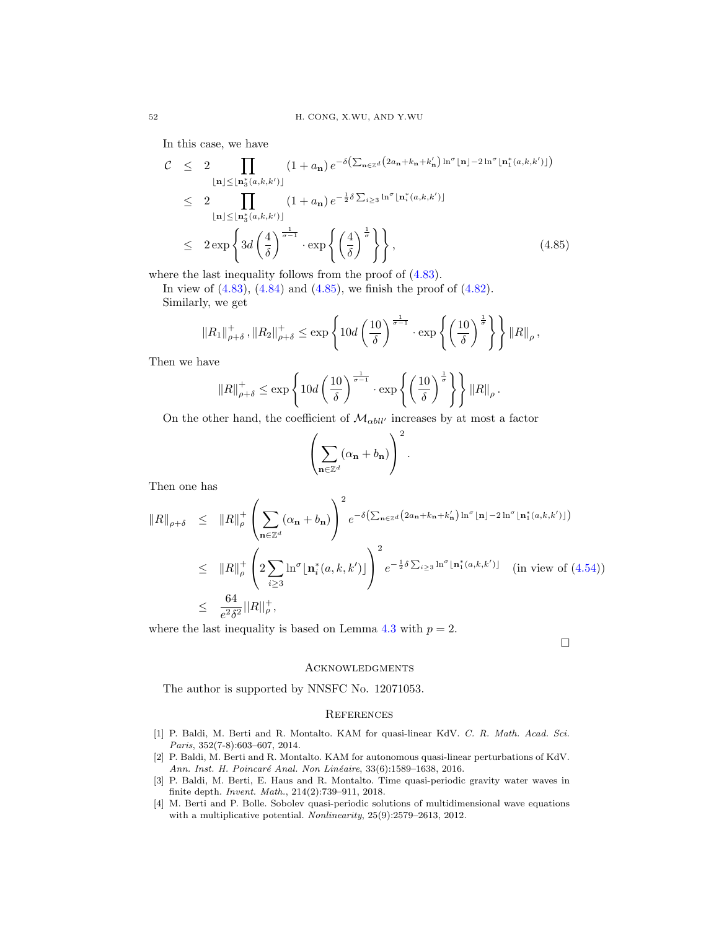In this case, we have

<span id="page-51-4"></span>
$$
\mathcal{C} \leq 2 \prod_{\lfloor \mathbf{n} \rfloor \leq \lfloor \mathbf{n}_3^*(a,k,k') \rfloor} (1+a_{\mathbf{n}}) e^{-\delta \left( \sum_{\mathbf{n} \in \mathbb{Z}^d} \left( 2a_{\mathbf{n}} + k_{\mathbf{n}} + k'_{\mathbf{n}} \right) \ln^{\sigma} \lfloor \mathbf{n} \rfloor - 2 \ln^{\sigma} \lfloor \mathbf{n}_1^*(a,k,k') \rfloor \right)}
$$
\n
$$
\leq 2 \prod_{\lfloor \mathbf{n} \rfloor \leq \lfloor \mathbf{n}_3^*(a,k,k') \rfloor} (1+a_{\mathbf{n}}) e^{-\frac{1}{2}\delta \sum_{i\geq 3} \ln^{\sigma} \lfloor \mathbf{n}_i^*(a,k,k') \rfloor}
$$
\n
$$
\leq 2 \exp \left\{ 3d \left( \frac{4}{\delta} \right)^{\frac{1}{\sigma-1}} \cdot \exp \left\{ \left( \frac{4}{\delta} \right)^{\frac{1}{\sigma}} \right\} \right\}, \tag{4.85}
$$

where the last inequality follows from the proof of  $(4.83)$ .

In view of  $(4.83)$ ,  $(4.84)$  and  $(4.85)$ , we finish the proof of  $(4.82)$ . Similarly, we get

$$
||R_1||_{\rho+\delta}^+, ||R_2||_{\rho+\delta}^+ \le \exp\left\{10d\left(\frac{10}{\delta}\right)^{\frac{1}{\sigma-1}}\cdot \exp\left\{\left(\frac{10}{\delta}\right)^{\frac{1}{\sigma}}\right\}\right\}||R||_{\rho},
$$

Then we have

$$
||R||_{\rho+\delta}^+ \le \exp\left\{10d\left(\frac{10}{\delta}\right)^{\frac{1}{\sigma-1}}\cdot \exp\left\{\left(\frac{10}{\delta}\right)^{\frac{1}{\sigma}}\right\}\right\}||R||_{\rho}.
$$

On the other hand, the coefficient of  $\mathcal{M}_{\alpha bll'}$  increases by at most a factor

$$
\left(\sum_{\mathbf{n}\in\mathbb{Z}^d}(\alpha_{\mathbf{n}}+b_{\mathbf{n}})\right)^2.
$$

Then one has

$$
||R||_{\rho+\delta} \leq ||R||_{\rho}^{+} \left(\sum_{\mathbf{n}\in\mathbb{Z}^{d}} (\alpha_{\mathbf{n}}+b_{\mathbf{n}})\right)^{2} e^{-\delta\left(\sum_{\mathbf{n}\in\mathbb{Z}^{d}} (2a_{\mathbf{n}}+k_{\mathbf{n}}+k'_{\mathbf{n}})\ln^{\sigma} \lfloor \mathbf{n}\rfloor -2\ln^{\sigma} \lfloor \mathbf{n}_{1}^{*}(a,k,k')\rfloor\right)}
$$
  
\n
$$
\leq ||R||_{\rho}^{+} \left(2\sum_{i\geq 3} \ln^{\sigma} \lfloor \mathbf{n}_{i}^{*}(a,k,k')\rfloor\right)^{2} e^{-\frac{1}{2}\delta \sum_{i\geq 3} \ln^{\sigma} \lfloor \mathbf{n}_{1}^{*}(a,k,k')\rfloor} \quad (\text{in view of (4.54))}
$$
  
\n
$$
\leq \frac{64}{e^{2}\delta^{2}} ||R||_{\rho}^{+},
$$

where the last inequality is based on Lemma [4.3](#page-34-6) with  $p = 2$ .

 $\Box$ 

#### **ACKNOWLEDGMENTS**

The author is supported by NNSFC No. 12071053.

#### **REFERENCES**

- <span id="page-51-0"></span>[1] P. Baldi, M. Berti and R. Montalto. KAM for quasi-linear KdV. C. R. Math. Acad. Sci. Paris, 352(7-8):603–607, 2014.
- <span id="page-51-1"></span>[2] P. Baldi, M. Berti and R. Montalto. KAM for autonomous quasi-linear perturbations of KdV. Ann. Inst. H. Poincaré Anal. Non Linéaire, 33(6):1589-1638, 2016.
- <span id="page-51-2"></span>[3] P. Baldi, M. Berti, E. Haus and R. Montalto. Time quasi-periodic gravity water waves in finite depth. Invent. Math., 214(2):739–911, 2018.
- <span id="page-51-3"></span>[4] M. Berti and P. Bolle. Sobolev quasi-periodic solutions of multidimensional wave equations with a multiplicative potential. Nonlinearity, 25(9):2579–2613, 2012.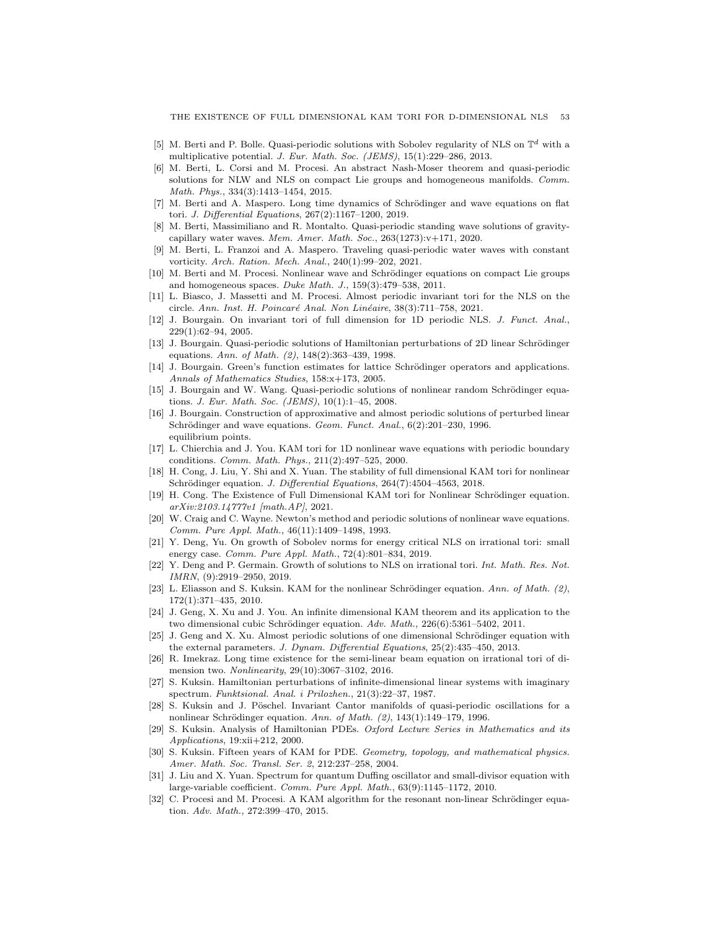- <span id="page-52-12"></span>[5] M. Berti and P. Bolle. Quasi-periodic solutions with Sobolev regularity of NLS on  $\mathbb{T}^d$  with a multiplicative potential. J. Eur. Math. Soc. (JEMS), 15(1):229–286, 2013.
- <span id="page-52-13"></span>[6] M. Berti, L. Corsi and M. Procesi. An abstract Nash-Moser theorem and quasi-periodic solutions for NLW and NLS on compact Lie groups and homogeneous manifolds. Comm. Math. Phys., 334(3):1413–1454, 2015.
- <span id="page-52-24"></span>[7] M. Berti and A. Maspero. Long time dynamics of Schrödinger and wave equations on flat tori. J. Differential Equations, 267(2):1167–1200, 2019.
- <span id="page-52-18"></span>[8] M. Berti, Massimiliano and R. Montalto. Quasi-periodic standing wave solutions of gravitycapillary water waves. Mem. Amer. Math. Soc., 263(1273):v+171, 2020.
- <span id="page-52-19"></span>[9] M. Berti, L. Franzoi and A. Maspero. Traveling quasi-periodic water waves with constant vorticity. Arch. Ration. Mech. Anal., 240(1):99–202, 2021.
- <span id="page-52-14"></span>[10] M. Berti and M. Procesi. Nonlinear wave and Schrödinger equations on compact Lie groups and homogeneous spaces. Duke Math. J., 159(3):479–538, 2011.
- <span id="page-52-20"></span>[11] L. Biasco, J. Massetti and M. Procesi. Almost periodic invariant tori for the NLS on the circle. Ann. Inst. H. Poincaré Anal. Non Linéaire, 38(3):711–758, 2021.
- <span id="page-52-1"></span>[12] J. Bourgain. On invariant tori of full dimension for 1D periodic NLS. J. Funct. Anal., 229(1):62–94, 2005.
- <span id="page-52-9"></span>[13] J. Bourgain. Quasi-periodic solutions of Hamiltonian perturbations of 2D linear Schrödinger equations. Ann. of Math. (2), 148(2):363–439, 1998.
- <span id="page-52-10"></span>[14] J. Bourgain. Green's function estimates for lattice Schrödinger operators and applications. Annals of Mathematics Studies, 158:x+173, 2005.
- <span id="page-52-15"></span>[15] J. Bourgain and W. Wang. Quasi-periodic solutions of nonlinear random Schrödinger equations. J. Eur. Math. Soc. (JEMS), 10(1):1–45, 2008.
- <span id="page-52-21"></span>[16] J. Bourgain. Construction of approximative and almost periodic solutions of perturbed linear Schrödinger and wave equations. Geom. Funct. Anal., 6(2):201-230, 1996. equilibrium points.
- <span id="page-52-3"></span>[17] L. Chierchia and J. You. KAM tori for 1D nonlinear wave equations with periodic boundary conditions. Comm. Math. Phys., 211(2):497–525, 2000.
- <span id="page-52-23"></span>[18] H. Cong, J. Liu, Y. Shi and X. Yuan. The stability of full dimensional KAM tori for nonlinear Schrödinger equation. J. Differential Equations, 264(7):4504-4563, 2018.
- <span id="page-52-2"></span>[19] H. Cong. The Existence of Full Dimensional KAM tori for Nonlinear Schrödinger equation. arXiv:2103.14777v1 [math.AP], 2021.
- <span id="page-52-4"></span>[20] W. Craig and C. Wayne. Newton's method and periodic solutions of nonlinear wave equations. Comm. Pure Appl. Math., 46(11):1409–1498, 1993.
- <span id="page-52-25"></span>[21] Y. Deng, Yu. On growth of Sobolev norms for energy critical NLS on irrational tori: small energy case. Comm. Pure Appl. Math., 72(4):801–834, 2019.
- <span id="page-52-26"></span>[22] Y. Deng and P. Germain. Growth of solutions to NLS on irrational tori. Int. Math. Res. Not. IMRN, (9):2919–2950, 2019.
- <span id="page-52-11"></span>[23] L. Eliasson and S. Kuksin. KAM for the nonlinear Schrödinger equation. Ann. of Math.  $(2)$ , 172(1):371–435, 2010.
- <span id="page-52-16"></span>[24] J. Geng, X. Xu and J. You. An infinite dimensional KAM theorem and its application to the two dimensional cubic Schrödinger equation.  $Adv. Math., 226(6): 5361-5402, 2011.$
- <span id="page-52-22"></span>[25] J. Geng and X. Xu. Almost periodic solutions of one dimensional Schrödinger equation with the external parameters. J. Dynam. Differential Equations, 25(2):435–450, 2013.
- <span id="page-52-27"></span>[26] R. Imekraz. Long time existence for the semi-linear beam equation on irrational tori of dimension two. Nonlinearity, 29(10):3067–3102, 2016.
- <span id="page-52-5"></span>[27] S. Kuksin. Hamiltonian perturbations of infinite-dimensional linear systems with imaginary spectrum. Funktsional. Anal. i Prilozhen., 21(3):22–37, 1987.
- <span id="page-52-6"></span>[28] S. Kuksin and J. Pöschel. Invariant Cantor manifolds of quasi-periodic oscillations for a nonlinear Schrödinger equation. Ann. of Math. (2), 143(1):149-179, 1996.
- <span id="page-52-7"></span>[29] S. Kuksin. Analysis of Hamiltonian PDEs. Oxford Lecture Series in Mathematics and its Applications, 19:xii+212, 2000.
- <span id="page-52-0"></span>[30] S. Kuksin. Fifteen years of KAM for PDE. Geometry, topology, and mathematical physics. Amer. Math. Soc. Transl. Ser. 2, 212:237–258, 2004.
- <span id="page-52-8"></span>[31] J. Liu and X. Yuan. Spectrum for quantum Duffing oscillator and small-divisor equation with large-variable coefficient. Comm. Pure Appl. Math., 63(9):1145–1172, 2010.
- <span id="page-52-17"></span>[32] C. Procesi and M. Procesi. A KAM algorithm for the resonant non-linear Schrödinger equation. Adv. Math., 272:399–470, 2015.